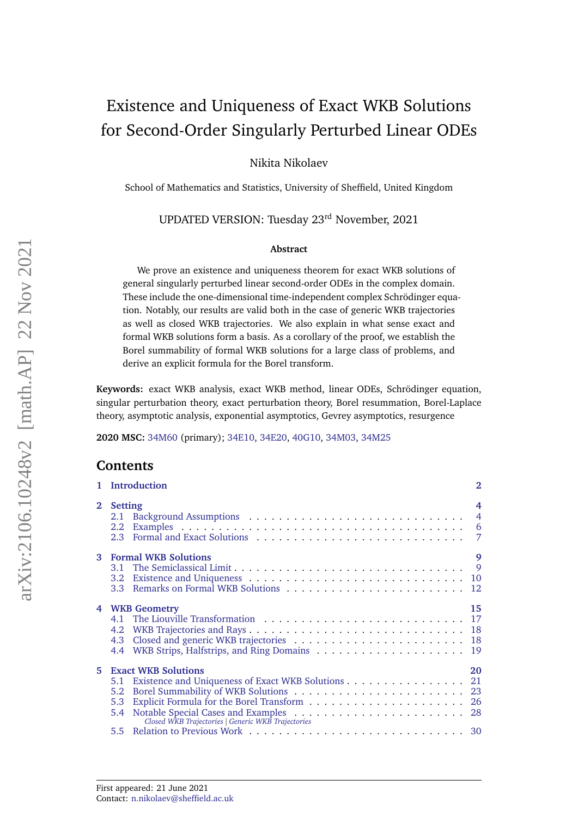# <span id="page-0-0"></span>Existence and Uniqueness of Exact WKB Solutions for Second-Order Singularly Perturbed Linear ODEs

Nikita Nikolaev

School of Mathematics and Statistics, University of Sheffield, United Kingdom

# UPDATED VERSION: Tuesday 23rd November, 2021

#### **Abstract**

We prove an existence and uniqueness theorem for exact WKB solutions of general singularly perturbed linear second-order ODEs in the complex domain. These include the one-dimensional time-independent complex Schrödinger equation. Notably, our results are valid both in the case of generic WKB trajectories as well as closed WKB trajectories. We also explain in what sense exact and formal WKB solutions form a basis. As a corollary of the proof, we establish the Borel summability of formal WKB solutions for a large class of problems, and derive an explicit formula for the Borel transform.

**Keywords:** exact WKB analysis, exact WKB method, linear ODEs, Schrodinger equation, ¨ singular perturbation theory, exact perturbation theory, Borel resummation, Borel-Laplace theory, asymptotic analysis, exponential asymptotics, Gevrey asymptotics, resurgence

**2020 MSC:** [34M60](https://zbmath.org/classification/?q=cc%3A34M60) (primary); [34E10,](https://zbmath.org/classification/?q=cc%3A34E10) [34E20,](https://zbmath.org/classification/?q=cc%3A34E20) [40G10,](https://zbmath.org/classification/?q=cc%3A40G10) [34M03,](https://zbmath.org/classification/?q=cc%3A34M03) [34M25](https://zbmath.org/classification/?q=cc%3A34M25)

# **Contents**

|                | 1 Introduction                                                                                                                                                  | $\overline{2}$ |
|----------------|-----------------------------------------------------------------------------------------------------------------------------------------------------------------|----------------|
| $\overline{2}$ | <b>Setting</b>                                                                                                                                                  | $\overline{4}$ |
| 3 <sup>1</sup> | <b>Formal WKB Solutions</b>                                                                                                                                     | 9              |
| 4              | <b>WKB Geometry</b>                                                                                                                                             | 15             |
| 5              | <b>Exact WKB Solutions</b><br>5.1 Existence and Uniqueness of Exact WKB Solutions 21<br>5.2<br>5.3<br>5.4<br>Closed WKB Trajectories   Generic WKB Trajectories | 20             |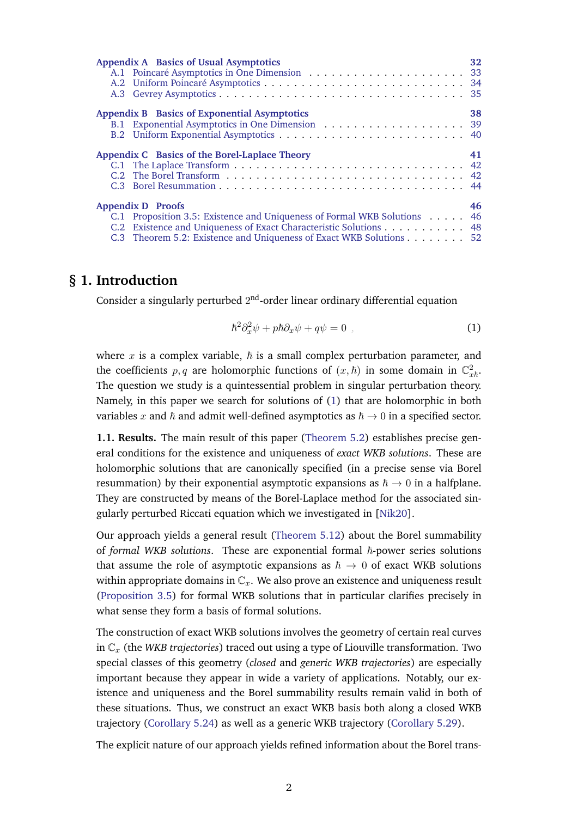| Appendix A Basics of Usual Asymptotics                                   | 32 |
|--------------------------------------------------------------------------|----|
|                                                                          |    |
|                                                                          |    |
|                                                                          |    |
| Appendix B Basics of Exponential Asymptotics                             | 38 |
|                                                                          |    |
|                                                                          |    |
| Appendix C Basics of the Borel-Laplace Theory                            | 41 |
|                                                                          |    |
|                                                                          |    |
|                                                                          |    |
| <b>Appendix D</b> Proofs                                                 | 46 |
| C.1 Proposition 3.5: Existence and Uniqueness of Formal WKB Solutions 46 |    |
|                                                                          |    |
| C.2 Existence and Uniqueness of Exact Characteristic Solutions 48        |    |

# <span id="page-1-0"></span>**§ 1. Introduction**

Consider a singularly perturbed  $2<sup>nd</sup>$ -order linear ordinary differential equation

<span id="page-1-1"></span>
$$
\hbar^2 \partial_x^2 \psi + p \hbar \partial_x \psi + q \psi = 0 \tag{1}
$$

where x is a complex variable,  $\hbar$  is a small complex perturbation parameter, and the coefficients  $p, q$  are holomorphic functions of  $(x, \hbar)$  in some domain in  $\mathbb{C}^2_{x\hbar}$ . The question we study is a quintessential problem in singular perturbation theory. Namely, in this paper we search for solutions of [\(1\)](#page-1-1) that are holomorphic in both variables x and  $\hbar$  and admit well-defined asymptotics as  $\hbar \to 0$  in a specified sector.

**1.1. Results.** The main result of this paper [\(Theorem 5.2\)](#page-20-1) establishes precise general conditions for the existence and uniqueness of *exact WKB solutions*. These are holomorphic solutions that are canonically specified (in a precise sense via Borel resummation) by their exponential asymptotic expansions as  $\hbar \rightarrow 0$  in a halfplane. They are constructed by means of the Borel-Laplace method for the associated singularly perturbed Riccati equation which we investigated in [\[Nik20\]](#page-57-0).

Our approach yields a general result [\(Theorem 5.12\)](#page-23-0) about the Borel summability of *formal WKB solutions*. These are exponential formal  $\hbar$ -power series solutions that assume the role of asymptotic expansions as  $\hbar \rightarrow 0$  of exact WKB solutions within appropriate domains in  $\mathbb{C}_x$ . We also prove an existence and uniqueness result [\(Proposition 3.5\)](#page-9-0) for formal WKB solutions that in particular clarifies precisely in what sense they form a basis of formal solutions.

The construction of exact WKB solutions involves the geometry of certain real curves in  $\mathbb{C}_x$  (the *WKB trajectories*) traced out using a type of Liouville transformation. Two special classes of this geometry (*closed* and *generic WKB trajectories*) are especially important because they appear in wide a variety of applications. Notably, our existence and uniqueness and the Borel summability results remain valid in both of these situations. Thus, we construct an exact WKB basis both along a closed WKB trajectory [\(Corollary 5.24\)](#page-27-2) as well as a generic WKB trajectory [\(Corollary 5.29\)](#page-28-0).

The explicit nature of our approach yields refined information about the Borel trans-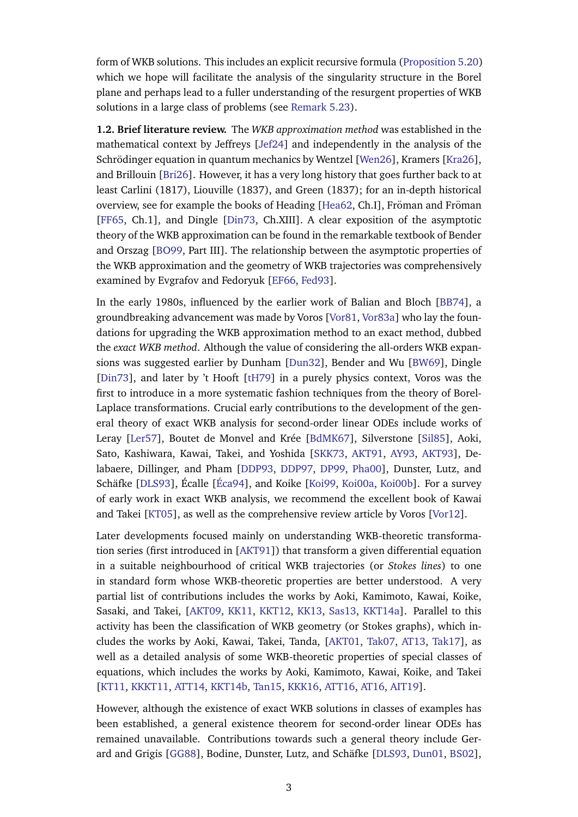form of WKB solutions. This includes an explicit recursive formula [\(Proposition 5.20\)](#page-25-0) which we hope will facilitate the analysis of the singularity structure in the Borel plane and perhaps lead to a fuller understanding of the resurgent properties of WKB solutions in a large class of problems (see [Remark 5.23\)](#page-26-1).

<span id="page-2-0"></span>**1.2. Brief literature review.** The *WKB approximation method* was established in the mathematical context by Jeffreys [\[Jef24\]](#page-56-0) and independently in the analysis of the Schrödinger equation in quantum mechanics by Wentzel [[Wen26\]](#page-58-0), Kramers [\[Kra26\]](#page-57-1), and Brillouin [\[Bri26\]](#page-54-0). However, it has a very long history that goes further back to at least Carlini (1817), Liouville (1837), and Green (1837); for an in-depth historical overview, see for example the books of Heading [\[Hea62,](#page-56-1) Ch.I], Fröman and Fröman [\[FF65,](#page-55-0) Ch.1], and Dingle [\[Din73,](#page-55-1) Ch.XIII]. A clear exposition of the asymptotic theory of the WKB approximation can be found in the remarkable textbook of Bender and Orszag [\[BO99,](#page-54-1) Part III]. The relationship between the asymptotic properties of the WKB approximation and the geometry of WKB trajectories was comprehensively examined by Evgrafov and Fedoryuk [\[EF66,](#page-55-2) [Fed93\]](#page-55-3).

In the early 1980s, influenced by the earlier work of Balian and Bloch [\[BB74\]](#page-54-2), a groundbreaking advancement was made by Voros [\[Vor81,](#page-58-1) [Vor83a\]](#page-58-2) who lay the foundations for upgrading the WKB approximation method to an exact method, dubbed the *exact WKB method*. Although the value of considering the all-orders WKB expansions was suggested earlier by Dunham [\[Dun32\]](#page-55-4), Bender and Wu [\[BW69\]](#page-55-5), Dingle [\[Din73\]](#page-55-1), and later by 't Hooft [\[tH79\]](#page-58-3) in a purely physics context, Voros was the first to introduce in a more systematic fashion techniques from the theory of Borel-Laplace transformations. Crucial early contributions to the development of the general theory of exact WKB analysis for second-order linear ODEs include works of Leray [\[Ler57\]](#page-57-2), Boutet de Monvel and Krée [\[BdMK67\]](#page-54-3), Silverstone [\[Sil85\]](#page-57-3), Aoki, Sato, Kashiwara, Kawai, Takei, and Yoshida [\[SKK73,](#page-57-4) [AKT91,](#page-54-4) [AY93,](#page-54-5) [AKT93\]](#page-54-6), Delabaere, Dillinger, and Pham [\[DDP93,](#page-55-6) [DDP97,](#page-55-7) [DP99,](#page-55-8) [Pha00\]](#page-57-5), Dunster, Lutz, and Schäfke [[DLS93\]](#page-55-9), Écalle [Éca94], and Koike [\[Koi99,](#page-56-2) [Koi00a,](#page-56-3) [Koi00b\]](#page-56-4). For a survey of early work in exact WKB analysis, we recommend the excellent book of Kawai and Takei [\[KT05\]](#page-57-6), as well as the comprehensive review article by Voros [\[Vor12\]](#page-58-4).

Later developments focused mainly on understanding WKB-theoretic transformation series (first introduced in [\[AKT91\]](#page-54-4)) that transform a given differential equation in a suitable neighbourhood of critical WKB trajectories (or *Stokes lines*) to one in standard form whose WKB-theoretic properties are better understood. A very partial list of contributions includes the works by Aoki, Kamimoto, Kawai, Koike, Sasaki, and Takei, [\[AKT09,](#page-54-7) [KK11,](#page-56-5) [KKT12,](#page-56-6) [KK13,](#page-56-7) [Sas13,](#page-57-7) [KKT14a\]](#page-56-8). Parallel to this activity has been the classification of WKB geometry (or Stokes graphs), which includes the works by Aoki, Kawai, Takei, Tanda, [\[AKT01,](#page-54-8) [Tak07,](#page-58-5) [AT13,](#page-54-9) [Tak17\]](#page-58-6), as well as a detailed analysis of some WKB-theoretic properties of special classes of equations, which includes the works by Aoki, Kamimoto, Kawai, Koike, and Takei [\[KT11,](#page-57-8) [KKKT11,](#page-56-9) [ATT14,](#page-54-10) [KKT14b,](#page-56-10) [Tan15,](#page-58-7) [KKK16,](#page-56-11) [ATT16,](#page-54-11) [AT16,](#page-54-12) [AIT19\]](#page-54-13).

However, although the existence of exact WKB solutions in classes of examples has been established, a general existence theorem for second-order linear ODEs has remained unavailable. Contributions towards such a general theory include Ger-ard and Grigis [\[GG88\]](#page-56-12), Bodine, Dunster, Lutz, and Schäfke [[DLS93,](#page-55-9) [Dun01,](#page-55-11) [BS02\]](#page-55-12),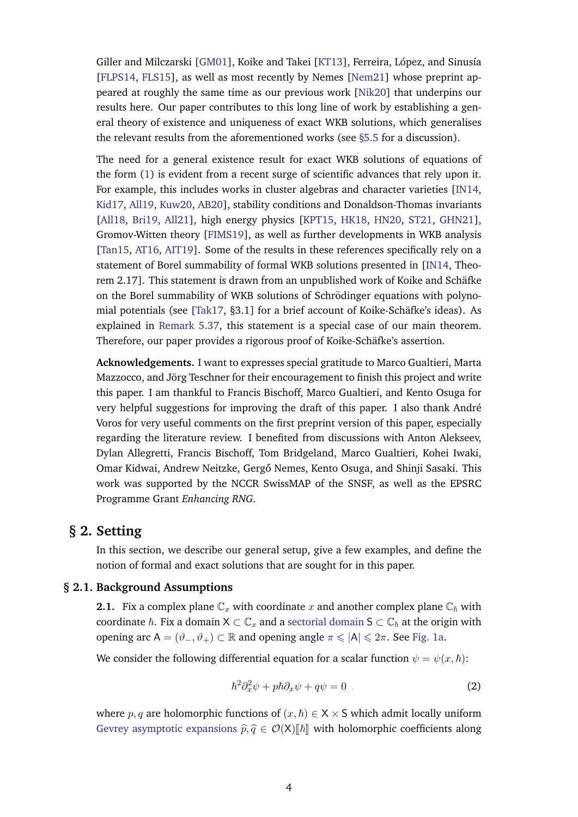Giller and Milczarski [\[GM01\]](#page-56-13), Koike and Takei [\[KT13\]](#page-57-9), Ferreira, López, and Sinusía [\[FLPS14,](#page-55-13) [FLS15\]](#page-55-14), as well as most recently by Nemes [\[Nem21\]](#page-57-10) whose preprint appeared at roughly the same time as our previous work [\[Nik20\]](#page-57-0) that underpins our results here. Our paper contributes to this long line of work by establishing a general theory of existence and uniqueness of exact WKB solutions, which generalises the relevant results from the aforementioned works (see [§5.5](#page-29-0) for a discussion).

The need for a general existence result for exact WKB solutions of equations of the form [\(1\)](#page-1-1) is evident from a recent surge of scientific advances that rely upon it. For example, this includes works in cluster algebras and character varieties [\[IN14,](#page-56-14) [Kid17,](#page-56-15) [All19,](#page-54-14) [Kuw20,](#page-57-11) [AB20\]](#page-54-15), stability conditions and Donaldson-Thomas invariants [\[All18,](#page-54-16) [Bri19,](#page-54-17) [All21\]](#page-54-18), high energy physics [\[KPT15,](#page-57-12) [HK18,](#page-56-16) [HN20,](#page-56-17) [ST21,](#page-57-13) [GHN21\]](#page-56-18), Gromov-Witten theory [\[FIMS19\]](#page-55-15), as well as further developments in WKB analysis [\[Tan15,](#page-58-7) [AT16,](#page-54-12) [AIT19\]](#page-54-13). Some of the results in these references specifically rely on a statement of Borel summability of formal WKB solutions presented in [\[IN14,](#page-56-14) Theorem 2.17]. This statement is drawn from an unpublished work of Koike and Schäfke on the Borel summability of WKB solutions of Schrödinger equations with polyno-mial potentials (see [\[Tak17,](#page-58-6) §3.1] for a brief account of Koike-Schäfke's ideas). As explained in [Remark 5.37,](#page-30-1) this statement is a special case of our main theorem. Therefore, our paper provides a rigorous proof of Koike-Schäfke's assertion.

**Acknowledgements.** I want to expresses special gratitude to Marco Gualtieri, Marta Mazzocco, and Jörg Teschner for their encouragement to finish this project and write this paper. I am thankful to Francis Bischoff, Marco Gualtieri, and Kento Osuga for very helpful suggestions for improving the draft of this paper. I also thank André Voros for very useful comments on the first preprint version of this paper, especially regarding the literature review. I benefited from discussions with Anton Alekseev, Dylan Allegretti, Francis Bischoff, Tom Bridgeland, Marco Gualtieri, Kohei Iwaki, Omar Kidwai, Andrew Neitzke, Gergő Nemes, Kento Osuga, and Shinji Sasaki. This work was supported by the NCCR SwissMAP of the SNSF, as well as the EPSRC Programme Grant *Enhancing RNG*.

# <span id="page-3-0"></span>**§ 2. Setting**

<span id="page-3-1"></span>In this section, we describe our general setup, give a few examples, and define the notion of formal and exact solutions that are sought for in this paper.

#### **§ 2.1. Background Assumptions**

<span id="page-3-3"></span>**2.1.** Fix a complex plane  $\mathbb{C}_x$  with coordinate x and another complex plane  $\mathbb{C}_\hbar$  with coordinate  $\hbar$ . Fix a domain  $X \subset \mathbb{C}_x$  and a [sectorial domain](#page-31-1)  $S \subset \mathbb{C}_\hbar$  at the origin with opening arc  $A = (\vartheta_-, \vartheta_+) \subset \mathbb{R}$  and opening angle  $\pi \leq |A| \leq 2\pi$ . See [Fig. 1a.](#page-4-1)

We consider the following differential equation for a scalar function  $\psi = \psi(x, \hbar)$ :

<span id="page-3-2"></span>
$$
\hbar^2 \partial_x^2 \psi + p \hbar \partial_x \psi + q \psi = 0 \tag{2}
$$

where p, q are holomorphic functions of  $(x, \hbar) \in X \times S$  which admit locally uniform [Gevrey asymptotic expansions](#page-36-0)  $\hat{p}, \hat{q} \in \mathcal{O}(X)[\hbar]$  with holomorphic coefficients along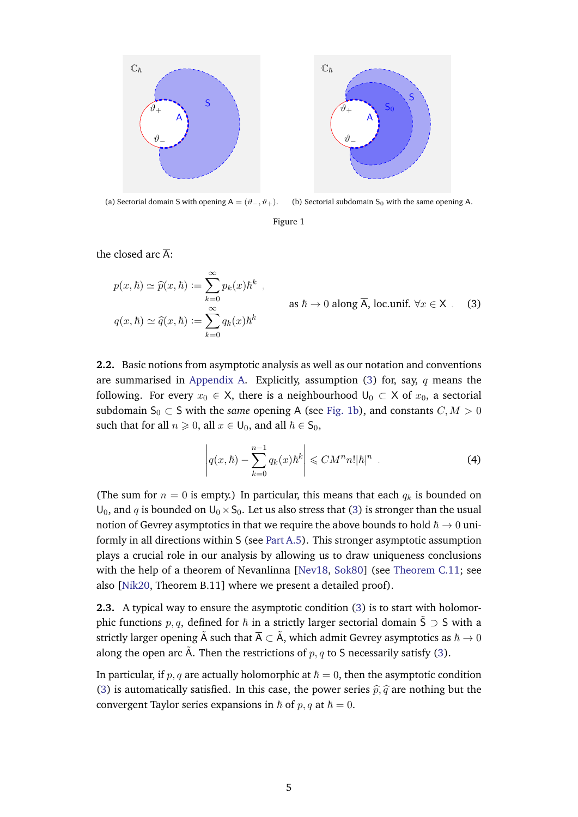<span id="page-4-1"></span>

(a) Sectorial domain S with opening A =  $(\vartheta_-, \vartheta_+).$ (b) Sectorial subdomain  $S_0$  with the same opening A.

Figure 1

the closed arc  $\overline{A}$ :

<span id="page-4-2"></span>
$$
p(x,\hbar) \simeq \widehat{p}(x,\hbar) := \sum_{k=0}^{\infty} p_k(x)\hbar^k ,
$$
  
\nas  $\hbar \to 0$  along  $\overline{A}$ , loc.unif.  $\forall x \in X$ . (3)  
\n
$$
q(x,\hbar) \simeq \widehat{q}(x,\hbar) := \sum_{k=0}^{\infty} q_k(x)\hbar^k
$$

**2.2.** Basic notions from asymptotic analysis as well as our notation and conventions are summarised in [Appendix A.](#page-30-0) Explicitly, assumption [\(3\)](#page-4-2) for, say,  $q$  means the following. For every  $x_0 \in X$ , there is a neighbourhood  $U_0 \subset X$  of  $x_0$ , a sectorial subdomain  $S_0 \subset S$  with the *same* opening A (see [Fig. 1b\)](#page-4-1), and constants  $C, M > 0$ such that for all  $n \geq 0$ , all  $x \in U_0$ , and all  $\hbar \in S_0$ ,

$$
\left| q(x,\hbar) - \sum_{k=0}^{n-1} q_k(x)\hbar^k \right| \leq C M^n n! |\hbar|^n \tag{4}
$$

(The sum for  $n = 0$  is empty.) In particular, this means that each  $q_k$  is bounded on  $U_0$ , and q is bounded on  $U_0 \times S_0$ . Let us also stress that [\(3\)](#page-4-2) is stronger than the usual notion of Gevrey asymptotics in that we require the above bounds to hold  $\hbar \to 0$  uniformly in all directions within S (see [Part A.5\)](#page-32-0). This stronger asymptotic assumption plays a crucial role in our analysis by allowing us to draw uniqueness conclusions with the help of a theorem of Nevanlinna [\[Nev18,](#page-57-14) [Sok80\]](#page-57-15) (see [Theorem C.11;](#page-44-0) see also [\[Nik20,](#page-57-0) Theorem B.11] where we present a detailed proof).

**2.3.** A typical way to ensure the asymptotic condition [\(3\)](#page-4-2) is to start with holomorphic functions p, q, defined for  $\hbar$  in a strictly larger sectorial domain  $\tilde{S} \supset S$  with a strictly larger opening  $\tilde{A}$  such that  $\overline{A} \subset \tilde{A}$ , which admit Gevrey asymptotics as  $\hbar \to 0$ along the open arc  $\tilde{A}$ . Then the restrictions of  $p, q$  to S necessarily satisfy [\(3\)](#page-4-2).

<span id="page-4-0"></span>In particular, if p, q are actually holomorphic at  $\hbar = 0$ , then the asymptotic condition [\(3\)](#page-4-2) is automatically satisfied. In this case, the power series  $\hat{p}, \hat{q}$  are nothing but the convergent Taylor series expansions in  $\hbar$  of  $p, q$  at  $\hbar = 0$ .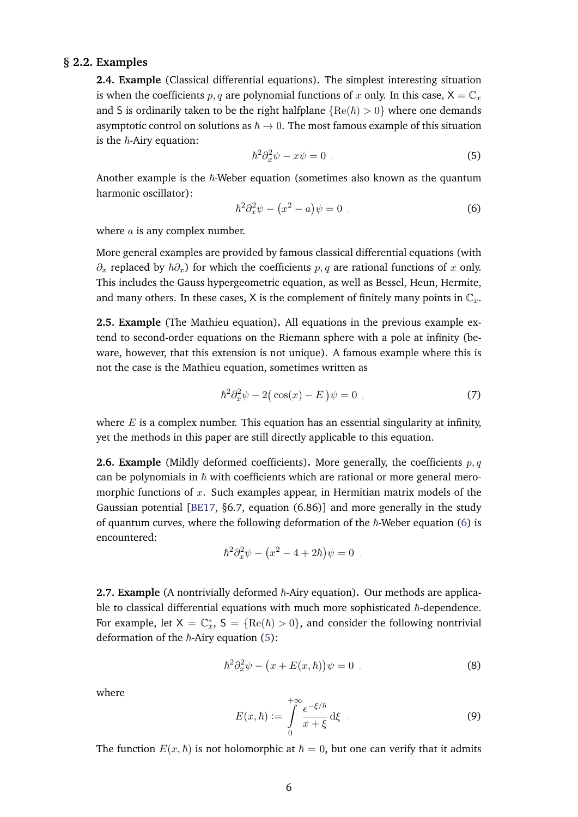#### **§ 2.2. Examples**

**2.4. Example** (Classical differential equations)**.** The simplest interesting situation is when the coefficients p, q are polynomial functions of x only. In this case,  $X = \mathbb{C}_x$ and S is ordinarily taken to be the right halfplane  ${Re(h) > 0}$  where one demands asymptotic control on solutions as  $\hbar \to 0$ . The most famous example of this situation is the  $\hbar$ -Airy equation:

<span id="page-5-1"></span>
$$
\hbar^2 \partial_x^2 \psi - x\psi = 0 \tag{5}
$$

Another example is the  $\hbar$ -Weber equation (sometimes also known as the quantum harmonic oscillator):

<span id="page-5-0"></span>
$$
\hbar^2 \partial_x^2 \psi - \left(x^2 - a\right) \psi = 0 \tag{6}
$$

where  $a$  is any complex number.

More general examples are provided by famous classical differential equations (with  $\partial_x$  replaced by  $\hbar \partial_x$ ) for which the coefficients p, q are rational functions of x only. This includes the Gauss hypergeometric equation, as well as Bessel, Heun, Hermite, and many others. In these cases, X is the complement of finitely many points in  $\mathbb{C}_x$ .

**2.5. Example** (The Mathieu equation)**.** All equations in the previous example extend to second-order equations on the Riemann sphere with a pole at infinity (beware, however, that this extension is not unique). A famous example where this is not the case is the Mathieu equation, sometimes written as

$$
\hbar^2 \partial_x^2 \psi - 2(\cos(x) - E)\psi = 0 \tag{7}
$$

where  $E$  is a complex number. This equation has an essential singularity at infinity, yet the methods in this paper are still directly applicable to this equation.

**2.6. Example** (Mildly deformed coefficients). More generally, the coefficients p, q can be polynomials in  $\hbar$  with coefficients which are rational or more general meromorphic functions of  $x$ . Such examples appear, in Hermitian matrix models of the Gaussian potential [\[BE17,](#page-54-19) §6.7, equation (6.86)] and more generally in the study of quantum curves, where the following deformation of the  $\hbar$ -Weber equation [\(6\)](#page-5-0) is encountered:

$$
\hbar^2 \partial_x^2 \psi - (x^2 - 4 + 2\hbar)\psi = 0
$$

**2.7. Example** (A nontrivially deformed  $\hbar$ -Airy equation). Our methods are applicable to classical differential equations with much more sophisticated  $\hbar$ -dependence. For example, let  $X = \mathbb{C}_x^*$ ,  $S = \{ \text{Re}(\hbar) > 0 \}$ , and consider the following nontrivial deformation of the  $\hbar$ -Airy equation [\(5\)](#page-5-1):

$$
\hbar^2 \partial_x^2 \psi - \big(x + E(x, \hbar)\big)\psi = 0 \tag{8}
$$

where

$$
E(x,\hbar) := \int_{0}^{+\infty} \frac{e^{-\xi/\hbar}}{x+\xi} d\xi \qquad (9)
$$

The function  $E(x, \hbar)$  is not holomorphic at  $\hbar = 0$ , but one can verify that it admits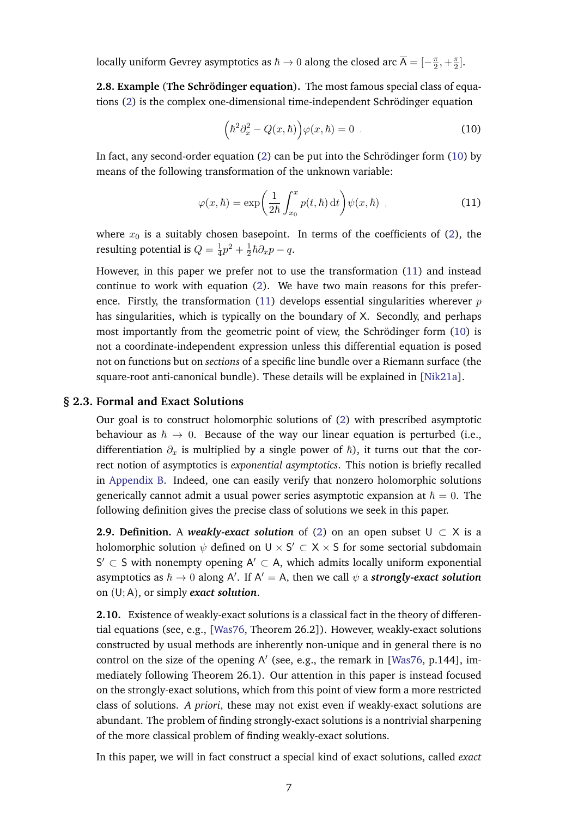locally uniform Gevrey asymptotics as  $\hbar\to 0$  along the closed arc  $\overline{\mathsf{A}}=[-\frac{\pi}{2}]$  $\frac{\pi}{2}, +\frac{\pi}{2}$  $\frac{\pi}{2}$ .

**2.8. Example** (**The Schrodinger equation ¨** )**.** The most famous special class of equations [\(2\)](#page-3-2) is the complex one-dimensional time-independent Schrodinger equation ¨

<span id="page-6-2"></span><span id="page-6-1"></span>
$$
\left(\hbar^2 \partial_x^2 - Q(x,\hbar)\right) \varphi(x,\hbar) = 0 \tag{10}
$$

In fact, any second-order equation  $(2)$  can be put into the Schrödinger form  $(10)$  $(10)$  by means of the following transformation of the unknown variable:

$$
\varphi(x,\hbar) = \exp\bigg(\frac{1}{2\hbar} \int_{x_0}^x p(t,\hbar) dt\bigg) \psi(x,\hbar) , \qquad (11)
$$

where  $x_0$  is a suitably chosen basepoint. In terms of the coefficients of [\(2\)](#page-3-2), the resulting potential is  $Q = \frac{1}{4}$  $\frac{1}{4}p^2 + \frac{1}{2}$  $\frac{1}{2}\hbar\partial_x p-q.$ 

However, in this paper we prefer not to use the transformation [\(11\)](#page-6-2) and instead continue to work with equation [\(2\)](#page-3-2). We have two main reasons for this prefer-ence. Firstly, the transformation [\(11\)](#page-6-2) develops essential singularities wherever  $p$ has singularities, which is typically on the boundary of X. Secondly, and perhaps most importantly from the geometric point of view, the Schrödinger form  $(10)$  $(10)$  is not a coordinate-independent expression unless this differential equation is posed not on functions but on *sections* of a specific line bundle over a Riemann surface (the square-root anti-canonical bundle). These details will be explained in [\[Nik21a\]](#page-57-16).

#### **§ 2.3. Formal and Exact Solutions**

<span id="page-6-0"></span>Our goal is to construct holomorphic solutions of [\(2\)](#page-3-2) with prescribed asymptotic behaviour as  $\hbar \rightarrow 0$ . Because of the way our linear equation is perturbed (i.e., differentiation  $\partial_x$  is multiplied by a single power of  $\hbar$ ), it turns out that the correct notion of asymptotics is *exponential asymptotics*. This notion is briefly recalled in [Appendix B.](#page-37-0) Indeed, one can easily verify that nonzero holomorphic solutions generically cannot admit a usual power series asymptotic expansion at  $\hbar = 0$ . The following definition gives the precise class of solutions we seek in this paper.

<span id="page-6-3"></span>**2.9. Definition.** A *weakly-exact solution* of [\(2\)](#page-3-2) on an open subset  $U \subset X$  is a holomorphic solution  $\psi$  defined on  $\mathsf{U}\times\mathsf{S}'\subset\mathsf{X}\times\mathsf{S}$  for some sectorial subdomain  $S' \subset S$  with nonempty opening  $A' \subset A$ , which admits locally uniform exponential asymptotics as  $\hbar \to 0$  along A'. If A' = A, then we call  $\psi$  a *strongly-exact solution* on (U; A), or simply *exact solution*.

**2.10.** Existence of weakly-exact solutions is a classical fact in the theory of differential equations (see, e.g., [\[Was76,](#page-58-8) Theorem 26.2]). However, weakly-exact solutions constructed by usual methods are inherently non-unique and in general there is no control on the size of the opening A' (see, e.g., the remark in [\[Was76,](#page-58-8) p.144], immediately following Theorem 26.1). Our attention in this paper is instead focused on the strongly-exact solutions, which from this point of view form a more restricted class of solutions. *A priori*, these may not exist even if weakly-exact solutions are abundant. The problem of finding strongly-exact solutions is a nontrivial sharpening of the more classical problem of finding weakly-exact solutions.

In this paper, we will in fact construct a special kind of exact solutions, called *exact*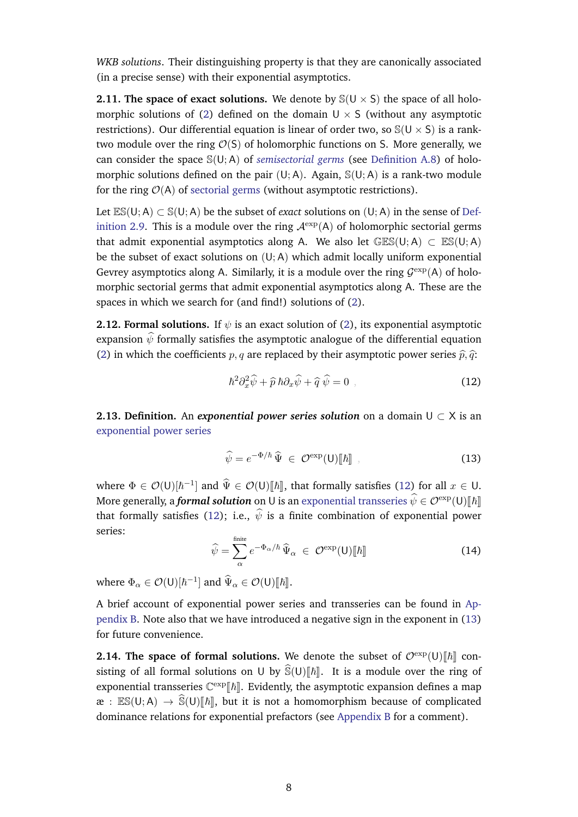*WKB solutions*. Their distinguishing property is that they are canonically associated (in a precise sense) with their exponential asymptotics.

**2.11. The space of exact solutions.** We denote by  $\mathcal{S}(U \times S)$  the space of all holo-morphic solutions of [\(2\)](#page-3-2) defined on the domain  $U \times S$  (without any asymptotic restrictions). Our differential equation is linear of order two, so  $\mathcal{S}(U \times S)$  is a ranktwo module over the ring  $\mathcal{O}(S)$  of holomorphic functions on S. More generally, we can consider the space S(U; A) of *[semisectorial germs](#page-33-1)* (see [Definition A.8\)](#page-33-2) of holomorphic solutions defined on the pair  $(U; A)$ . Again,  $\mathcal{S}(U; A)$  is a rank-two module for the ring  $O(A)$  of [sectorial germs](#page-32-1) (without asymptotic restrictions).

Let  $ES(U; A) \subset S(U; A)$  be the subset of *exact* solutions on  $(U; A)$  in the sense of [Def](#page-6-3)[inition 2.9.](#page-6-3) This is a module over the ring  $\mathcal{A}^{\text{exp}}(A)$  of holomorphic sectorial germs that admit exponential asymptotics along A. We also let  $GES(U; A) \subset ES(U; A)$ be the subset of exact solutions on  $(U; A)$  which admit locally uniform exponential Gevrey asymptotics along A. Similarly, it is a module over the ring  $\mathcal{G}^{\text{exp}}(A)$  of holomorphic sectorial germs that admit exponential asymptotics along A. These are the spaces in which we search for (and find!) solutions of [\(2\)](#page-3-2).

**2.12. Formal solutions.** If  $\psi$  is an exact solution of [\(2\)](#page-3-2), its exponential asymptotic expansion  $\hat{\psi}$  formally satisfies the asymptotic analogue of the differential equation [\(2\)](#page-3-2) in which the coefficients p, q are replaced by their asymptotic power series  $\hat{p}, \hat{q}$ :

<span id="page-7-1"></span>
$$
\hbar^2 \partial_x^2 \widehat{\psi} + \widehat{p} \,\hbar \partial_x \widehat{\psi} + \widehat{q} \,\widehat{\psi} = 0 \tag{12}
$$

<span id="page-7-3"></span>**2.13. Definition.** An *exponential power series solution* on a domain  $U \subset X$  is an [exponential power series](#page-39-1)

<span id="page-7-2"></span>
$$
\widehat{\psi} = e^{-\Phi/\hbar} \,\widehat{\Psi} \in \mathcal{O}^{\exp}(\mathsf{U})[\![\hbar]\!], \tag{13}
$$

where  $\Phi \in \mathcal{O}(U)[\hbar^{-1}]$  and  $\widehat{\Psi} \in \mathcal{O}(U)[\![\hbar]\!]$ , that formally satisfies [\(12\)](#page-7-1) for all  $x \in U$ . More generally, a *formal solution* on U is an [exponential transseries](#page-39-2)  $\hat{\psi} \in \mathcal{O}^{\exp(U)}[\![\hbar]\!]$ that formally satisfies [\(12\)](#page-7-1); i.e.,  $\hat{\psi}$  is a finite combination of exponential power series:

$$
\widehat{\psi} = \sum_{\alpha}^{\text{finite}} e^{-\Phi_{\alpha}/\hbar} \widehat{\Psi}_{\alpha} \in \mathcal{O}^{\text{exp}}(\mathsf{U})[\![\hbar]\!]
$$
\n(14)

where  $\Phi_{\alpha} \in \mathcal{O}(U)[\hbar^{-1}]$  and  $\widehat{\Psi}_{\alpha} \in \mathcal{O}(U)[\hbar]].$ 

A brief account of exponential power series and transseries can be found in [Ap](#page-37-0)[pendix B.](#page-37-0) Note also that we have introduced a negative sign in the exponent in [\(13\)](#page-7-2) for future convenience.

<span id="page-7-0"></span>**2.14. The space of formal solutions.** We denote the subset of  $\mathcal{O}^{\exp}(\mathsf{U})$   $\Vert \hbar \Vert$  consisting of all formal solutions on U by  $\widehat{S}(U)[\hbar]$ . It is a module over the ring of exponential transseries  $\mathbb{C}^{\exp}[\![\hbar]\!]$ . Evidently, the asymptotic expansion defines a map  $\mathfrak{E} : \mathbb{ES}(U;A) \to \widehat{\mathbb{S}}(U)[\hbar],$  but it is not a homomorphism because of complicated dominance relations for exponential prefactors (see [Appendix B](#page-37-0) for a comment).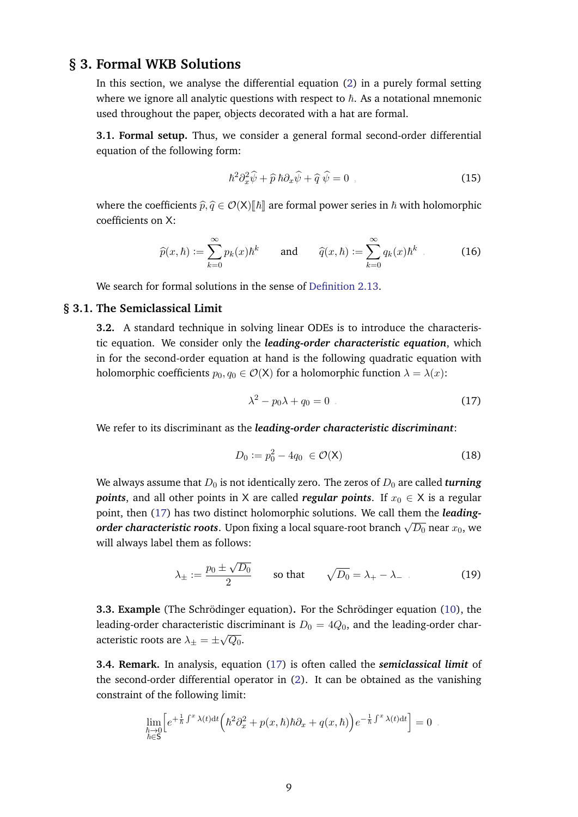# **§ 3. Formal WKB Solutions**

In this section, we analyse the differential equation [\(2\)](#page-3-2) in a purely formal setting where we ignore all analytic questions with respect to  $h$ . As a notational mnemonic used throughout the paper, objects decorated with a hat are formal.

**3.1. Formal setup.** Thus, we consider a general formal second-order differential equation of the following form:

<span id="page-8-3"></span>
$$
\hbar^2 \partial_x^2 \widehat{\psi} + \widehat{p} \,\hbar \partial_x \widehat{\psi} + \widehat{q} \,\widehat{\psi} = 0 \tag{15}
$$

where the coefficients  $\hat{p}, \hat{q} \in \mathcal{O}(X)\llbracket \hbar \rrbracket$  are formal power series in  $\hbar$  with holomorphic coefficients on X:

$$
\widehat{p}(x,\hbar) := \sum_{k=0}^{\infty} p_k(x)\hbar^k \qquad \text{and} \qquad \widehat{q}(x,\hbar) := \sum_{k=0}^{\infty} q_k(x)\hbar^k \qquad (16)
$$

<span id="page-8-0"></span>We search for formal solutions in the sense of [Definition 2.13.](#page-7-3)

#### **§ 3.1. The Semiclassical Limit**

**3.2.** A standard technique in solving linear ODEs is to introduce the characteristic equation. We consider only the *leading-order characteristic equation*, which in for the second-order equation at hand is the following quadratic equation with holomorphic coefficients  $p_0, q_0 \in \mathcal{O}(X)$  for a holomorphic function  $\lambda = \lambda(x)$ :

<span id="page-8-2"></span>
$$
\lambda^2 - p_0 \lambda + q_0 = 0 \tag{17}
$$

We refer to its discriminant as the *leading-order characteristic discriminant*:

$$
D_0 := p_0^2 - 4q_0 \in \mathcal{O}(\mathsf{X}) \tag{18}
$$

We always assume that  $D_0$  is not identically zero. The zeros of  $D_0$  are called *turning points*, and all other points in X are called *regular points*. If  $x_0 \in X$  is a regular point, then [\(17\)](#page-8-2) has two distinct holomorphic solutions. We call them the *leadingorder characteristic roots*. Upon fixing a local square-root branch  $\sqrt{D_0}$  near  $x_0$ , we will always label them as follows:

<span id="page-8-4"></span>
$$
\lambda_{\pm} := \frac{p_0 \pm \sqrt{D_0}}{2} \qquad \text{so that} \qquad \sqrt{D_0} = \lambda_+ - \lambda_- \tag{19}
$$

**3.3. Example** (The Schrödinger equation). For the Schrödinger equation ([10\)](#page-6-1), the leading-order characteristic discriminant is  $D_0 = 4Q_0$ , and the leading-order characteristic roots are  $\lambda_\pm = \pm \sqrt{Q_0}.$ 

**3.4. Remark.** In analysis, equation [\(17\)](#page-8-2) is often called the *semiclassical limit* of the second-order differential operator in [\(2\)](#page-3-2). It can be obtained as the vanishing constraint of the following limit:

<span id="page-8-1"></span>
$$
\lim_{\substack{\hbar \to 0 \\ \hbar \in \mathbb{S}}} \left[ e^{+\frac{1}{\hbar} \int^x \lambda(t) dt} \left( \hbar^2 \partial_x^2 + p(x, \hbar) \hbar \partial_x + q(x, \hbar) \right) e^{-\frac{1}{\hbar} \int^x \lambda(t) dt} \right] = 0.
$$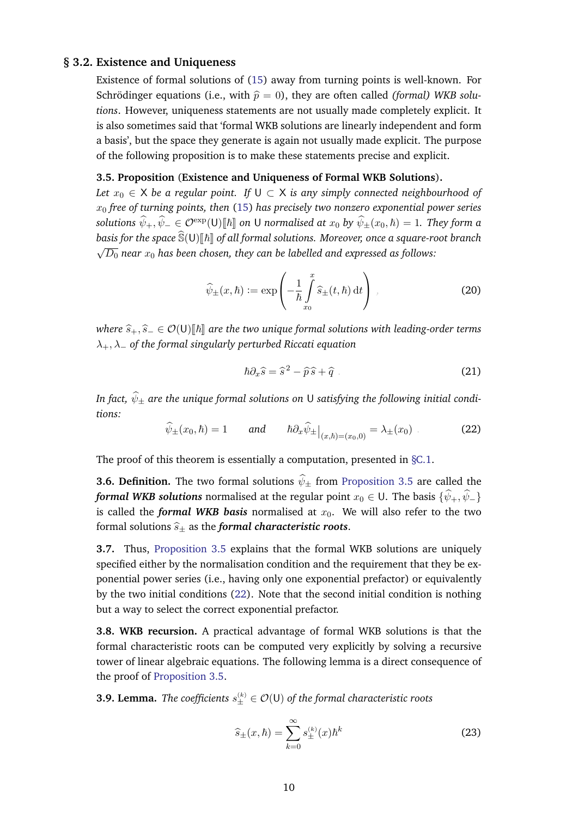#### **§ 3.2. Existence and Uniqueness**

Existence of formal solutions of [\(15\)](#page-8-3) away from turning points is well-known. For Schrödinger equations (i.e., with  $\hat{p} = 0$ ), they are often called *(formal) WKB solutions*. However, uniqueness statements are not usually made completely explicit. It is also sometimes said that 'formal WKB solutions are linearly independent and form a basis', but the space they generate is again not usually made explicit. The purpose of the following proposition is to make these statements precise and explicit.

#### <span id="page-9-0"></span>**3.5. Proposition** (**Existence and Uniqueness of Formal WKB Solutions**)**.**

*Let*  $x_0 \in X$  *be a regular point. If*  $U \subset X$  *is any simply connected neighbourhood of* x<sup>0</sup> *free of turning points, then* [\(15\)](#page-8-3) *has precisely two nonzero exponential power series solutions*  $\hat{\psi}_+$ ,  $\hat{\psi}_- \in \mathcal{O}^{\exp}(\mathsf{U})[\![\hbar]\!]$  *on* U *normalised at*  $x_0$  *by*  $\hat{\psi}_\pm(x_0, \hbar) = 1$ *. They form a basis for the space*  $\widehat{S}(U)[\hbar]$  *of all formal solutions. Moreover, once a square-root branch* √  $\overline{D_0}$  near  $x_0$  has been chosen, they can be labelled and expressed as follows:

$$
\widehat{\psi}_{\pm}(x,\hbar) := \exp\left(-\frac{1}{\hbar} \int_{x_0}^x \widehat{s}_{\pm}(t,\hbar) dt\right) , \qquad (20)
$$

*where*  $\widehat{s}_+$ ,  $\widehat{s}_-$  ∈  $\mathcal{O}(U)[\hbar]$  are the two unique formal solutions with leading-order terms λ+, λ<sup>−</sup> *of the formal singularly perturbed Riccati equation*

<span id="page-9-3"></span><span id="page-9-2"></span>
$$
\hbar \partial_x \hat{s} = \hat{s}^2 - \hat{p}\hat{s} + \hat{q} \tag{21}
$$

<span id="page-9-1"></span>*In fact,*  $\widehat{\psi}_{\pm}$  *are the unique formal solutions on* U *satisfying the following initial conditions:*

$$
\widehat{\psi}_{\pm}(x_0,\hbar) = 1 \qquad \text{and} \qquad \hbar \partial_x \widehat{\psi}_{\pm} \big|_{(x,\hbar) = (x_0,0)} = \lambda_{\pm}(x_0) \tag{22}
$$

The proof of this theorem is essentially a computation, presented in  $\S$ C.1.

**3.6. Definition.** The two formal solutions  $\hat{\psi}_{\pm}$  from [Proposition 3.5](#page-9-0) are called the *formal WKB solutions* normalised at the regular point  $x_0 \in U$ . The basis  $\{\hat{\psi}_+,\hat{\psi}_-\}$ is called the *formal WKB basis* normalised at  $x_0$ . We will also refer to the two formal solutions  $\hat{s}_+$  as the *formal characteristic roots*.

**3.7.** Thus, [Proposition 3.5](#page-9-0) explains that the formal WKB solutions are uniquely specified either by the normalisation condition and the requirement that they be exponential power series (i.e., having only one exponential prefactor) or equivalently by the two initial conditions [\(22\)](#page-9-1). Note that the second initial condition is nothing but a way to select the correct exponential prefactor.

**3.8. WKB recursion.** A practical advantage of formal WKB solutions is that the formal characteristic roots can be computed very explicitly by solving a recursive tower of linear algebraic equations. The following lemma is a direct consequence of the proof of [Proposition 3.5.](#page-9-0)

**3.9. Lemma.** *The coefficients*  $s_{\pm}^{(k)} \in \mathcal{O}(\mathsf{U})$  *of the formal characteristic roots* 

$$
\hat{s}_{\pm}(x,\hbar) = \sum_{k=0}^{\infty} s_{\pm}^{(k)}(x)\hbar^{k}
$$
 (23)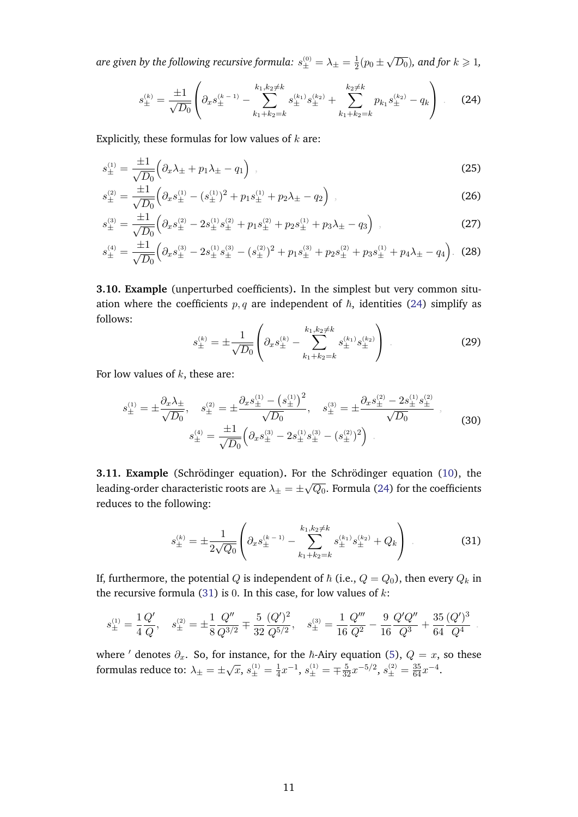<span id="page-10-0"></span>are given by the following recursive formula:  $s^{(0)}_{\pm}=\lambda_{\pm}=\frac{1}{2}$  $rac{1}{2}(p_0 \pm$  $\sqrt{D_0}$ ), and for  $k \geqslant 1$ ,

$$
s_{\pm}^{(k)} = \frac{\pm 1}{\sqrt{D_0}} \left( \partial_x s_{\pm}^{(k-1)} - \sum_{k_1 + k_2 = k}^{k_1, k_2 \neq k} s_{\pm}^{(k_1)} s_{\pm}^{(k_2)} + \sum_{k_1 + k_2 = k}^{k_2 \neq k} p_{k_1} s_{\pm}^{(k_2)} - q_k \right) \quad (24)
$$

Explicitly, these formulas for low values of  $k$  are:

$$
s_{\pm}^{(1)} = \frac{\pm 1}{\sqrt{D_0}} \left( \partial_x \lambda_{\pm} + p_1 \lambda_{\pm} - q_1 \right) , \qquad (25)
$$

$$
s_{\pm}^{(2)} = \frac{\pm 1}{\sqrt{D_0}} \left( \partial_x s_{\pm}^{(1)} - (s_{\pm}^{(1)})^2 + p_1 s_{\pm}^{(1)} + p_2 \lambda_{\pm} - q_2 \right) , \tag{26}
$$

$$
s_{\pm}^{(3)} = \frac{\pm 1}{\sqrt{D_0}} \left( \partial_x s_{\pm}^{(2)} - 2s_{\pm}^{(1)} s_{\pm}^{(2)} + p_1 s_{\pm}^{(2)} + p_2 s_{\pm}^{(1)} + p_3 \lambda_{\pm} - q_3 \right) , \tag{27}
$$

$$
s_{\pm}^{(4)} = \frac{\pm 1}{\sqrt{D_0}} \left( \partial_x s_{\pm}^{(3)} - 2s_{\pm}^{(1)} s_{\pm}^{(3)} - (s_{\pm}^{(2)})^2 + p_1 s_{\pm}^{(3)} + p_2 s_{\pm}^{(2)} + p_3 s_{\pm}^{(1)} + p_4 \lambda_{\pm} - q_4 \right). \tag{28}
$$

**3.10. Example** (unperturbed coefficients)**.** In the simplest but very common situation where the coefficients  $p, q$  are independent of  $\hbar$ , identities [\(24\)](#page-10-0) simplify as follows:

<span id="page-10-3"></span><span id="page-10-2"></span>
$$
s_{\pm}^{(k)} = \pm \frac{1}{\sqrt{D_0}} \left( \partial_x s_{\pm}^{(k)} - \sum_{k_1 + k_2 = k}^{k_1, k_2 \neq k} s_{\pm}^{(k_1)} s_{\pm}^{(k_2)} \right) . \tag{29}
$$

For low values of  $k$ , these are:

$$
s_{\pm}^{(1)} = \pm \frac{\partial_x \lambda_{\pm}}{\sqrt{D_0}}, \quad s_{\pm}^{(2)} = \pm \frac{\partial_x s_{\pm}^{(1)} - \left(s_{\pm}^{(1)}\right)^2}{\sqrt{D_0}}, \quad s_{\pm}^{(3)} = \pm \frac{\partial_x s_{\pm}^{(2)} - 2s_{\pm}^{(1)} s_{\pm}^{(2)}}{\sqrt{D_0}},
$$
\n
$$
s_{\pm}^{(4)} = \frac{\pm 1}{\sqrt{D_0}} \left( \partial_x s_{\pm}^{(3)} - 2s_{\pm}^{(1)} s_{\pm}^{(3)} - \left(s_{\pm}^{(2)}\right)^2 \right)
$$
\n(30)

**3.11. Example** (Schrödinger equation). For the Schrödinger equation ([10\)](#page-6-1), the leading-order characteristic roots are  $\lambda_\pm=\pm$ √  $\overline{Q_{0}}.$  Formula [\(24\)](#page-10-0) for the coefficients reduces to the following:

<span id="page-10-1"></span>
$$
s_{\pm}^{(k)} = \pm \frac{1}{2\sqrt{Q_0}} \left( \partial_x s_{\pm}^{(k-1)} - \sum_{k_1+k_2=k}^{k_1,k_2 \neq k} s_{\pm}^{(k_1)} s_{\pm}^{(k_2)} + Q_k \right) \tag{31}
$$

If, furthermore, the potential Q is independent of  $\hbar$  (i.e.,  $Q = Q_0$ ), then every  $Q_k$  in the recursive formula [\(31\)](#page-10-1) is 0. In this case, for low values of  $k$ :

$$
s_{\pm}^{(1)} = \frac{1}{4} \frac{Q'}{Q}, \quad s_{\pm}^{(2)} = \pm \frac{1}{8} \frac{Q''}{Q^{3/2}} \mp \frac{5}{32} \frac{(Q')^2}{Q^{5/2}}, \quad s_{\pm}^{(3)} = \frac{1}{16} \frac{Q'''}{Q^2} - \frac{9}{16} \frac{Q'Q''}{Q^3} + \frac{35}{64} \frac{(Q')^3}{Q^4}.
$$

where ' denotes  $\partial_x$ . So, for instance, for the  $\hbar$ -Airy equation [\(5\)](#page-5-1),  $Q = x$ , so these formulas reduce to:  $\lambda_{\pm} = \pm \sqrt{ }$  $\overline{x}, s_{\pm}^{(1)} = \frac{1}{4}$  $\frac{1}{4}x^{-1}, s_{\pm}^{(1)} = \pm \frac{5}{32}x^{-5/2}, s_{\pm}^{(2)} = \frac{35}{64}x^{-4}.$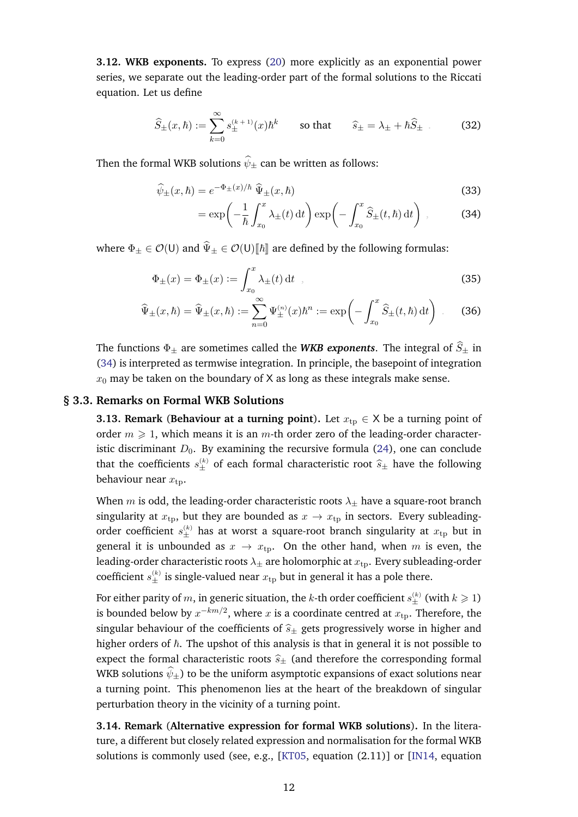**3.12. WKB exponents.** To express [\(20\)](#page-9-2) more explicitly as an exponential power series, we separate out the leading-order part of the formal solutions to the Riccati equation. Let us define

$$
\widehat{S}_{\pm}(x,\hbar) := \sum_{k=0}^{\infty} s_{\pm}^{(k+1)}(x)\hbar^k \qquad \text{so that} \qquad \widehat{s}_{\pm} = \lambda_{\pm} + \hbar \widehat{S}_{\pm} \tag{32}
$$

Then the formal WKB solutions  $\widehat{\psi}_{\pm}$  can be written as follows:

$$
\widehat{\psi}_{\pm}(x,\hbar) = e^{-\Phi_{\pm}(x)/\hbar} \widehat{\Psi}_{\pm}(x,\hbar)
$$
\n(33)

<span id="page-11-3"></span><span id="page-11-2"></span><span id="page-11-1"></span>
$$
= \exp\left(-\frac{1}{\hbar} \int_{x_0}^x \lambda_{\pm}(t) dt\right) \exp\left(-\int_{x_0}^x \widehat{S}_{\pm}(t,\hbar) dt\right) , \tag{34}
$$

where  $\Phi_{\pm} \in \mathcal{O}(U)$  and  $\widehat{\Psi}_{\pm} \in \mathcal{O}(U)[\hbar]$  are defined by the following formulas:

$$
\Phi_{\pm}(x) = \Phi_{\pm}(x) := \int_{x_0}^x \lambda_{\pm}(t) dt , \qquad (35)
$$

$$
\widehat{\Psi}_{\pm}(x,\hbar) = \widehat{\Psi}_{\pm}(x,\hbar) := \sum_{n=0}^{\infty} \Psi_{\pm}^{(n)}(x)\hbar^n := \exp\biggl(-\int_{x_0}^x \widehat{S}_{\pm}(t,\hbar) dt\biggr) \ . \tag{36}
$$

The functions  $\Phi_{\pm}$  are sometimes called the *WKB exponents*. The integral of  $\hat{S}_{\pm}$  in [\(34\)](#page-11-1) is interpreted as termwise integration. In principle, the basepoint of integration  $x_0$  may be taken on the boundary of X as long as these integrals make sense.

#### **§ 3.3. Remarks on Formal WKB Solutions**

<span id="page-11-0"></span>**3.13. Remark** (**Behaviour at a turning point**). Let  $x_{tp} \in X$  be a turning point of order  $m \geq 1$ , which means it is an m-th order zero of the leading-order characteristic discriminant  $D_0$ . By examining the recursive formula [\(24\)](#page-10-0), one can conclude that the coefficients  $s_{\pm}^{(k)}$  of each formal characteristic root  $\hat{s}_{\pm}$  have the following behaviour near  $x_{\text{tn}}$ .

When m is odd, the leading-order characteristic roots  $\lambda_{\pm}$  have a square-root branch singularity at  $x_{tp}$ , but they are bounded as  $x \rightarrow x_{tp}$  in sectors. Every subleadingorder coefficient  $s_{\pm}^{(k)}$  has at worst a square-root branch singularity at  $x_{\text{tp}}$  but in general it is unbounded as  $x \to x_{\text{tn}}$ . On the other hand, when m is even, the leading-order characteristic roots  $\lambda_{\pm}$  are holomorphic at  $x_{\text{tp}}$ . Every subleading-order coefficient  $s^{(k)}_{\pm}$  is single-valued near  $x_\text{tp}$  but in general it has a pole there.

For either parity of  $m,$  in generic situation, the  $k$ -th order coefficient  $s^{(k)}_{\pm}$  (with  $k\geqslant 1)$ is bounded below by  $x^{-km/2}$ , where  $x$  is a coordinate centred at  $x_{\rm tp}.$  Therefore, the singular behaviour of the coefficients of  $\hat{s}_\pm$  gets progressively worse in higher and higher orders of  $\hbar$ . The upshot of this analysis is that in general it is not possible to expect the formal characteristic roots  $\hat{s}_{\pm}$  (and therefore the corresponding formal WKB solutions  $\widehat{\psi}_+$ ) to be the uniform asymptotic expansions of exact solutions near a turning point. This phenomenon lies at the heart of the breakdown of singular perturbation theory in the vicinity of a turning point.

**3.14. Remark** (**Alternative expression for formal WKB solutions**)**.** In the literature, a different but closely related expression and normalisation for the formal WKB solutions is commonly used (see, e.g., [\[KT05,](#page-57-6) equation (2.11)] or [\[IN14,](#page-56-14) equation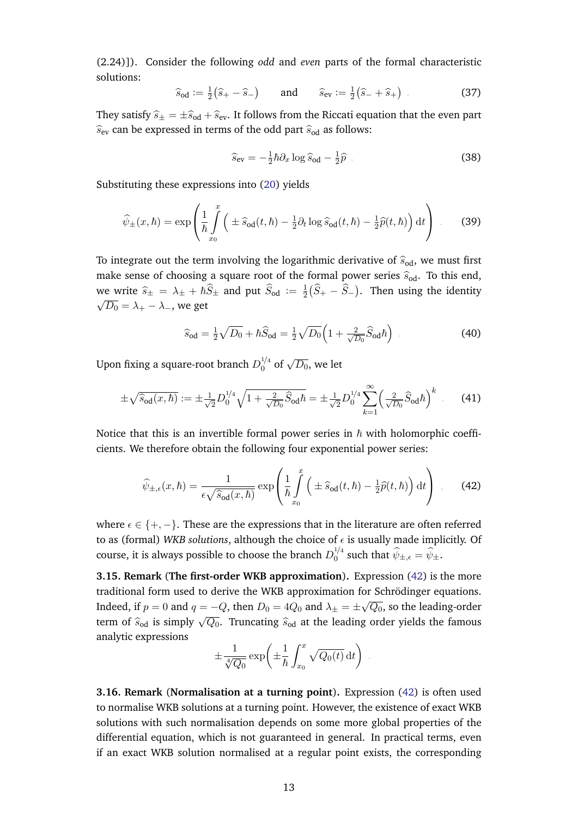(2.24)]). Consider the following *odd* and *even* parts of the formal characteristic solutions:

$$
\hat{s}_{od} := \frac{1}{2}(\hat{s}_{+} - \hat{s}_{-})
$$
 and  $\hat{s}_{ev} := \frac{1}{2}(\hat{s}_{-} + \hat{s}_{+})$  (37)

They satisfy  $\hat{s}_\pm = \pm \hat{s}_{od} + \hat{s}_{ev}$ . It follows from the Riccati equation that the even part  $\widehat{s}_{ev}$  can be expressed in terms of the odd part  $\widehat{s}_{od}$  as follows:

$$
\widehat{s}_{\text{ev}} = -\frac{1}{2}\hbar \partial_x \log \widehat{s}_{\text{od}} - \frac{1}{2}\widehat{p} \tag{38}
$$

Substituting these expressions into [\(20\)](#page-9-2) yields

$$
\widehat{\psi}_{\pm}(x,\hbar) = \exp\left(\frac{1}{\hbar} \int_{x_0}^x \left(\pm \widehat{s}_{\text{od}}(t,\hbar) - \frac{1}{2}\partial_t \log \widehat{s}_{\text{od}}(t,\hbar) - \frac{1}{2}\widehat{p}(t,\hbar)\right) dt\right) \,. \tag{39}
$$

To integrate out the term involving the logarithmic derivative of  $\hat{s}_{od}$ , we must first make sense of choosing a square root of the formal power series  $\hat{s}_{od}$ . To this end, we write  $\hat{s}_{\pm} = \lambda_{\pm} + \hbar \hat{S}_{\pm}$  and put  $\hat{S}_{od} := \frac{1}{2}$ we write  $\hat{s}_{\pm} = \lambda_{\pm} + \hbar \hat{S}_{\pm}$  and put  $\hat{S}_{od} := \frac{1}{2} (\hat{S}_{+} - \hat{S}_{-})$ . Then using the identity  $\sqrt{D_0} = \lambda_+ - \lambda_-,$  we get

<span id="page-12-0"></span>
$$
\widehat{s}_{\text{od}} = \frac{1}{2}\sqrt{D_0} + \hbar \widehat{S}_{\text{od}} = \frac{1}{2}\sqrt{D_0} \Big( 1 + \frac{2}{\sqrt{D_0}} \widehat{S}_{\text{od}} \hbar \Big) \tag{40}
$$

Upon fixing a square-root branch  $D_0^{1/4}$  $\int_0^{1/4}$  of  $\sqrt{D_0}$ , we let

$$
\pm \sqrt{\hat{s}_{\text{od}}(x,\hbar)} := \pm \frac{1}{\sqrt{2}} D_0^{1/4} \sqrt{1 + \frac{2}{\sqrt{D_0}} \hat{S}_{\text{od}} \hbar} = \pm \frac{1}{\sqrt{2}} D_0^{1/4} \sum_{k=1}^{\infty} \left(\frac{2}{\sqrt{D_0}} \hat{S}_{\text{od}} \hbar\right)^k \tag{41}
$$

Notice that this is an invertible formal power series in  $\hbar$  with holomorphic coefficients. We therefore obtain the following four exponential power series:

$$
\widehat{\psi}_{\pm,\epsilon}(x,\hbar) = \frac{1}{\epsilon\sqrt{\widehat{s}_{\text{od}}(x,\hbar)}}\exp\left(\frac{1}{\hbar}\int_{x_0}^x\left(\pm\widehat{s}_{\text{od}}(t,\hbar) - \frac{1}{2}\widehat{p}(t,\hbar)\right)\mathrm{d}t\right) ,\qquad(42)
$$

where  $\epsilon \in \{+, -\}.$  These are the expressions that in the literature are often referred to as (formal) *WKB solutions*, although the choice of  $\epsilon$  is usually made implicitly. Of course, it is always possible to choose the branch  $D_0^{1/4}$  $\psi_{\pm}^{1/4}$  such that  $\psi_{\pm,\epsilon} = \psi_{\pm}$ .

**3.15. Remark** (**The first-order WKB approximation**)**.** Expression [\(42\)](#page-12-0) is the more traditional form used to derive the WKB approximation for Schrödinger equations. Indeed, if  $p = 0$  and  $q = -Q$ , then  $D_0 = 4Q_0$  and  $\lambda_{\pm} = \pm$ √  $\overline{Q_{0}}$ , so the leading-order term of  $\hat{s}_{od}$  is simply  $\sqrt{Q_0}$ . Truncating  $\hat{s}_{od}$  at the leading order yields the famous analytic expressions

$$
\pm \frac{1}{\sqrt[4]{Q_0}} \exp\left(\pm \frac{1}{\hbar} \int_{x_0}^x \sqrt{Q_0(t)} dt\right) .
$$

**3.16. Remark** (**Normalisation at a turning point**)**.** Expression [\(42\)](#page-12-0) is often used to normalise WKB solutions at a turning point. However, the existence of exact WKB solutions with such normalisation depends on some more global properties of the differential equation, which is not guaranteed in general. In practical terms, even if an exact WKB solution normalised at a regular point exists, the corresponding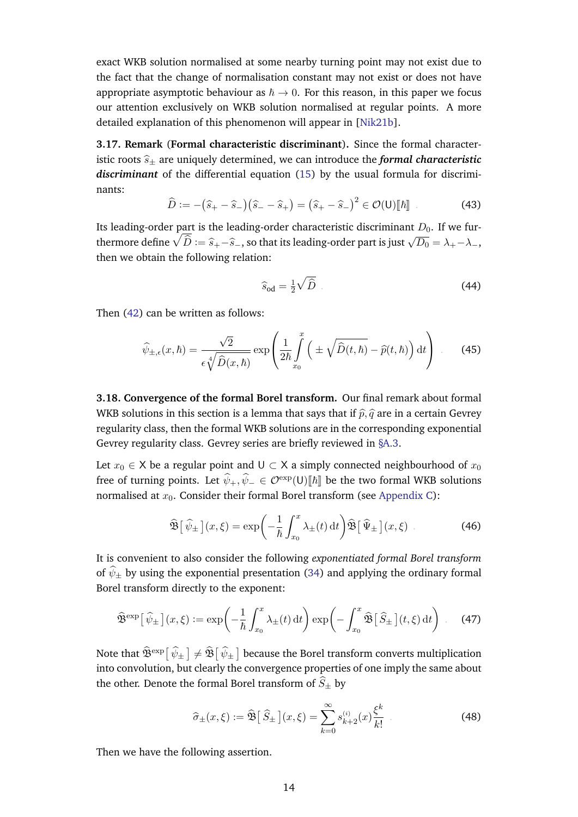exact WKB solution normalised at some nearby turning point may not exist due to the fact that the change of normalisation constant may not exist or does not have appropriate asymptotic behaviour as  $\hbar \to 0$ . For this reason, in this paper we focus our attention exclusively on WKB solution normalised at regular points. A more detailed explanation of this phenomenon will appear in [\[Nik21b\]](#page-57-17).

**3.17. Remark** (**Formal characteristic discriminant**)**.** Since the formal characteristic roots  $\hat{s}_\pm$  are uniquely determined, we can introduce the *formal characteristic discriminant* of the differential equation [\(15\)](#page-8-3) by the usual formula for discriminants:

$$
\widehat{D} := -(\widehat{s}_+ - \widehat{s}_-) (\widehat{s}_- - \widehat{s}_+) = (\widehat{s}_+ - \widehat{s}_-)^2 \in \mathcal{O}(\mathsf{U})[\![\hbar]\!]
$$
\n(43)

Its leading-order part is the leading-order characteristic discriminant  $D_0$ . If we furthermore define  $\sqrt{\hat{D}} := \hat{s}_+ - \hat{s}_-$ , so that its leading-order part is just  $\sqrt{D_0} = \lambda_+ - \lambda_-$ , then we obtain the following relation:

$$
\widehat{s}_{\text{od}} = \frac{1}{2}\sqrt{\widehat{D}} \tag{44}
$$

Then [\(42\)](#page-12-0) can be written as follows:

$$
\widehat{\psi}_{\pm,\epsilon}(x,\hbar) = \frac{\sqrt{2}}{\epsilon \sqrt[4]{\widehat{D}(x,\hbar)}} \exp\left(\frac{1}{2\hbar} \int_{x_0}^x \left(\pm \sqrt{\widehat{D}(t,\hbar)} - \widehat{p}(t,\hbar)\right) dt\right) \tag{45}
$$

**3.18. Convergence of the formal Borel transform.** Our final remark about formal WKB solutions in this section is a lemma that says that if  $\hat{p}, \hat{q}$  are in a certain Gevrey regularity class, then the formal WKB solutions are in the corresponding exponential Gevrey regularity class. Gevrey series are briefly reviewed in [§A.3.](#page-34-0)

Let  $x_0 \in \mathsf{X}$  be a regular point and  $\mathsf{U} \subset \mathsf{X}$  a simply connected neighbourhood of  $x_0$ free of turning points. Let  $\widehat{\psi}_+,\widehat{\psi}_-\in \mathcal{O}^{\exp}(\mathsf{U})[\![\hbar]\!]$  be the two formal WKB solutions normalised at  $x_0$ . Consider their formal Borel transform (see [Appendix C\)](#page-40-0):

$$
\widehat{\mathfrak{B}}\big[\widehat{\psi}_{\pm}\big](x,\xi) = \exp\bigg(-\frac{1}{\hbar}\int_{x_0}^x \lambda_{\pm}(t) dt\bigg)\widehat{\mathfrak{B}}\big[\widehat{\Psi}_{\pm}\big](x,\xi) . \tag{46}
$$

It is convenient to also consider the following *exponentiated formal Borel transform* of  $\widehat{\psi}_{\pm}$  by using the exponential presentation [\(34\)](#page-11-1) and applying the ordinary formal Borel transform directly to the exponent:

$$
\widehat{\mathfrak{B}}^{\text{exp}}\big[\widehat{\psi}_{\pm}\big](x,\xi) := \exp\bigg(-\frac{1}{\hbar} \int_{x_0}^x \lambda_{\pm}(t) dt\bigg) \exp\bigg(-\int_{x_0}^x \widehat{\mathfrak{B}}\big[\widehat{S}_{\pm}\big](t,\xi) dt\bigg) \qquad (47)
$$

Note that  $\widehat{\mathfrak{B}}^{\rm exp}[\,\widehat{\psi}_\pm\,]\neq\widehat{\mathfrak{B}}[\,\widehat{\psi}_\pm\,]$  because the Borel transform converts multiplication into convolution, but clearly the convergence properties of one imply the same about the other. Denote the formal Borel transform of  $\hat{S}_{\pm}$  by

$$
\widehat{\sigma}_{\pm}(x,\xi) := \widehat{\mathfrak{B}}\big[\,\widehat{S}_{\pm}\,\big](x,\xi) = \sum_{k=0}^{\infty} s_{k+2}^{(i)}(x) \frac{\xi^k}{k!} \tag{48}
$$

Then we have the following assertion.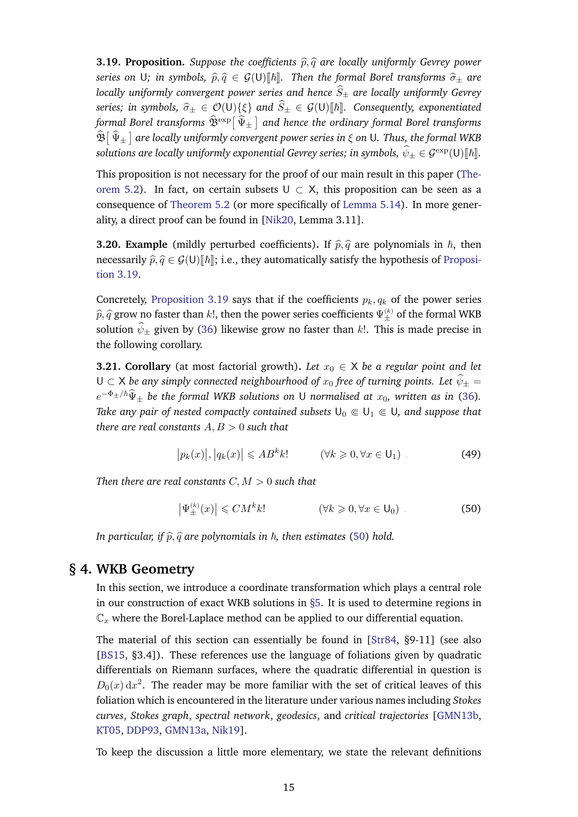<span id="page-14-1"></span>**3.19. Proposition.** *Suppose the coefficients*  $\hat{p}, \hat{q}$  *are locally uniformly Gevrey power series on* U; in symbols,  $\hat{p}, \hat{q} \in \mathcal{G}(U)[\hbar]\$ . Then the formal Borel transforms  $\hat{\sigma}_{\pm}$  are *locally uniformly convergent power series and hence*  $\hat{S}_{\pm}$  *are locally uniformly Gevrey series; in symbols,*  $\hat{\sigma}_\pm \in \mathcal{O}(U)\{\xi\}$  *and*  $\hat{S}_\pm \in \mathcal{G}(U)[\hbar]$ *. Consequently, exponentiated* formal Borel transforms  $\widehat{\mathfrak{B}}^{\text{exp}}[\widehat{\Psi}_{\pm}]$  and hence the ordinary formal Borel transforms  $\hat{\mathfrak{B}}\big[\hat{\Psi}_{\pm}\big]$  are locally uniformly convergent power series in  $\xi$  on U. Thus, the formal WKB  $s$ olutions are locally uniformly exponential Gevrey series; in symbols,  $\widehat{\psi}_{\pm}\in \mathcal{G}^{\mathrm{exp}}(\mathsf{U})[\![\hbar]\!].$ 

This proposition is not necessary for the proof of our main result in this paper [\(The](#page-20-1)[orem 5.2\)](#page-20-1). In fact, on certain subsets  $U \subset X$ , this proposition can be seen as a consequence of [Theorem 5.2](#page-20-1) (or more specifically of [Lemma 5.14\)](#page-23-1). In more generality, a direct proof can be found in [\[Nik20,](#page-57-0) Lemma 3.11].

**3.20. Example** (mildly perturbed coefficients). If  $\hat{p}, \hat{q}$  are polynomials in  $\hbar$ , then necessarily  $\hat{p}, \hat{q} \in \mathcal{G}(U)[\hbar]\,;$  i.e., they automatically satisfy the hypothesis of [Proposi](#page-14-1)[tion 3.19.](#page-14-1)

Concretely, [Proposition 3.19](#page-14-1) says that if the coefficients  $p_k, q_k$  of the power series  $\widehat{p}, \widehat{q}$  grow no faster than k!, then the power series coefficients  $\Psi_{\pm}^{(k)}$  of the formal WKB solution  $\hat{\psi}_+$  given by [\(36\)](#page-11-2) likewise grow no faster than k!. This is made precise in the following corollary.

**3.21. Corollary** (at most factorial growth). Let  $x_0 \in X$  be a regular point and let U ⊂ X *be any simply connected neighbourhood of*  $x_0$  *free of turning points. Let*  $\hat{\psi}_\pm$  =  $e^{-\Phi_{\pm}/\hbar}\widehat{\Psi}_{\pm}$  be the formal WKB solutions on U normalised at  $x_0$ , written as in [\(36\)](#page-11-2). *Take any pair of nested compactly contained subsets*  $U_0 \n\t\in U_1 \n\t\in U$ *, and suppose that there are real constants* A, B > 0 *such that*

$$
|p_k(x)|, |q_k(x)| \le AB^k k! \qquad (\forall k \ge 0, \forall x \in \mathsf{U}_1) \tag{49}
$$

*Then there are real constants*  $C, M > 0$  *such that* 

<span id="page-14-2"></span>
$$
\left|\Psi_{\pm}^{(k)}(x)\right| \leqslant CM^k k! \qquad \qquad (\forall k \geqslant 0, \forall x \in \mathsf{U}_0) \tag{50}
$$

<span id="page-14-0"></span>*In particular, if*  $\hat{p}, \hat{q}$  *are polynomials in*  $\hbar$ *, then estimates* [\(50\)](#page-14-2) *hold.* 

# **§ 4. WKB Geometry**

In this section, we introduce a coordinate transformation which plays a central role in our construction of exact WKB solutions in [§5.](#page-18-1) It is used to determine regions in  $\mathbb{C}_x$  where the Borel-Laplace method can be applied to our differential equation.

The material of this section can essentially be found in [\[Str84,](#page-57-18) §9-11] (see also [\[BS15,](#page-55-16) §3.4]). These references use the language of foliations given by quadratic differentials on Riemann surfaces, where the quadratic differential in question is  $D_0(x) dx^2$ . The reader may be more familiar with the set of critical leaves of this foliation which is encountered in the literature under various names including *Stokes curves*, *Stokes graph*, *spectral network*, *geodesics*, and *critical trajectories* [\[GMN13b,](#page-56-19) [KT05,](#page-57-6) [DDP93,](#page-55-6) [GMN13a,](#page-56-20) [Nik19\]](#page-57-19).

To keep the discussion a little more elementary, we state the relevant definitions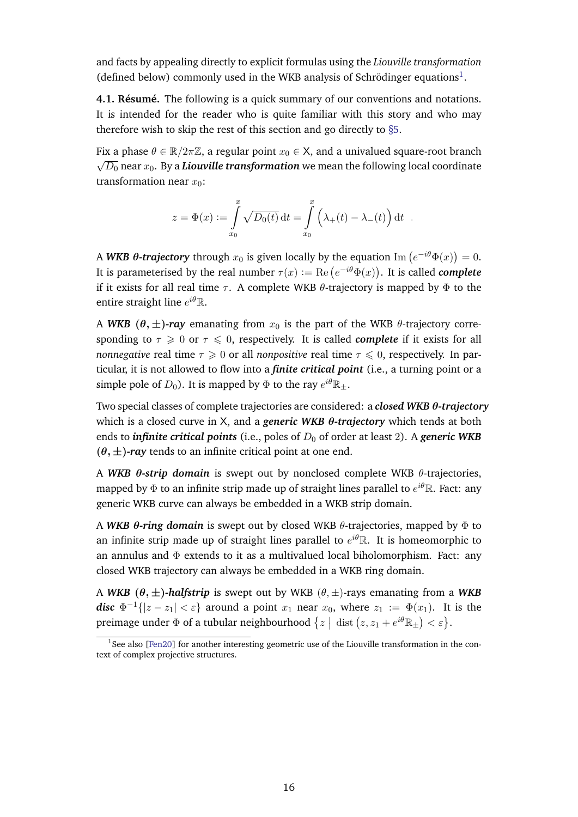and facts by appealing directly to explicit formulas using the *Liouville transformation* (defined below) commonly used in the WKB analysis of Schrödinger equations<sup>[1](#page-0-0)</sup>.

**4.1. Résumé.** The following is a quick summary of our conventions and notations. It is intended for the reader who is quite familiar with this story and who may therefore wish to skip the rest of this section and go directly to [§5.](#page-18-1)

Fix a phase  $\theta \in \mathbb{R}/2\pi\mathbb{Z}$ , a regular point  $x_0 \in \mathsf{X}$ , and a univalued square-root branch √  $\overline{D_0}$  near  $x_0.$  By a  $\bm{Liouville}$  transformation we mean the following local coordinate transformation near  $x_0$ :

$$
z = \Phi(x) := \int_{x_0}^x \sqrt{D_0(t)} dt = \int_{x_0}^x \left(\lambda_+(t) - \lambda_-(t)\right) dt.
$$

A WKB  $\bm{\theta}$ -trajectory through  $x_0$  is given locally by the equation  $\mathrm{Im}\left(e^{-i\theta}\Phi(x)\right)=0.$ It is parameterised by the real number  $\tau(x) := \text{Re}\left(e^{-i\theta}\Phi(x)\right)$ . It is called *complete* if it exists for all real time  $\tau$ . A complete WKB  $\theta$ -trajectory is mapped by  $\Phi$  to the entire straight line  $e^{i\theta}$ R.

A *WKB* ( $\theta$ ,  $\pm$ )*-ray* emanating from  $x_0$  is the part of the WKB  $\theta$ -trajectory corresponding to  $\tau \geq 0$  or  $\tau \leq 0$ , respectively. It is called *complete* if it exists for all *nonnegative* real time  $\tau \geq 0$  or all *nonpositive* real time  $\tau \leq 0$ , respectively. In particular, it is not allowed to flow into a *finite critical point* (i.e., a turning point or a simple pole of  $D_0$ ). It is mapped by  $\Phi$  to the ray  $e^{i\theta}\mathbb{R}_\pm.$ 

Two special classes of complete trajectories are considered: a *closed WKB* θ*-trajectory* which is a closed curve in X, and a *generic WKB* θ*-trajectory* which tends at both ends to *infinite critical points* (i.e., poles of  $D_0$  of order at least 2). A *generic WKB*  $(\theta, \pm)$ *-ray* tends to an infinite critical point at one end.

A *WKB* θ*-strip domain* is swept out by nonclosed complete WKB θ-trajectories, mapped by  $\Phi$  to an infinite strip made up of straight lines parallel to  $e^{i\theta}\mathbb{R}.$  Fact: any generic WKB curve can always be embedded in a WKB strip domain.

A *WKB* θ*-ring domain* is swept out by closed WKB θ-trajectories, mapped by Φ to an infinite strip made up of straight lines parallel to  $e^{i\theta} \mathbb{R}$ . It is homeomorphic to an annulus and  $\Phi$  extends to it as a multivalued local biholomorphism. Fact: any closed WKB trajectory can always be embedded in a WKB ring domain.

A *WKB*  $(\theta, \pm)$ -halfstrip is swept out by WKB  $(\theta, \pm)$ -rays emanating from a *WKB disc*  $\Phi^{-1}\{|z-z_1|<\varepsilon\}$  around a point  $x_1$  near  $x_0$ , where  $z_1 := \Phi(x_1)$ . It is the preimage under  $\Phi$  of a tubular neighbourhood  $\{z \mid \text{dist}(z, z_1 + e^{i\theta} \mathbb{R}_{\pm}) < \varepsilon\}.$ 

<span id="page-15-0"></span><sup>&</sup>lt;sup>1</sup>See also [\[Fen20\]](#page-55-17) for another interesting geometric use of the Liouville transformation in the context of complex projective structures.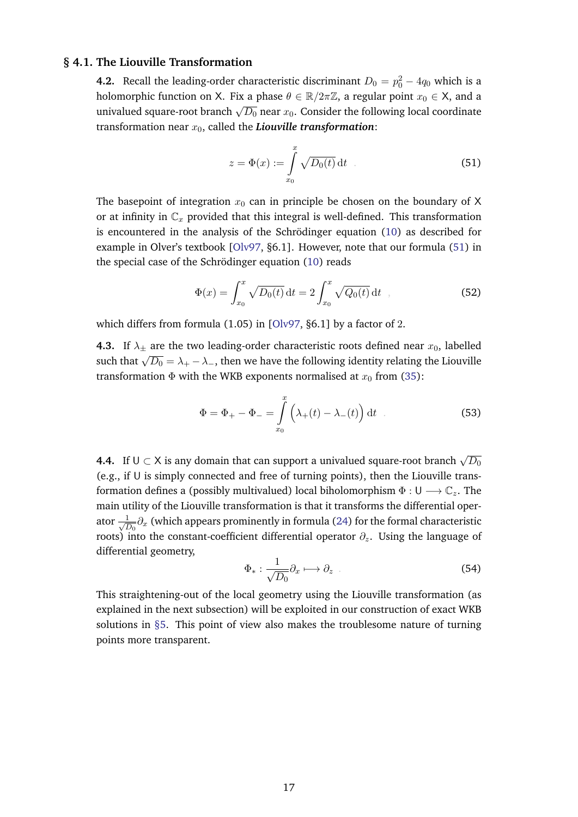#### **§ 4.1. The Liouville Transformation**

**4.2.** Recall the leading-order characteristic discriminant  $D_0 = p_0^2 - 4q_0$  which is a holomorphic function on X. Fix a phase  $\theta \in \mathbb{R}/2\pi\mathbb{Z}$ , a regular point  $x_0 \in X$ , and a univalued square-root branch  $\sqrt{D_0}$  near  $x_0$ . Consider the following local coordinate transformation near  $x_0$ , called the *Liouville transformation*:

<span id="page-16-0"></span>
$$
z = \Phi(x) := \int_{x_0}^{x} \sqrt{D_0(t)} dt
$$
\n(51)

The basepoint of integration  $x_0$  can in principle be chosen on the boundary of X or at infinity in  $\mathbb{C}_x$  provided that this integral is well-defined. This transformation is encountered in the analysis of the Schrödinger equation  $(10)$  $(10)$  as described for example in Olver's textbook [\[Olv97,](#page-57-20) §6.1]. However, note that our formula [\(51\)](#page-16-0) in the special case of the Schrödinger equation  $(10)$  $(10)$  reads

$$
\Phi(x) = \int_{x_0}^x \sqrt{D_0(t)} dt = 2 \int_{x_0}^x \sqrt{Q_0(t)} dt , \qquad (52)
$$

which differs from formula (1.05) in [\[Olv97,](#page-57-20) §6.1] by a factor of 2.

**4.3.** If  $\lambda_{\pm}$  are the two leading-order characteristic roots defined near  $x_0$ , labelled such that  $\sqrt{D_0} = \lambda_+ - \lambda_-$ , then we have the following identity relating the Liouville transformation  $\Phi$  with the WKB exponents normalised at  $x_0$  from [\(35\)](#page-11-3):

$$
\Phi = \Phi_+ - \Phi_- = \int_{x_0}^x \left( \lambda_+(t) - \lambda_-(t) \right) dt \quad . \tag{53}
$$

**4.4.** If  $\mathsf{U} \subset \mathsf{X}$  is any domain that can support a univalued square-root branch  $\sqrt{D_0}$  $(e.g., if  $U$  is simply connected and free of turning points), then the Liouville trans$ formation defines a (possibly multivalued) local biholomorphism  $\Phi : \mathsf{U} \longrightarrow \mathbb{C}_z$ . The main utility of the Liouville transformation is that it transforms the differential operator  $\frac{1}{\sqrt{t}}$  $\frac{1}{\overline{D_0}}\partial_x$  (which appears prominently in formula [\(24\)](#page-10-0) for the formal characteristic roots) into the constant-coefficient differential operator  $\partial_z$ . Using the language of differential geometry,

$$
\Phi_*: \frac{1}{\sqrt{D_0}} \partial_x \longmapsto \partial_z \tag{54}
$$

This straightening-out of the local geometry using the Liouville transformation (as explained in the next subsection) will be exploited in our construction of exact WKB solutions in [§5.](#page-18-1) This point of view also makes the troublesome nature of turning points more transparent.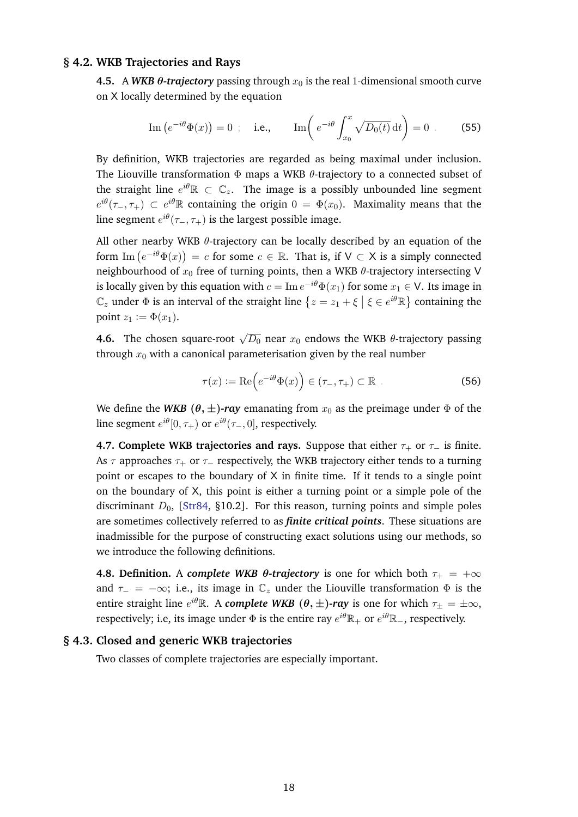#### **§ 4.2. WKB Trajectories and Rays**

<span id="page-17-0"></span>**4.5.** A *WKB*  $\theta$ -trajectory passing through  $x_0$  is the real 1-dimensional smooth curve on X locally determined by the equation

Im 
$$
(e^{-i\theta}\Phi(x)) = 0
$$
; i.e., Im  $\left(e^{-i\theta}\int_{x_0}^x \sqrt{D_0(t)} dt\right) = 0$ . (55)

By definition, WKB trajectories are regarded as being maximal under inclusion. The Liouville transformation  $\Phi$  maps a WKB  $\theta$ -trajectory to a connected subset of the straight line  $e^{i\theta} \mathbb{R} \, \subset \, \mathbb{C}_z.$  The image is a possibly unbounded line segment  $e^{i\theta}(\tau_-, \tau_+) \subset e^{i\theta} \mathbb{R}$  containing the origin  $0 = \Phi(x_0)$ . Maximality means that the line segment  $e^{i\theta}(\tau_-,\tau_+)$  is the largest possible image.

All other nearby WKB  $\theta$ -trajectory can be locally described by an equation of the form  $\text{Im}(e^{-i\theta}\Phi(x)) = c$  for some  $c \in \mathbb{R}$ . That is, if  $\mathsf{V} \subset \mathsf{X}$  is a simply connected neighbourhood of  $x_0$  free of turning points, then a WKB  $\theta$ -trajectory intersecting V is locally given by this equation with  $c=\text{Im }e^{-i\theta}\Phi(x_1)$  for some  $x_1\in\mathsf{V}.$  Its image in  $\mathbb{C}_z$  under  $\Phi$  is an interval of the straight line  $\{z=z_1+\xi\bigm|\xi\in e^{i\theta}\mathbb{R}\}$  containing the point  $z_1 := \Phi(x_1)$ .

**4.6.** The chosen square-root  $\sqrt{D_0}$  near  $x_0$  endows the WKB  $\theta$ -trajectory passing through  $x_0$  with a canonical parameterisation given by the real number

$$
\tau(x) := \operatorname{Re}\left(e^{-i\theta}\Phi(x)\right) \in (\tau_-, \tau_+) \subset \mathbb{R} \tag{56}
$$

We define the *WKB*  $(\theta, \pm)$ *-ray* emanating from  $x_0$  as the preimage under  $\Phi$  of the line segment  $e^{i\theta}[0,\tau_{+})$  or  $e^{i\theta}(\tau_{-},0]$ , respectively.

**4.7. Complete WKB trajectories and rays.** Suppose that either  $\tau_+$  or  $\tau_-$  is finite. As  $\tau$  approaches  $\tau_+$  or  $\tau_-$  respectively, the WKB trajectory either tends to a turning point or escapes to the boundary of  $X$  in finite time. If it tends to a single point on the boundary of X, this point is either a turning point or a simple pole of the discriminant  $D_0$ , [\[Str84,](#page-57-18) §10.2]. For this reason, turning points and simple poles are sometimes collectively referred to as *finite critical points*. These situations are inadmissible for the purpose of constructing exact solutions using our methods, so we introduce the following definitions.

**4.8. Definition.** A *complete WKB*  $\theta$ *-trajectory* is one for which both  $\tau_{+} = +\infty$ and  $\tau_$  = −∞; i.e., its image in  $\mathbb{C}_z$  under the Liouville transformation  $\Phi$  is the entire straight line  $e^{i\theta} \mathbb{R}.$  A  $\bm{complete\ WKB\ } (\theta,\pm)$ - $\bm{ray\ }$  is one for which  $\tau_{\pm}=\pm\infty,$ respectively; i.e, its image under  $\Phi$  is the entire ray  $e^{i\theta}\mathbb{R}_+$  or  $e^{i\theta}\mathbb{R}_-$ , respectively.

#### **§ 4.3. Closed and generic WKB trajectories**

<span id="page-17-1"></span>Two classes of complete trajectories are especially important.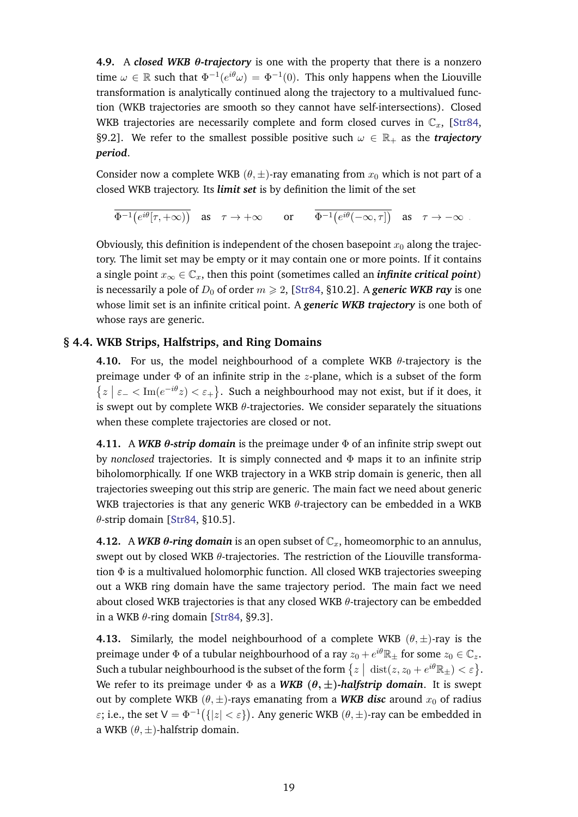**4.9.** A *closed WKB* θ*-trajectory* is one with the property that there is a nonzero time  $\omega \in \mathbb{R}$  such that  $\Phi^{-1}(e^{i\theta}\omega) = \Phi^{-1}(0)$ . This only happens when the Liouville transformation is analytically continued along the trajectory to a multivalued function (WKB trajectories are smooth so they cannot have self-intersections). Closed WKB trajectories are necessarily complete and form closed curves in  $\mathbb{C}_x$ , [\[Str84,](#page-57-18) §9.2]. We refer to the smallest possible positive such  $\omega \in \mathbb{R}_+$  as the *trajectory period*.

Consider now a complete WKB  $(\theta, \pm)$ -ray emanating from  $x_0$  which is not part of a closed WKB trajectory. Its *limit set* is by definition the limit of the set

 $\Phi^{-1}\big(e^{i\theta}[\tau,+\infty)\big) \quad \text{as} \quad \tau\to+\infty \qquad \text{or} \qquad \Phi^{-1}\big(e^{i\theta}(-\infty,\tau]\big) \quad \text{as} \quad \tau\to-\infty \enspace .$ 

Obviously, this definition is independent of the chosen basepoint  $x_0$  along the trajectory. The limit set may be empty or it may contain one or more points. If it contains a single point  $x_{\infty} \in \mathbb{C}_x$ , then this point (sometimes called an *infinite critical point*) is necessarily a pole of  $D_0$  of order  $m \ge 2$ , [\[Str84,](#page-57-18) §10.2]. A *generic WKB ray* is one whose limit set is an infinite critical point. A *generic WKB trajectory* is one both of whose rays are generic.

# **§ 4.4. WKB Strips, Halfstrips, and Ring Domains**

<span id="page-18-0"></span>**4.10.** For us, the model neighbourhood of a complete WKB  $\theta$ -trajectory is the preimage under  $\Phi$  of an infinite strip in the *z*-plane, which is a subset of the form  $\{z \mid \varepsilon_- < \text{Im}(e^{-i\theta}z) < \varepsilon_+\}$ . Such a neighbourhood may not exist, but if it does, it is swept out by complete WKB  $\theta$ -trajectories. We consider separately the situations when these complete trajectories are closed or not.

**4.11.** A *WKB* θ*-strip domain* is the preimage under Φ of an infinite strip swept out by *nonclosed* trajectories. It is simply connected and Φ maps it to an infinite strip biholomorphically. If one WKB trajectory in a WKB strip domain is generic, then all trajectories sweeping out this strip are generic. The main fact we need about generic WKB trajectories is that any generic WKB  $\theta$ -trajectory can be embedded in a WKB  $\theta$ -strip domain [\[Str84,](#page-57-18) §10.5].

**4.12.** A *WKB*  $\theta$ *-ring domain* is an open subset of  $\mathbb{C}_x$ , homeomorphic to an annulus, swept out by closed WKB  $\theta$ -trajectories. The restriction of the Liouville transformation  $\Phi$  is a multivalued holomorphic function. All closed WKB trajectories sweeping out a WKB ring domain have the same trajectory period. The main fact we need about closed WKB trajectories is that any closed WKB  $\theta$ -trajectory can be embedded in a WKB  $\theta$ -ring domain [\[Str84,](#page-57-18) §9.3].

<span id="page-18-2"></span><span id="page-18-1"></span>**4.13.** Similarly, the model neighbourhood of a complete WKB  $(\theta, \pm)$ -ray is the preimage under  $\Phi$  of a tubular neighbourhood of a ray  $z_0+e^{i\theta}\mathbb R_\pm$  for some  $z_0\in\mathbb C_z.$ Such a tubular neighbourhood is the subset of the form  $\{z \mid \text{dist}(z, z_0 + e^{i\theta}\mathbb{R}_+) < \varepsilon\}$ . We refer to its preimage under  $\Phi$  as a WKB  $(\theta, \pm)$ -halfstrip domain. It is swept out by complete WKB  $(\theta, \pm)$ -rays emanating from a WKB disc around  $x_0$  of radius ε; i.e., the set  $V = \Phi^{-1}(\{|z| < \varepsilon\})$ . Any generic WKB  $(\theta, \pm)$ -ray can be embedded in a WKB  $(\theta, \pm)$ -halfstrip domain.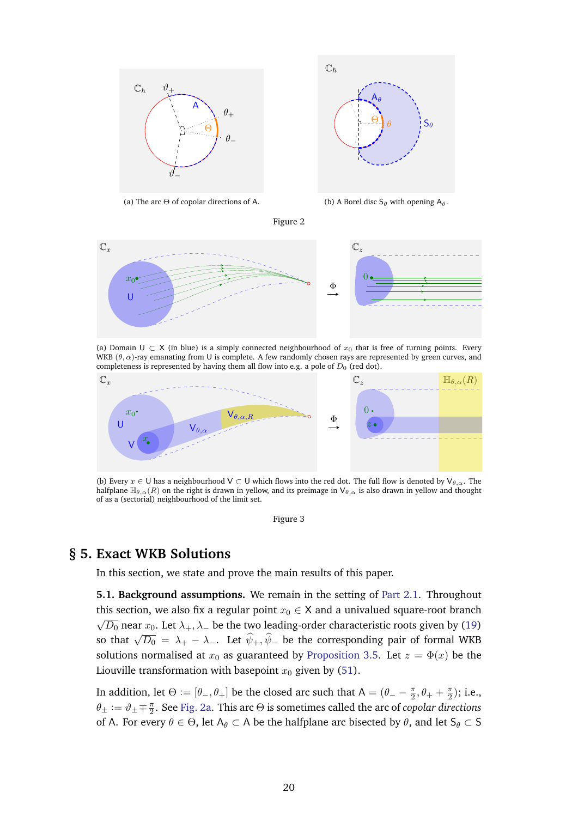<span id="page-19-0"></span>

(a) The arc  $\Theta$  of copolar directions of A.



(b) A Borel disc  $S_\theta$  with opening  $A_\theta$ .



<span id="page-19-1"></span>

(a) Domain U  $\subset X$  (in blue) is a simply connected neighbourhood of  $x_0$  that is free of turning points. Every WKB ( $\theta$ ,  $\alpha$ )-ray emanating from U is complete. A few randomly chosen rays are represented by green curves, and completeness is represented by having them all flow into e.g. a pole of  $D_0$  (red dot).



(b) Every  $x \in U$  has a neighbourhood  $V \subset U$  which flows into the red dot. The full flow is denoted by  $V_{\theta,\alpha}$ . The halfplane  $\mathbb{H}_{\theta,\alpha}(R)$  on the right is drawn in yellow, and its preimage in  $\mathsf{V}_{\theta,\alpha}$  is also drawn in yellow and thought of as a (sectorial) neighbourhood of the limit set.

Figure 3

# **§ 5. Exact WKB Solutions**

<span id="page-19-2"></span>In this section, we state and prove the main results of this paper.

**5.1. Background assumptions.** We remain in the setting of [Part 2.1.](#page-3-3) Throughout this section, we also fix a regular point  $x_0 \in X$  and a univalued square-root branch √  $\overline{D_0}$  near  $x_0.$  Let  $\lambda_+, \lambda_-$  be the two leading-order characteristic roots given by [\(19\)](#page-8-4) so that  $\sqrt{D_0} = \lambda_+ - \lambda_-$ . Let  $\hat{\psi}_+, \hat{\psi}_-$  be the corresponding pair of formal WKB solutions normalised at  $x_0$  as guaranteed by [Proposition 3.5.](#page-9-0) Let  $z = \Phi(x)$  be the Liouville transformation with basepoint  $x_0$  given by [\(51\)](#page-16-0).

In addition, let  $\Theta := [\theta_-, \theta_+]$  be the closed arc such that  $A = (\theta_- - \frac{\pi}{2})$  $\frac{\pi}{2}, \theta_+ + \frac{\pi}{2}$  $\frac{\pi}{2}$ ); i.e.,  $\theta_{\pm} := \vartheta_{\pm} \mp \frac{\pi}{2}$  $\frac{\pi}{2}.$  See [Fig. 2a.](#page-19-0) This arc  $\Theta$  is sometimes called the arc of *copolar directions* of A. For every  $\theta \in \Theta$ , let  $A_{\theta} \subset A$  be the halfplane arc bisected by  $\theta$ , and let  $S_{\theta} \subset S$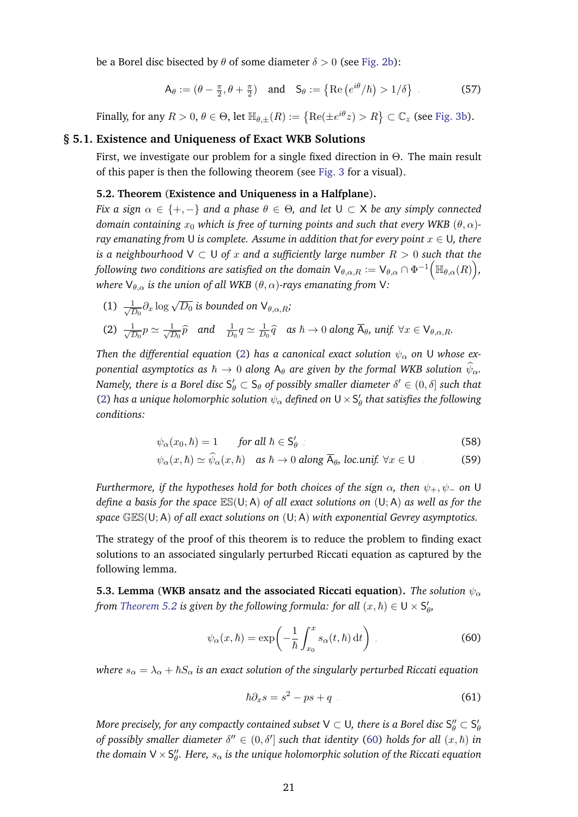be a Borel disc bisected by  $\theta$  of some diameter  $\delta > 0$  (see [Fig. 2b\)](#page-19-0):

$$
\mathsf{A}_{\theta} := (\theta - \frac{\pi}{2}, \theta + \frac{\pi}{2}) \quad \text{and} \quad \mathsf{S}_{\theta} := \{ \text{Re}\left( e^{i\theta} / \hbar \right) > 1/\delta \} \tag{57}
$$

<span id="page-20-0"></span>Finally, for any  $R>0,$   $\theta\in\Theta$ , let  $\mathbb{H}_{\theta,\pm}(R)\coloneqq\left\{ \mathrm{Re}(\pm e^{i\theta}z)>R\right\} \subset\mathbb{C}_{z}$  (see [Fig. 3b\)](#page-19-1).

#### **§ 5.1. Existence and Uniqueness of Exact WKB Solutions**

First, we investigate our problem for a single fixed direction in Θ. The main result of this paper is then the following theorem (see [Fig. 3](#page-19-1) for a visual).

#### <span id="page-20-1"></span>**5.2. Theorem** (**Existence and Uniqueness in a Halfplane**)**.**

*Fix a sign*  $\alpha \in \{+, -\}$  *and a phase*  $\theta \in \Theta$ *, and let*  $\cup \subset X$  *be any simply connected domain containing*  $x_0$  *which is free of turning points and such that every WKB*  $(\theta, \alpha)$ *ray emanating from* U *is complete. Assume in addition that for every point*  $x \in U$ , there *is a neighbourhood*  $V \subset U$  *of* x and a sufficiently large number  $R > 0$  such that the following two conditions are satisfied on the domain  $\mathsf{V}_{\theta,\alpha,R}:=\mathsf{V}_{\theta,\alpha}\cap \Phi^{-1}\Big(\mathbb{H}_{\theta,\alpha}(R)\Big)$ , *where*  $V_{\theta,\alpha}$  *is the union of all WKB*  $(\theta,\alpha)$ *-rays emanating from* V:

 $(1) \frac{1}{\sqrt{7}}$  $\frac{1}{\overline{D_0}}\partial_x \log \sqrt{D_0}$  is bounded on  $\mathsf{V}_{\theta,\alpha,R}$ ;

(2) 
$$
\frac{1}{\sqrt{D_0}}p \simeq \frac{1}{\sqrt{D_0}}\hat{p}
$$
 and  $\frac{1}{D_0}q \simeq \frac{1}{D_0}\hat{q}$  as  $\hbar \to 0$  along  $\overline{A}_{\theta}$ ,  $unif$ .  $\forall x \in V_{\theta,\alpha,R}$ .

*Then the differential equation* [\(2\)](#page-3-2) *has a canonical exact solution*  $\psi_{\alpha}$  *on* U *whose exponential asymptotics as*  $\hbar \to 0$  *along*  $A_{\theta}$  *are given by the formal WKB solution*  $\psi_{\alpha}$ *.* Namely, there is a Borel disc  $\mathsf{S}_\theta' \subset \mathsf{S}_\theta$  of possibly smaller diameter  $\delta' \in (0,\delta]$  such that [\(2\)](#page-3-2) has a unique holomorphic solution  $\psi_\alpha$  defined on  ${\sf U}\times {\sf S}'_\theta$  that satisfies the following *conditions:*

<span id="page-20-6"></span>
$$
\psi_{\alpha}(x_0, \hbar) = 1 \qquad \text{for all } \hbar \in \mathsf{S}'_{\theta} \tag{58}
$$

<span id="page-20-5"></span>
$$
\psi_{\alpha}(x,\hbar) \simeq \psi_{\alpha}(x,\hbar) \quad \text{as } \hbar \to 0 \text{ along } \overline{\mathsf{A}}_{\theta}, \text{ loc.unif. } \forall x \in \mathsf{U} \tag{59}
$$

*Furthermore, if the hypotheses hold for both choices of the sign*  $\alpha$ , then  $\psi_+$ ,  $\psi_-$  on U *define a basis for the space* ES(U; A) *of all exact solutions on* (U; A) *as well as for the space* GES(U; A) *of all exact solutions on* (U; A) *with exponential Gevrey asymptotics.*

The strategy of the proof of this theorem is to reduce the problem to finding exact solutions to an associated singularly perturbed Riccati equation as captured by the following lemma.

<span id="page-20-4"></span>**5.3. Lemma** (WKB ansatz and the associated Riccati equation). The solution  $\psi_{\alpha}$ *from [Theorem 5.2](#page-20-1) is given by the following formula: for all*  $(x, \hbar) \in U \times S_{\theta}^{\prime}$ ,

$$
\psi_{\alpha}(x,\hbar) = \exp\left(-\frac{1}{\hbar} \int_{x_0}^{x} s_{\alpha}(t,\hbar) dt\right) , \qquad (60)
$$

*where*  $s_{\alpha} = \lambda_{\alpha} + \hbar S_{\alpha}$  *is an exact solution of the singularly perturbed Riccati equation* 

<span id="page-20-3"></span><span id="page-20-2"></span>
$$
\hbar \partial_x s = s^2 - ps + q \tag{61}
$$

More precisely, for any compactly contained subset V  $\subset$  U, there is a Borel disc  $\mathsf{S}_\theta''\subset \mathsf{S}_\theta'$ *of possibly smaller diameter*  $\delta'' \in (0, \delta']$  *such that identity* [\(60\)](#page-20-2) *holds for all*  $(x, \hbar)$  *in* the domain V  $\times$  S $^{\prime\prime}_{\theta}$ . Here,  $s_{\alpha}$  is the unique holomorphic solution of the Riccati equation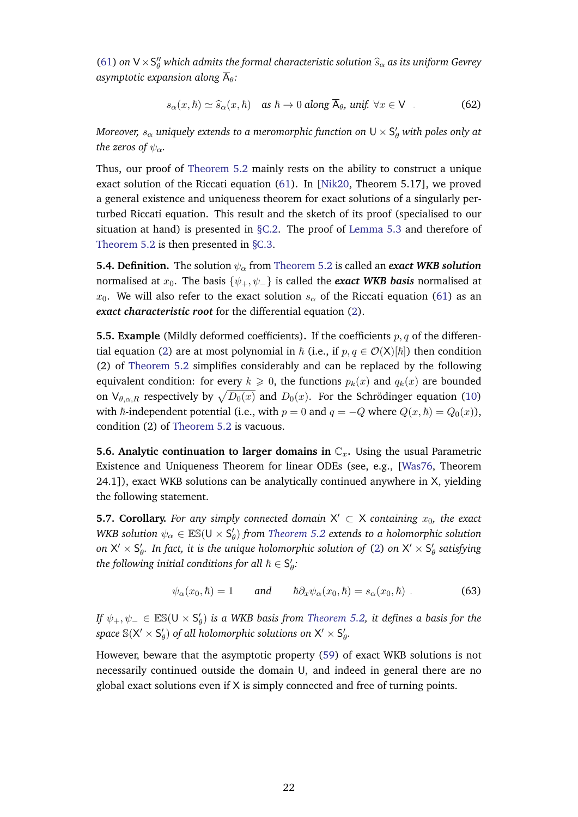[\(61\)](#page-20-3) *on*  $V \times S''_\theta$  *which admits the formal characteristic solution*  $\hat{s}_\alpha$  *as its uniform Gevrey asymptotic expansion along*  $\overline{A}_{\theta}$ :

$$
s_{\alpha}(x,\hbar) \simeq \widehat{s}_{\alpha}(x,\hbar) \quad \text{as } \hbar \to 0 \text{ along } \overline{\mathsf{A}}_{\theta}, \text{ unif. } \forall x \in \mathsf{V} \tag{62}
$$

Moreover,  $s_\alpha$  uniquely extends to a meromorphic function on  $\sf{U}\times\sf{S}'_\theta$  with poles only at *the zeros of*  $\psi_{\alpha}$ *.* 

Thus, our proof of [Theorem 5.2](#page-20-1) mainly rests on the ability to construct a unique exact solution of the Riccati equation [\(61\)](#page-20-3). In [\[Nik20,](#page-57-0) Theorem 5.17], we proved a general existence and uniqueness theorem for exact solutions of a singularly perturbed Riccati equation. This result and the sketch of its proof (specialised to our situation at hand) is presented in [§C.2.](#page-47-0) The proof of [Lemma 5.3](#page-20-4) and therefore of [Theorem 5.2](#page-20-1) is then presented in [§C.3.](#page-51-0)

**5.4. Definition.** The solution  $\psi_{\alpha}$  from [Theorem 5.2](#page-20-1) is called an *exact WKB solution* normalised at  $x_0$ . The basis  $\{\psi_+, \psi_-\}$  is called the *exact WKB basis* normalised at  $x_0$ . We will also refer to the exact solution  $s_\alpha$  of the Riccati equation [\(61\)](#page-20-3) as an *exact characteristic root* for the differential equation [\(2\)](#page-3-2).

<span id="page-21-1"></span>**5.5. Example** (Mildly deformed coefficients). If the coefficients  $p, q$  of the differen-tial equation [\(2\)](#page-3-2) are at most polynomial in  $\hbar$  (i.e., if  $p, q \in \mathcal{O}(X)[\hbar]$ ) then condition (2) of [Theorem 5.2](#page-20-1) simplifies considerably and can be replaced by the following equivalent condition: for every  $k \geq 0$ , the functions  $p_k(x)$  and  $q_k(x)$  are bounded on  $\mathsf{V}_{\theta,\alpha,R}$  respectively by  $\sqrt{D_0(x)}$  and  $D_0(x)$ . For the Schrödinger equation ([10\)](#page-6-1) with  $\hbar$ -independent potential (i.e., with  $p = 0$  and  $q = -Q$  where  $Q(x, \hbar) = Q_0(x)$ ), condition (2) of [Theorem 5.2](#page-20-1) is vacuous.

**5.6. Analytic continuation to larger domains in**  $\mathbb{C}_x$ **.** Using the usual Parametric Existence and Uniqueness Theorem for linear ODEs (see, e.g., [\[Was76,](#page-58-8) Theorem 24.1]), exact WKB solutions can be analytically continued anywhere in X, yielding the following statement.

<span id="page-21-0"></span>**5.7. Corollary.** For any simply connected domain  $X' \subset X$  containing  $x_0$ , the exact WKB solution  $\psi_\alpha \in \mathbb{ES}(\mathsf{U}\times \mathsf{S}'_\theta)$  from [Theorem 5.2](#page-20-1) extends to a holomorphic solution on  $\mathsf{X}'\times\mathsf{S}'_\theta$ . In fact, it is the unique holomorphic solution of [\(2\)](#page-3-2) on  $\mathsf{X}'\times\mathsf{S}'_\theta$  satisfying *the following initial conditions for all*  $\hbar \in S_{\theta}'$ :

$$
\psi_{\alpha}(x_0, \hbar) = 1 \qquad \text{and} \qquad \hbar \partial_x \psi_{\alpha}(x_0, \hbar) = s_{\alpha}(x_0, \hbar) \tag{63}
$$

*If*  $\psi_+,\psi_-\in\mathbb{ES}(\mathsf{U}\times\mathsf{S}'_{\theta})$  *is a WKB basis from [Theorem 5.2,](#page-20-1) it defines a basis for the*  $space \ \mathbb{S}(\mathsf{X}' \times \mathsf{S}'_{\theta}) \ \textit{of all holomorphic solutions on} \ \mathsf{X}' \times \mathsf{S}'_{\theta}.$ 

However, beware that the asymptotic property [\(59\)](#page-20-5) of exact WKB solutions is not necessarily continued outside the domain U, and indeed in general there are no global exact solutions even if X is simply connected and free of turning points.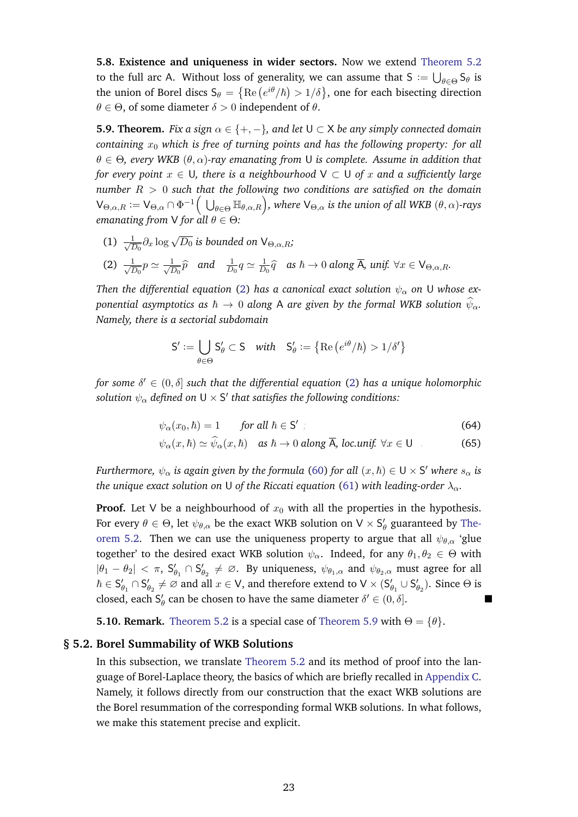**5.8. Existence and uniqueness in wider sectors.** Now we extend [Theorem 5.2](#page-20-1) to the full arc A. Without loss of generality, we can assume that S  $:=\bigcup_{\theta \in \Theta} \mathsf{S}_\theta$  is the union of Borel discs  $\mathsf{S}_\theta = \big\{ \mathrm{Re}\, \big(e^{i\theta}/\hbar \big) > 1/\delta \big\}$ , one for each bisecting direction  $\theta \in \Theta$ , of some diameter  $\delta > 0$  independent of  $\theta$ .

<span id="page-22-1"></span>**5.9. Theorem.** *Fix a sign*  $\alpha \in \{+, -\}$ *, and let*  $\cup \subset X$  *be any simply connected domain containing*  $x_0$  *which is free of turning points and has the following property: for all*  $\theta \in \Theta$ , every WKB  $(\theta, \alpha)$ -ray emanating from U is complete. Assume in addition that *for every point*  $x \in U$ *, there is a neighbourhood*  $V \subset U$  *of*  $x$  *and a sufficiently large number* R > 0 *such that the following two conditions are satisfied on the domain*  $\mathsf{V}_{\Theta,\alpha,R}:=\mathsf{V}_{\Theta,\alpha}\cap \Phi^{-1}\Big(\bigcup_{\theta\in \Theta}\mathbb{H}_{\theta,\alpha,R}\Big)$ , where  $\mathsf{V}_{\Theta,\alpha}$  is the union of all WKB  $(\theta,\alpha)$ -rays *emanating from* V *for all* θ ∈ Θ*:*

 $(1) \frac{1}{\sqrt{7}}$  $\frac{1}{\overline{D_0}}\partial_x \log \sqrt{D_0}$  is bounded on  $\mathsf{V}_{\Theta,\alpha,R}$ ;

(2) 
$$
\frac{1}{\sqrt{D_0}}p \simeq \frac{1}{\sqrt{D_0}}\hat{p}
$$
 and  $\frac{1}{D_0}q \simeq \frac{1}{D_0}\hat{q}$  as  $\hbar \to 0$  along  $\overline{A}$ ,  $unif. \forall x \in V_{\Theta,\alpha,R}$ .

*Then the differential equation* [\(2\)](#page-3-2) *has a canonical exact solution*  $\psi_{\alpha}$  *on* U *whose exponential asymptotics as*  $\hbar \to 0$  *along* A *are given by the formal WKB solution*  $\widehat{\psi}_{\alpha}$ *. Namely, there is a sectorial subdomain*

$$
S' := \bigcup_{\theta \in \Theta} S'_{\theta} \subset S \quad with \quad S'_{\theta} := \left\{ \text{Re} \left( e^{i\theta} / \hbar \right) > 1 / \delta' \right\}
$$

for some  $\delta' \in (0,\delta]$  such that the differential equation [\(2\)](#page-3-2) has a unique holomorphic  $s$ olution  $\psi_\alpha$  defined on U  $\times$  S $^\prime$  that satisfies the following conditions:

$$
\psi_{\alpha}(x_0, \hbar) = 1 \qquad \text{for all } \hbar \in \mathsf{S}' \tag{64}
$$

$$
\psi_{\alpha}(x,\hbar) \simeq \widehat{\psi}_{\alpha}(x,\hbar) \quad \text{as } \hbar \to 0 \text{ along } \overline{\mathsf{A}}, \text{ loc.unif. } \forall x \in \mathsf{U} \tag{65}
$$

*Furthermore,*  $\psi_{\alpha}$  *is again given by the formula [\(60\)](#page-20-2) for all*  $(x,\hbar) \in U \times S'$  *where*  $s_{\alpha}$  *is the unique exact solution on* U *of the Riccati equation* [\(61\)](#page-20-3) *with leading-order*  $\lambda_{\alpha}$ *.* 

**Proof.** Let V be a neighbourhood of  $x_0$  with all the properties in the hypothesis. For every  $\theta \in \Theta$ , let  $\psi_{\theta,\alpha}$  be the exact WKB solution on  $V \times S'_{\theta}$  guaranteed by [The](#page-20-1)[orem 5.2.](#page-20-1) Then we can use the uniqueness property to argue that all  $\psi_{\theta,\alpha}$  'glue together' to the desired exact WKB solution  $\psi_{\alpha}$ . Indeed, for any  $\theta_1, \theta_2 \in \Theta$  with  $|\theta_1 - \theta_2| < \pi$ ,  $S'_{\theta_1} \cap S'_{\theta_2} \neq \emptyset$ . By uniqueness,  $\psi_{\theta_1,\alpha}$  and  $\psi_{\theta_2,\alpha}$  must agree for all  $\hbar\in S_{\theta_1}'\cap S_{\theta_2}'\neq\varnothing$  and all  $x\in\mathsf{V}$ , and therefore extend to  $\mathsf{V}\times (S_{\theta_1}'\cup S_{\theta_2}')$ . Since  $\Theta$  is closed, each  $S'_\theta$  can be chosen to have the same diameter  $\delta' \in (0, \delta]$ .

<span id="page-22-0"></span>**5.10. Remark.** [Theorem 5.2](#page-20-1) is a special case of [Theorem 5.9](#page-22-1) with  $\Theta = \{\theta\}$ .

#### **§ 5.2. Borel Summability of WKB Solutions**

In this subsection, we translate [Theorem 5.2](#page-20-1) and its method of proof into the language of Borel-Laplace theory, the basics of which are briefly recalled in [Appendix C.](#page-40-0) Namely, it follows directly from our construction that the exact WKB solutions are the Borel resummation of the corresponding formal WKB solutions. In what follows, we make this statement precise and explicit.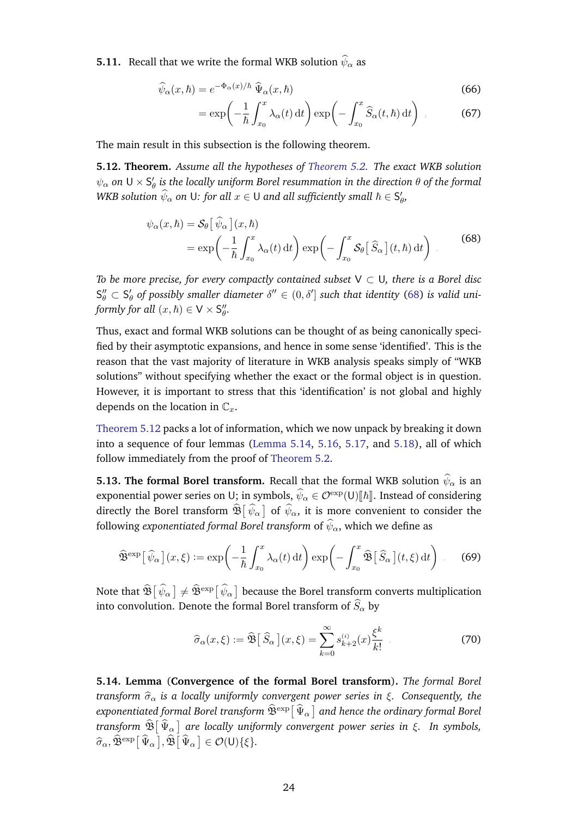**5.11.** Recall that we write the formal WKB solution  $\widehat{\psi}_{\alpha}$  as

$$
\widehat{\psi}_{\alpha}(x,\hbar) = e^{-\Phi_{\alpha}(x)/\hbar} \widehat{\Psi}_{\alpha}(x,\hbar)
$$
\n(66)

<span id="page-23-2"></span>
$$
= \exp\left(-\frac{1}{\hbar} \int_{x_0}^x \lambda_\alpha(t) dt\right) \exp\left(-\int_{x_0}^x \widehat{S}_\alpha(t,\hbar) dt\right) ,\qquad (67)
$$

The main result in this subsection is the following theorem.

<span id="page-23-0"></span>**5.12. Theorem.** *Assume all the hypotheses of [Theorem 5.2.](#page-20-1) The exact WKB solution*  $\psi_\alpha$  on  ${\sf U}\times {\sf S}'_\theta$  is the locally uniform Borel resummation in the direction  $\theta$  of the formal *WKB solution*  $\widehat{\psi}_{\alpha}$  *on U: for all*  $x \in U$  *and all sufficiently small*  $\hbar \in \mathsf{S}_{\theta}',$ 

$$
\psi_{\alpha}(x,\hbar) = \mathcal{S}_{\theta} \left[ \hat{\psi}_{\alpha} \right](x,\hbar)
$$
  
= 
$$
\exp \left( -\frac{1}{\hbar} \int_{x_0}^x \lambda_{\alpha}(t) dt \right) \exp \left( -\int_{x_0}^x \mathcal{S}_{\theta} \left[ \hat{S}_{\alpha} \right](t,\hbar) dt \right)
$$
 (68)

*To be more precise, for every compactly contained subset* V ⊂ U*, there is a Borel disc*  $\mathsf{S}_{\theta}'' \subset \mathsf{S}_{\theta}'$  of possibly smaller diameter  $\delta'' \in (0,\delta']$  such that identity [\(68\)](#page-23-2) is valid uni*formly for all*  $(x, \hbar) \in V \times S''_{\theta}$ .

Thus, exact and formal WKB solutions can be thought of as being canonically specified by their asymptotic expansions, and hence in some sense 'identified'. This is the reason that the vast majority of literature in WKB analysis speaks simply of "WKB solutions" without specifying whether the exact or the formal object is in question. However, it is important to stress that this 'identification' is not global and highly depends on the location in  $\mathbb{C}_x$ .

[Theorem 5.12](#page-23-0) packs a lot of information, which we now unpack by breaking it down into a sequence of four lemmas [\(Lemma 5.14,](#page-23-1) [5.16,](#page-24-1) [5.17,](#page-24-2) and [5.18\)](#page-24-3), all of which follow immediately from the proof of [Theorem 5.2.](#page-20-1)

**5.13. The formal Borel transform.** Recall that the formal WKB solution  $\hat{\psi}_{\alpha}$  is an exponential power series on U; in symbols,  $\widehat{\psi}_\alpha\in{\mathcal O}^{\rm exp}({\sf U})[\![\hbar]\!]$ . Instead of considering directly the Borel transform  $\mathfrak{B}[\psi_\alpha]$  of  $\psi_\alpha$ , it is more convenient to consider the following *exponentiated formal Borel transform* of  $\hat{\psi}_{\alpha}$ , which we define as

$$
\widehat{\mathfrak{B}}^{\text{exp}}\big[\widehat{\psi}_{\alpha}\big](x,\xi) := \exp\bigg(-\frac{1}{\hbar} \int_{x_0}^x \lambda_{\alpha}(t) dt\bigg) \exp\bigg(-\int_{x_0}^x \widehat{\mathfrak{B}}\big[\widehat{S}_{\alpha}\big](t,\xi) dt\bigg) \ . \tag{69}
$$

Note that  $\widehat{\mathfrak{B}}\big[\,\widehat{\psi}_\alpha\,\big]\neq \widehat{\mathfrak{B}}^{\rm exp}\big[\,\widehat{\psi}_\alpha\,\big]$  because the Borel transform converts multiplication into convolution. Denote the formal Borel transform of  $\widehat{S}_\alpha$  by

<span id="page-23-3"></span>
$$
\widehat{\sigma}_{\alpha}(x,\xi) := \widehat{\mathfrak{B}}\big[\,\widehat{S}_{\alpha}\,\big](x,\xi) = \sum_{k=0}^{\infty} s_{k+2}^{(i)}(x) \frac{\xi^k}{k!} \tag{70}
$$

<span id="page-23-1"></span>**5.14. Lemma** (**Convergence of the formal Borel transform**)**.** *The formal Borel transform*  $\hat{\sigma}_{\alpha}$  *is a locally uniformly convergent power series in*  $\xi$ *. Consequently, the* exponentiated formal Borel transform  $\widehat{\mathfrak{B}}^{\text{exp}}\big[\,\widehat{\Psi}_\alpha\,\big]$  and hence the ordinary formal Borel *transform*  $\mathfrak{B}\left[\Psi_{\alpha}\right]$  are locally uniformly convergent power series in ξ. In symbols,  $\widehat{\sigma}_{\alpha}, \widehat{\mathfrak{B}}^{\text{exp}}\big[\widehat{\Psi}_{\alpha}\big], \widehat{\mathfrak{B}}\big[\widehat{\Psi}_{\alpha}\big] \in \mathcal{O}(\mathsf{U})\{\xi\}.$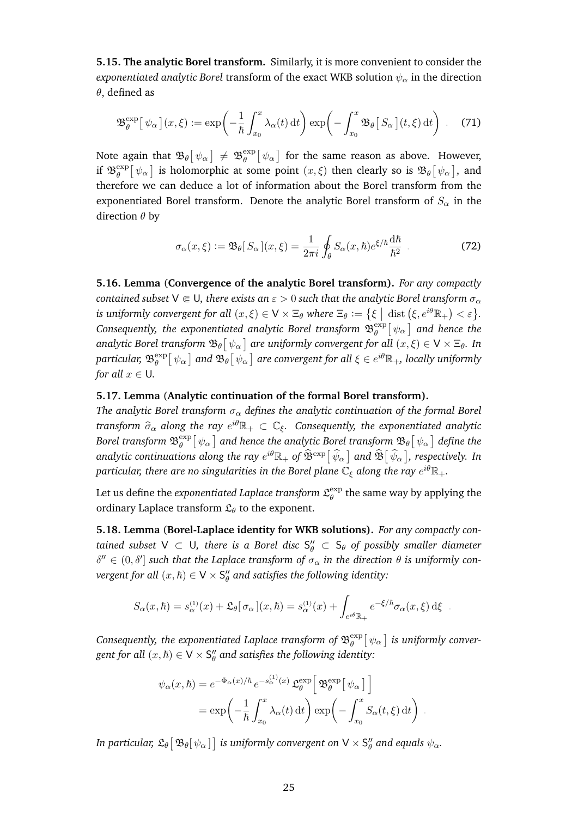**5.15. The analytic Borel transform.** Similarly, it is more convenient to consider the *exponentiated analytic Borel transform of the exact WKB solution*  $\psi_{\alpha}$  *in the direction*  $\theta$ , defined as

$$
\mathfrak{B}_{\theta}^{\exp}[\psi_{\alpha}](x,\xi) := \exp\left(-\frac{1}{\hbar} \int_{x_0}^{x} \lambda_{\alpha}(t) dt\right) \exp\left(-\int_{x_0}^{x} \mathfrak{B}_{\theta}[S_{\alpha}](t,\xi) dt\right).
$$
 (71)

Note again that  $\mathfrak{B}_{\theta}[\psi_{\alpha}]\,\neq\,\mathfrak{B}_{\theta}^{\text{exp}}$  $\left[ \psi _\alpha \right]$  for the same reason as above. However, if  $\mathfrak{B}_{\theta}^{\text{exp}}$  $\frac{\exp\left[\,\psi_\alpha\,\right]}{g}$  is holomorphic at some point  $(x,\xi)$  then clearly so is  $\mathfrak{B}_\theta\big[\,\psi_\alpha\,\big],$  and therefore we can deduce a lot of information about the Borel transform from the exponentiated Borel transform. Denote the analytic Borel transform of  $S_\alpha$  in the direction  $\theta$  by

$$
\sigma_{\alpha}(x,\xi) := \mathfrak{B}_{\theta}[S_{\alpha}](x,\xi) = \frac{1}{2\pi i} \oint_{\theta} S_{\alpha}(x,\hbar) e^{\xi/\hbar} \frac{d\hbar}{\hbar^2} \tag{72}
$$

<span id="page-24-1"></span>**5.16. Lemma** (**Convergence of the analytic Borel transform).** *For any compactly contained subset*  $V \in U$ *, there exists an*  $\varepsilon > 0$  *such that the analytic Borel transform*  $\sigma_{\alpha}$ *is uniformly convergent for all*  $(x,\xi) \in \mathsf{V} \times \Xi_\theta$  *where*  $\Xi_\theta := \big\{ \xi \bigm| \operatorname{dist} \big( \xi, e^{i \theta} \mathbb{R}_+ \big) < \varepsilon \big\}.$ Consequently, the exponentiated analytic Borel transform  $\mathfrak{B}^{\rm exp}_{\theta}$  $_{\theta}^{\exp}\bigl[ \, \psi_{\alpha} \, \bigr]$  and hence the analytic Borel transform  $\mathfrak{B}_\theta\big[\,\psi_\alpha\,\big]$  are uniformly convergent for all  $(x,\xi)\in\mathsf{V}\times\Xi_\theta.$  In particular,  $\mathfrak{B}^{\mathrm{exp}}_{\theta}$  $e^{\exp}_\theta\big[\,\psi_\alpha\,\big]$  and  $\mathfrak{B}_\theta\big[\,\psi_\alpha\,\big]$  are convergent for all  $\xi\in e^{i\theta}\mathbb{R}_+$ , locally uniformly *for all*  $x \in U$ *.* 

#### <span id="page-24-2"></span>**5.17. Lemma** (**Analytic continuation of the formal Borel transform).**

*The analytic Borel transform*  $\sigma_{\alpha}$  *defines the analytic continuation of the formal Borel transform*  $\widehat{\sigma}_{\alpha}$  along the ray  $e^{i\theta} \mathbb{R}_+ \subset \mathbb{C}_{\xi}$ . Consequently, the exponentiated analytic Borel transform  $\mathfrak{B}^{\mathrm{exp}}_{\theta}$  $_{\theta}^{\exp}\big[\,\psi_{\alpha}\,\big]$  and hence the analytic Borel transform  $\mathfrak{B}_{\theta}[\,\psi_{\alpha}\,]\,$  define the analytic continuations along the ray  $e^{i\theta}\mathbb R_+$  of  $\widehat{\mathfrak{B}}^{\rm exp}[\,\widehat\psi_\alpha\,]$  and  $\widehat{\mathfrak{B}}[\,\widehat\psi_\alpha\,]$ , respectively. In particular, there are no singularities in the Borel plane  $\mathbb{C}_\xi$  along the ray  $e^{i\theta}\mathbb{R}_+.$ 

Let us define the *exponentiated Laplace transform*  $\mathfrak{L}^{\text{exp}}_{\theta}$  $\theta_{\theta}^{\mathrm{exp}}$  the same way by applying the ordinary Laplace transform  $\mathfrak{L}_{\theta}$  to the exponent.

<span id="page-24-3"></span>**5.18. Lemma** (**Borel-Laplace identity for WKB solutions).** *For any compactly con*tained subset  $\vee \subset \cup$ , there is a Borel disc  $S''_{\theta} \subset S_{\theta}$  of possibly smaller diameter  $\delta'' \in (0, \delta']$  such that the Laplace transform of  $\sigma_\alpha$  in the direction  $\theta$  is uniformly con- $\emph{vergent for all} \; (x,\hbar) \in \mathsf{V} \times \mathsf{S}_{\theta}^{\prime \prime}$  and satisfies the following identity:

$$
S_{\alpha}(x,\hbar) = s_{\alpha}^{(1)}(x) + \mathfrak{L}_{\theta}[\sigma_{\alpha}](x,\hbar) = s_{\alpha}^{(1)}(x) + \int_{e^{i\theta}\mathbb{R}_{+}} e^{-\xi/\hbar} \sigma_{\alpha}(x,\xi) d\xi.
$$

Consequently, the exponentiated Laplace transform of  $\mathfrak{B}^{\textrm{exp}}_{\theta}$  $_{\theta}^{\exp}\! \left[ \, \psi_{\alpha} \, \right]$  is uniformly conver- $\mathit{gent}$  for all  $(x,\hbar) \in \mathsf{V} \times \mathsf{S}_{\theta}''$  and satisfies the following identity:

$$
\psi_{\alpha}(x,\hbar) = e^{-\Phi_{\alpha}(x)/\hbar} e^{-s_{\alpha}^{(1)}(x)} \mathfrak{L}_{\theta}^{\exp} \left[ \mathfrak{B}_{\theta}^{\exp} [\psi_{\alpha}] \right]
$$

$$
= \exp \left( -\frac{1}{\hbar} \int_{x_0}^{x} \lambda_{\alpha}(t) dt \right) \exp \left( -\int_{x_0}^{x} S_{\alpha}(t,\xi) dt \right).
$$

<span id="page-24-0"></span>In particular,  $\mathfrak{L}_\theta\big[\,\mathfrak{B}_\theta[\,\psi_\alpha\,]\,\big]$  is uniformly convergent on  $\mathsf{V}\times\mathsf{S}''_\theta$  and equals  $\psi_\alpha.$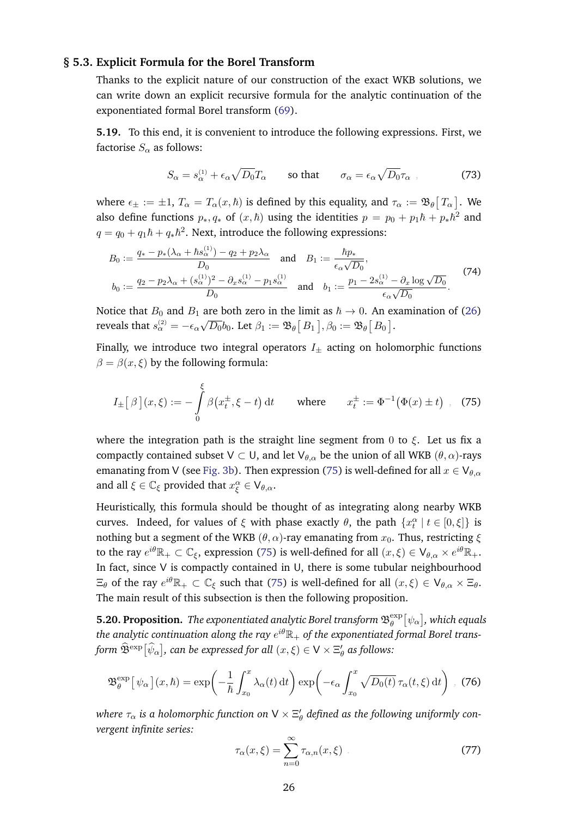#### **§ 5.3. Explicit Formula for the Borel Transform**

Thanks to the explicit nature of our construction of the exact WKB solutions, we can write down an explicit recursive formula for the analytic continuation of the exponentiated formal Borel transform [\(69\)](#page-23-3).

**5.19.** To this end, it is convenient to introduce the following expressions. First, we factorise  $S_{\alpha}$  as follows:

<span id="page-25-2"></span>
$$
S_{\alpha} = s_{\alpha}^{(1)} + \epsilon_{\alpha} \sqrt{D_0} T_{\alpha} \qquad \text{so that} \qquad \sigma_{\alpha} = \epsilon_{\alpha} \sqrt{D_0} \tau_{\alpha} \tag{73}
$$

where  $\epsilon_\pm:=\pm 1,$   $T_\alpha=T_\alpha(x,\hbar)$  is defined by this equality, and  $\tau_\alpha:=\mathfrak{B}_\theta\bigl[\,T_\alpha\,\bigr].$  We also define functions  $p_*, q_*$  of  $(x, \hbar)$  using the identities  $p = p_0 + p_1 \hbar + p_* \hbar^2$  and  $q = q_0 + q_1 \hbar + q_* \hbar^2$ . Next, introduce the following expressions:

$$
B_0 := \frac{q_* - p_*(\lambda_\alpha + \hbar s_\alpha^{(1)}) - q_2 + p_2 \lambda_\alpha}{D_0} \quad \text{and} \quad B_1 := \frac{\hbar p_*}{\epsilon_\alpha \sqrt{D_0}},
$$
  
\n
$$
b_0 := \frac{q_2 - p_2 \lambda_\alpha + (s_\alpha^{(1)})^2 - \partial_x s_\alpha^{(1)} - p_1 s_\alpha^{(1)}}{D_0} \quad \text{and} \quad b_1 := \frac{p_1 - 2s_\alpha^{(1)} - \partial_x \log \sqrt{D_0}}{\epsilon_\alpha \sqrt{D_0}}.
$$
\n(74)

Notice that  $B_0$  and  $B_1$  are both zero in the limit as  $\hbar \to 0$ . An examination of [\(26\)](#page-10-2) reveals that  $s_\alpha^{(2)} = -\epsilon_\alpha$ √  $\overline{D_0}b_0.$  Let  $\beta_1\coloneqq\mathfrak{B}_\theta\big[\,B_1\,\big], \beta_0\coloneqq\mathfrak{B}_\theta\big[\,B_0\,\big].$ 

Finally, we introduce two integral operators  $I_{\pm}$  acting on holomorphic functions  $\beta = \beta(x, \xi)$  by the following formula:

<span id="page-25-1"></span>
$$
I_{\pm}[\beta](x,\xi) := -\int_{0}^{\xi} \beta(x_t^{\pm}, \xi - t) dt \quad \text{where} \quad x_t^{\pm} := \Phi^{-1}(\Phi(x) \pm t) , \tag{75}
$$

where the integration path is the straight line segment from 0 to  $\xi$ . Let us fix a compactly contained subset  $V \subset U$ , and let  $V_{\theta,\alpha}$  be the union of all WKB  $(\theta,\alpha)$ -rays emanating from V (see [Fig. 3b\)](#page-19-1). Then expression [\(75\)](#page-25-1) is well-defined for all  $x \in V_{\theta,\alpha}$ and all  $\xi \in \mathbb{C}_{\xi}$  provided that  $x^{\alpha}_{\xi} \in V_{\theta,\alpha}$ .

Heuristically, this formula should be thought of as integrating along nearby WKB curves. Indeed, for values of  $\xi$  with phase exactly  $\theta$ , the path  $\{x_t^{\alpha} \mid t \in [0,\xi]\}$  is nothing but a segment of the WKB ( $\theta$ ,  $\alpha$ )-ray emanating from  $x_0$ . Thus, restricting  $\xi$ to the ray  $e^{i\theta}\mathbb{R}_+\subset\mathbb{C}_\xi$ , expression [\(75\)](#page-25-1) is well-defined for all  $(x,\xi)\in\mathsf{V}_{\theta,\alpha}\times e^{i\theta}\mathbb{R}_+.$ In fact, since V is compactly contained in U, there is some tubular neighbourhood  $\Xi_\theta$  of the ray  $e^{i\theta}\mathbb{R}_+\subset\mathbb{C}_\xi$  such that [\(75\)](#page-25-1) is well-defined for all  $(x,\xi)\in\mathsf{V}_{\theta,\alpha}\times\Xi_\theta.$ The main result of this subsection is then the following proposition.

<span id="page-25-0"></span>**5.20. Proposition.** The exponentiated analytic Borel transform  $\mathfrak{B}_{\theta}^{\text{exp}}$  $_{\theta }^{\exp }[\psi _{\alpha }],$  which equals the analytic continuation along the ray  $e^{i\theta}\mathbb{R}_+$  of the exponentiated formal Borel transform  $\widehat{\mathfrak{B}}^{\text{exp}}[\widehat{\psi}_{\alpha}]$ , can be expressed for all  $(x,\xi)\in\mathsf{V}\times \Xi'_{\theta}$  as follows:

$$
\mathfrak{B}_{\theta}^{\exp}\big[\psi_{\alpha}\big](x,\hbar) = \exp\bigg(-\frac{1}{\hbar}\int_{x_0}^x \lambda_{\alpha}(t) dt\bigg) \exp\bigg(-\epsilon_{\alpha}\int_{x_0}^x \sqrt{D_0(t)}\,\tau_{\alpha}(t,\xi) dt\bigg) , \tag{76}
$$

where  $\tau_{\alpha}$  is a holomorphic function on V  $\times$   $\Xi_{\theta}'$  defined as the following uniformly con*vergent infinite series:*

<span id="page-25-3"></span>
$$
\tau_{\alpha}(x,\xi) = \sum_{n=0}^{\infty} \tau_{\alpha,n}(x,\xi)
$$
\n(77)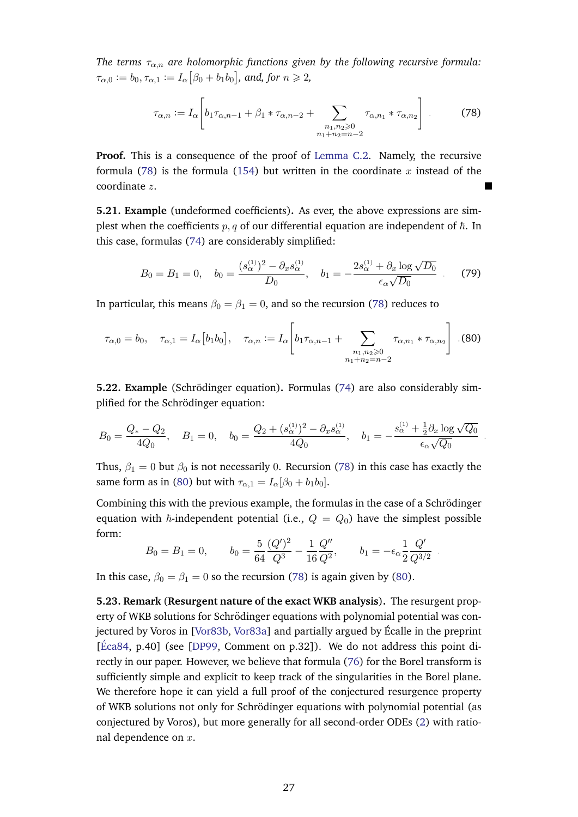*The terms*  $\tau_{\alpha,n}$  are holomorphic functions given by the following recursive formula:  $\tau_{\alpha,0} := b_0, \tau_{\alpha,1} := I_\alpha \big[ \beta_0 + b_1 b_0 \big],$  and, for  $n \geqslant 2,$ 

<span id="page-26-2"></span>
$$
\tau_{\alpha,n} := I_{\alpha} \left[ b_1 \tau_{\alpha,n-1} + \beta_1 * \tau_{\alpha,n-2} + \sum_{\substack{n_1, n_2 \ge 0 \\ n_1 + n_2 = n-2}} \tau_{\alpha,n_1} * \tau_{\alpha,n_2} \right] \tag{78}
$$

**Proof.** This is a consequence of the proof of [Lemma C.2.](#page-47-1) Namely, the recursive formula [\(78\)](#page-26-2) is the formula [\(154\)](#page-49-0) but written in the coordinate x instead of the coordinate z.

**5.21. Example** (undeformed coefficients)**.** As ever, the above expressions are simplest when the coefficients  $p, q$  of our differential equation are independent of  $\hbar$ . In this case, formulas [\(74\)](#page-25-2) are considerably simplified:

$$
B_0 = B_1 = 0, \quad b_0 = \frac{(s_\alpha^{(1)})^2 - \partial_x s_\alpha^{(1)}}{D_0}, \quad b_1 = -\frac{2s_\alpha^{(1)} + \partial_x \log \sqrt{D_0}}{\epsilon_\alpha \sqrt{D_0}} \tag{79}
$$

In particular, this means  $\beta_0 = \beta_1 = 0$ , and so the recursion [\(78\)](#page-26-2) reduces to

$$
\tau_{\alpha,0} = b_0, \quad \tau_{\alpha,1} = I_{\alpha} \big[ b_1 b_0 \big], \quad \tau_{\alpha,n} := I_{\alpha} \bigg[ b_1 \tau_{\alpha,n-1} + \sum_{\substack{n_1, n_2 \geq 0 \\ n_1 + n_2 = n-2}} \tau_{\alpha,n_1} * \tau_{\alpha,n_2} \bigg] \tag{80}
$$

**5.22. Example** (Schrödinger equation). Formulas [\(74\)](#page-25-2) are also considerably simplified for the Schrödinger equation:

$$
B_0 = \frac{Q_* - Q_2}{4Q_0}, \quad B_1 = 0, \quad b_0 = \frac{Q_2 + (s_\alpha^{(1)})^2 - \partial_x s_\alpha^{(1)}}{4Q_0}, \quad b_1 = -\frac{s_\alpha^{(1)} + \frac{1}{2}\partial_x \log \sqrt{Q_0}}{\epsilon_\alpha \sqrt{Q_0}}
$$

<span id="page-26-3"></span>.

.

Thus,  $\beta_1 = 0$  but  $\beta_0$  is not necessarily 0. Recursion [\(78\)](#page-26-2) in this case has exactly the same form as in [\(80\)](#page-26-3) but with  $\tau_{\alpha,1} = I_{\alpha}[\beta_0 + b_1b_0].$ 

Combining this with the previous example, the formulas in the case of a Schrödinger equation with  $\hbar$ -independent potential (i.e.,  $Q = Q_0$ ) have the simplest possible form:

$$
B_0 = B_1 = 0
$$
,  $b_0 = \frac{5}{64} \frac{(Q')^2}{Q^3} - \frac{1}{16} \frac{Q''}{Q^2}$ ,  $b_1 = -\epsilon_\alpha \frac{1}{2} \frac{Q'}{Q^{3/2}}$ 

In this case,  $\beta_0 = \beta_1 = 0$  so the recursion [\(78\)](#page-26-2) is again given by [\(80\)](#page-26-3).

<span id="page-26-1"></span><span id="page-26-0"></span>**5.23. Remark** (**Resurgent nature of the exact WKB analysis**)**.** The resurgent property of WKB solutions for Schrödinger equations with polynomial potential was con-jectured by Voros in [\[Vor83b,](#page-58-9) [Vor83a\]](#page-58-2) and partially argued by Écalle in the preprint [Éca84, p.40] (see [\[DP99,](#page-55-8) Comment on p.32]). We do not address this point directly in our paper. However, we believe that formula [\(76\)](#page-25-3) for the Borel transform is sufficiently simple and explicit to keep track of the singularities in the Borel plane. We therefore hope it can yield a full proof of the conjectured resurgence property of WKB solutions not only for Schrodinger equations with polynomial potential (as ¨ conjectured by Voros), but more generally for all second-order ODEs [\(2\)](#page-3-2) with rational dependence on x.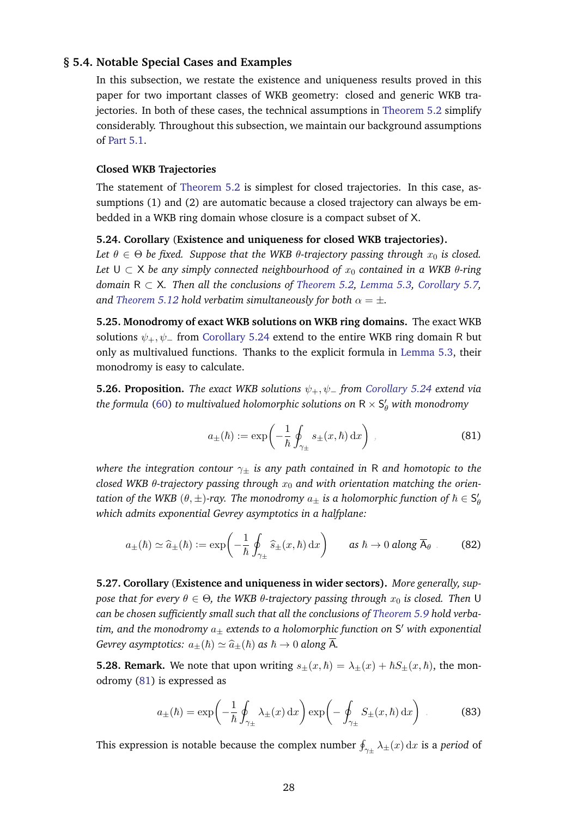#### **§ 5.4. Notable Special Cases and Examples**

In this subsection, we restate the existence and uniqueness results proved in this paper for two important classes of WKB geometry: closed and generic WKB trajectories. In both of these cases, the technical assumptions in [Theorem 5.2](#page-20-1) simplify considerably. Throughout this subsection, we maintain our background assumptions of [Part 5.1.](#page-19-2)

#### <span id="page-27-0"></span>**Closed WKB Trajectories**

The statement of [Theorem 5.2](#page-20-1) is simplest for closed trajectories. In this case, assumptions (1) and (2) are automatic because a closed trajectory can always be embedded in a WKB ring domain whose closure is a compact subset of X.

<span id="page-27-2"></span>**5.24. Corollary** (**Existence and uniqueness for closed WKB trajectories).**

*Let*  $\theta \in \Theta$  *be fixed. Suppose that the WKB*  $\theta$ *-trajectory passing through*  $x_0$  *is closed. Let*  $∪ ⊂ X$  *be any simply connected neighbourhood of*  $x_0$  *contained in a WKB*  $θ$ *-ring domain* R ⊂ X*. Then all the conclusions of [Theorem 5.2,](#page-20-1) [Lemma 5.3,](#page-20-4) [Corollary 5.7,](#page-21-0) and [Theorem 5.12](#page-23-0) hold verbatim simultaneously for both*  $\alpha = \pm$ *.* 

**5.25. Monodromy of exact WKB solutions on WKB ring domains.** The exact WKB solutions  $\psi_+,\psi_-$  from [Corollary 5.24](#page-27-2) extend to the entire WKB ring domain R but only as multivalued functions. Thanks to the explicit formula in [Lemma 5.3,](#page-20-4) their monodromy is easy to calculate.

**5.26. Proposition.** *The exact WKB solutions* ψ+, ψ<sup>−</sup> *from [Corollary 5.24](#page-27-2) extend via* the formula [\(60\)](#page-20-2) to multivalued holomorphic solutions on  $\mathsf{R}\times\mathsf{S}_{\theta}'$  with monodromy

<span id="page-27-3"></span>
$$
a_{\pm}(\hbar) := \exp\left(-\frac{1}{\hbar} \oint_{\gamma_{\pm}} s_{\pm}(x,\hbar) \,dx\right) , \tag{81}
$$

*where the integration contour* γ<sup>±</sup> *is any path contained in* R *and homotopic to the closed WKB* θ*-trajectory passing through* x<sup>0</sup> *and with orientation matching the orien*tation of the WKB  $(\theta, \pm)$ -ray. The monodromy  $a_\pm$  is a holomorphic function of  $\hbar \in \mathsf{S}'_\theta$ *which admits exponential Gevrey asymptotics in a halfplane:*

$$
a_{\pm}(\hbar) \simeq \widehat{a}_{\pm}(\hbar) := \exp\left(-\frac{1}{\hbar} \oint_{\gamma_{\pm}} \widehat{s}_{\pm}(x,\hbar) \,dx\right) \qquad \text{as } \hbar \to 0 \text{ along } \overline{A}_{\theta} \ . \tag{82}
$$

**5.27. Corollary** (**Existence and uniqueness in wider sectors).** *More generally, suppose that for every*  $\theta \in \Theta$ , the WKB  $\theta$ -trajectory passing through  $x_0$  is closed. Then U *can be chosen sufficiently small such that all the conclusions of [Theorem 5.9](#page-22-1) hold verbatim, and the monodromy* a<sup>±</sup> *extends to a holomorphic function on* S <sup>0</sup> *with exponential Gevrey asymptotics:*  $a_+(\hbar) \simeq \hat{a}_+(\hbar)$  *as*  $\hbar \to 0$  *along*  $\overline{A}$ *.* 

**5.28. Remark.** We note that upon writing  $s_{\pm}(x, \hbar) = \lambda_{\pm}(x) + \hbar S_{\pm}(x, \hbar)$ , the monodromy [\(81\)](#page-27-3) is expressed as

<span id="page-27-1"></span>
$$
a_{\pm}(\hbar) = \exp\left(-\frac{1}{\hbar} \oint_{\gamma_{\pm}} \lambda_{\pm}(x) dx\right) \exp\left(-\oint_{\gamma_{\pm}} S_{\pm}(x,\hbar) dx\right) . \tag{83}
$$

This expression is notable because the complex number  $\oint_{\gamma_\pm} \lambda_\pm(x) \,\mathrm{d} x$  is a *period* of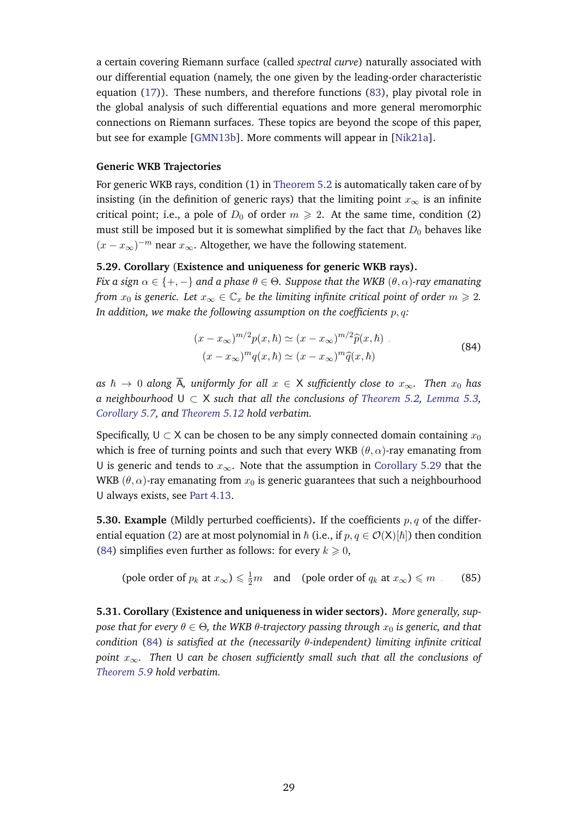a certain covering Riemann surface (called *spectral curve*) naturally associated with our differential equation (namely, the one given by the leading-order characteristic equation [\(17\)](#page-8-2)). These numbers, and therefore functions [\(83\)](#page-27-1), play pivotal role in the global analysis of such differential equations and more general meromorphic connections on Riemann surfaces. These topics are beyond the scope of this paper, but see for example [\[GMN13b\]](#page-56-19). More comments will appear in [\[Nik21a\]](#page-57-16).

#### **Generic WKB Trajectories**

For generic WKB rays, condition (1) in [Theorem 5.2](#page-20-1) is automatically taken care of by insisting (in the definition of generic rays) that the limiting point  $x_{\infty}$  is an infinite critical point; i.e., a pole of  $D_0$  of order  $m \ge 2$ . At the same time, condition (2) must still be imposed but it is somewhat simplified by the fact that  $D_0$  behaves like  $(x - x_{\infty})^{-m}$  near  $x_{\infty}$ . Altogether, we have the following statement.

#### <span id="page-28-0"></span>**5.29. Corollary** (**Existence and uniqueness for generic WKB rays).**

*Fix a sign*  $\alpha \in \{+, -\}$  *and a phase*  $\theta \in \Theta$ *. Suppose that the WKB*  $(\theta, \alpha)$ *-ray emanating from*  $x_0$  *is generic. Let*  $x_\infty \in \mathbb{C}_x$  *be the limiting infinite critical point of order*  $m \geq 2$ *. In addition, we make the following assumption on the coefficients*  $p, q$ :

<span id="page-28-1"></span>
$$
(x - x_{\infty})^{m/2} p(x, \hbar) \simeq (x - x_{\infty})^{m/2} \widehat{p}(x, \hbar) ,
$$
  

$$
(x - x_{\infty})^m q(x, \hbar) \simeq (x - x_{\infty})^m \widehat{q}(x, \hbar)
$$
 (84)

*as*  $\hbar \rightarrow 0$  *along*  $\overline{A}$ *, uniformly for all*  $x \in X$  *sufficiently close to*  $x_{\infty}$ *. Then*  $x_0$  *has a neighbourhood* U ⊂ X *such that all the conclusions of [Theorem 5.2,](#page-20-1) [Lemma 5.3,](#page-20-4) [Corollary 5.7,](#page-21-0) and [Theorem 5.12](#page-23-0) hold verbatim.*

Specifically,  $U \subset X$  can be chosen to be any simply connected domain containing  $x_0$ which is free of turning points and such that every WKB  $(\theta, \alpha)$ -ray emanating from U is generic and tends to  $x_{\infty}$ . Note that the assumption in [Corollary 5.29](#page-28-0) that the WKB  $(\theta, \alpha)$ -ray emanating from  $x_0$  is generic guarantees that such a neighbourhood U always exists, see [Part 4.13.](#page-18-2)

<span id="page-28-3"></span>**5.30. Example** (Mildly perturbed coefficients). If the coefficients  $p, q$  of the differ-ential equation [\(2\)](#page-3-2) are at most polynomial in  $\hbar$  (i.e., if  $p, q \in \mathcal{O}(X)[\hbar]$ ) then condition [\(84\)](#page-28-1) simplifies even further as follows: for every  $k \geq 0$ ,

<span id="page-28-2"></span>(pole order of  $p_k$  at  $x_{\infty}$ )  $\leq \frac{1}{2}m$  and (pole order of  $q_k$  at  $x_{\infty}$ )  $\leq m$  . (85)

**5.31. Corollary** (**Existence and uniqueness in wider sectors).** *More generally, suppose that for every*  $\theta \in \Theta$ , the WKB  $\theta$ -trajectory passing through  $x_0$  is generic, and that *condition* [\(84\)](#page-28-1) *is satisfied at the (necessarily* θ*-independent) limiting infinite critical point* x∞*. Then* U *can be chosen sufficiently small such that all the conclusions of [Theorem 5.9](#page-22-1) hold verbatim.*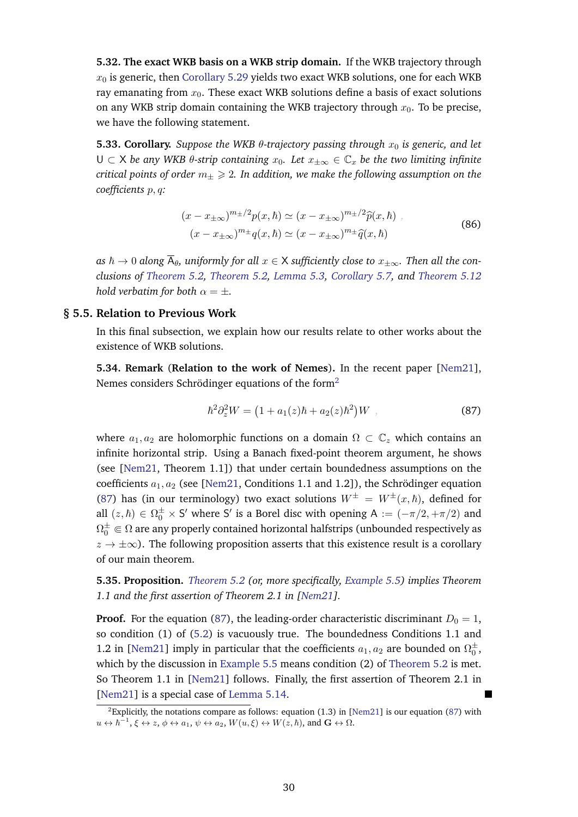**5.32. The exact WKB basis on a WKB strip domain.** If the WKB trajectory through  $x_0$  is generic, then [Corollary 5.29](#page-28-0) yields two exact WKB solutions, one for each WKB ray emanating from  $x_0$ . These exact WKB solutions define a basis of exact solutions on any WKB strip domain containing the WKB trajectory through  $x_0$ . To be precise, we have the following statement.

**5.33. Corollary.** *Suppose the WKB*  $\theta$ *-trajectory passing through*  $x_0$  *is generic, and let* U ⊂ X *be any WKB* θ*-strip containing* x0*. Let* x±∞ ∈ C<sup>x</sup> *be the two limiting infinite critical points of order*  $m_+ \geq 2$ . In addition, we make the following assumption on the *coefficients* p, q*:*

$$
(x - x_{\pm\infty})^{m_{\pm}/2} p(x,\hbar) \simeq (x - x_{\pm\infty})^{m_{\pm}/2} \widehat{p}(x,\hbar) ,
$$
  

$$
(x - x_{\pm\infty})^{m_{\pm}} q(x,\hbar) \simeq (x - x_{\pm\infty})^{m_{\pm}} \widehat{q}(x,\hbar)
$$
 (86)

as  $\hbar \to 0$  along  $\overline{A}_{\theta}$ , uniformly for all  $x \in X$  sufficiently close to  $x_{+\infty}$ . Then all the con*clusions of [Theorem 5.2,](#page-20-1) [Theorem 5.2,](#page-20-1) [Lemma 5.3,](#page-20-4) [Corollary 5.7,](#page-21-0) and [Theorem 5.12](#page-23-0) hold verbatim for both*  $\alpha = \pm$ *.* 

#### **§ 5.5. Relation to Previous Work**

<span id="page-29-0"></span>In this final subsection, we explain how our results relate to other works about the existence of WKB solutions.

**5.34. Remark** (**Relation to the work of Nemes**)**.** In the recent paper [\[Nem21\]](#page-57-10), Nemes considers Schrödinger equations of the form $^2$  $^2$ 

<span id="page-29-1"></span>
$$
\hbar^2 \partial_z^2 W = (1 + a_1(z)\hbar + a_2(z)\hbar^2)W , \qquad (87)
$$

where  $a_1, a_2$  are holomorphic functions on a domain  $\Omega \subset \mathbb{C}_z$  which contains an infinite horizontal strip. Using a Banach fixed-point theorem argument, he shows (see [\[Nem21,](#page-57-10) Theorem 1.1]) that under certain boundedness assumptions on the coefficients  $a_1, a_2$  (see [\[Nem21,](#page-57-10) Conditions 1.1 and 1.2]), the Schrödinger equation [\(87\)](#page-29-1) has (in our terminology) two exact solutions  $W^{\pm} = W^{\pm}(x,\hbar)$ , defined for all  $(z, \hbar) \in \Omega_0^{\pm} \times S'$  where S' is a Borel disc with opening A :=  $(-\pi/2, +\pi/2)$  and  $\Omega_0^\pm\Subset\Omega$  are any properly contained horizontal halfstrips (unbounded respectively as  $z \to \pm \infty$ ). The following proposition asserts that this existence result is a corollary of our main theorem.

**5.35. Proposition.** *[Theorem 5.2](#page-20-1) (or, more specifically, [Example 5.5\)](#page-21-1) implies Theorem 1.1 and the first assertion of Theorem 2.1 in [\[Nem21\]](#page-57-10).*

**Proof.** For the equation [\(87\)](#page-29-1), the leading-order characteristic discriminant  $D_0 = 1$ , so condition (1) of [\(5.2\)](#page-20-1) is vacuously true. The boundedness Conditions 1.1 and 1.2 in [\[Nem21\]](#page-57-10) imply in particular that the coefficients  $a_1, a_2$  are bounded on  $\Omega_0^{\pm}$ , which by the discussion in [Example 5.5](#page-21-1) means condition (2) of [Theorem 5.2](#page-20-1) is met. So Theorem 1.1 in [\[Nem21\]](#page-57-10) follows. Finally, the first assertion of Theorem 2.1 in [\[Nem21\]](#page-57-10) is a special case of [Lemma 5.14.](#page-23-1)

<sup>&</sup>lt;sup>2</sup>Explicitly, the notations compare as follows: equation (1.3) in [\[Nem21\]](#page-57-10) is our equation [\(87\)](#page-29-1) with  $u \leftrightarrow \hbar^{-1}$ ,  $\xi \leftrightarrow z$ ,  $\phi \leftrightarrow a_1$ ,  $\psi \leftrightarrow a_2$ ,  $W(u,\xi) \leftrightarrow W(z,\hbar)$ , and  $\mathbf{G} \leftrightarrow \Omega$ .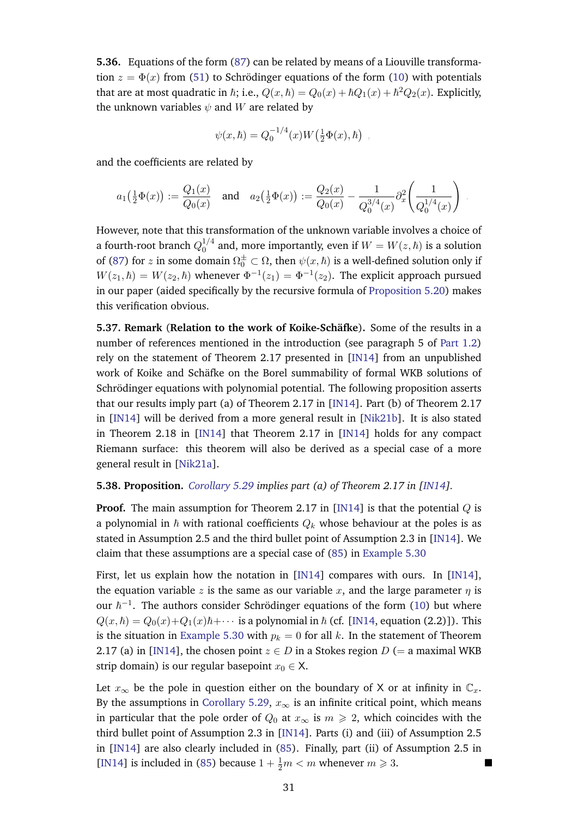**5.36.** Equations of the form [\(87\)](#page-29-1) can be related by means of a Liouville transformation  $z = \Phi(x)$  from [\(51\)](#page-16-0) to Schrödinger equations of the form ([10\)](#page-6-1) with potentials that are at most quadratic in  $\hbar$ ; i.e.,  $Q(x,\hbar)=Q_0(x)+\hbar Q_1(x)+\hbar^2 Q_2(x)$ . Explicitly, the unknown variables  $\psi$  and W are related by

$$
\psi(x,\hbar) = Q_0^{-1/4}(x)W(\frac{1}{2}\Phi(x),\hbar)
$$

,

and the coefficients are related by

$$
a_1(\tfrac{1}{2}\Phi(x)) := \frac{Q_1(x)}{Q_0(x)} \quad \text{and} \quad a_2(\tfrac{1}{2}\Phi(x)) := \frac{Q_2(x)}{Q_0(x)} - \frac{1}{Q_0^{3/4}(x)} \partial_x^2\left(\frac{1}{Q_0^{1/4}(x)}\right) \; .
$$

However, note that this transformation of the unknown variable involves a choice of a fourth-root branch  $Q_0^{1/4}$  $_0^{1/4}$  and, more importantly, even if  $W = W(z, \hbar)$  is a solution of [\(87\)](#page-29-1) for z in some domain  $\Omega_0^{\pm} \subset \Omega$ , then  $\psi(x,\hbar)$  is a well-defined solution only if  $W(z_1, \hbar) = W(z_2, \hbar)$  whenever  $\Phi^{-1}(z_1) = \Phi^{-1}(z_2)$ . The explicit approach pursued in our paper (aided specifically by the recursive formula of [Proposition 5.20\)](#page-25-0) makes this verification obvious.

<span id="page-30-1"></span>**5.37. Remark** (**Relation to the work of Koike-Schafke ¨** )**.** Some of the results in a number of references mentioned in the introduction (see paragraph 5 of [Part 1.2\)](#page-2-0) rely on the statement of Theorem 2.17 presented in [\[IN14\]](#page-56-14) from an unpublished work of Koike and Schäfke on the Borel summability of formal WKB solutions of Schrödinger equations with polynomial potential. The following proposition asserts that our results imply part (a) of Theorem 2.17 in [\[IN14\]](#page-56-14). Part (b) of Theorem 2.17 in [\[IN14\]](#page-56-14) will be derived from a more general result in [\[Nik21b\]](#page-57-17). It is also stated in Theorem 2.18 in [\[IN14\]](#page-56-14) that Theorem 2.17 in [\[IN14\]](#page-56-14) holds for any compact Riemann surface: this theorem will also be derived as a special case of a more general result in [\[Nik21a\]](#page-57-16).

#### **5.38. Proposition.** *[Corollary 5.29](#page-28-0) implies part (a) of Theorem 2.17 in [\[IN14\]](#page-56-14).*

**Proof.** The main assumption for Theorem 2.17 in [\[IN14\]](#page-56-14) is that the potential Q is a polynomial in  $\hbar$  with rational coefficients  $Q_k$  whose behaviour at the poles is as stated in Assumption 2.5 and the third bullet point of Assumption 2.3 in [\[IN14\]](#page-56-14). We claim that these assumptions are a special case of [\(85\)](#page-28-2) in [Example 5.30](#page-28-3)

First, let us explain how the notation in [\[IN14\]](#page-56-14) compares with ours. In [\[IN14\]](#page-56-14), the equation variable z is the same as our variable x, and the large parameter  $\eta$  is our  $\hbar^{-1}$ . The authors consider Schrödinger equations of the form ([10\)](#page-6-1) but where  $Q(x, \hbar) = Q_0(x) + Q_1(x)\hbar + \cdots$  is a polynomial in  $\hbar$  (cf. [\[IN14,](#page-56-14) equation (2.2)]). This is the situation in [Example 5.30](#page-28-3) with  $p_k = 0$  for all k. In the statement of Theorem 2.17 (a) in [\[IN14\]](#page-56-14), the chosen point  $z \in D$  in a Stokes region D (= a maximal WKB strip domain) is our regular basepoint  $x_0 \in X$ .

<span id="page-30-0"></span>Let  $x_{\infty}$  be the pole in question either on the boundary of X or at infinity in  $\mathbb{C}_x$ . By the assumptions in [Corollary 5.29,](#page-28-0)  $x_{\infty}$  is an infinite critical point, which means in particular that the pole order of  $Q_0$  at  $x_\infty$  is  $m \geq 2$ , which coincides with the third bullet point of Assumption 2.3 in [\[IN14\]](#page-56-14). Parts (i) and (iii) of Assumption 2.5 in [\[IN14\]](#page-56-14) are also clearly included in [\(85\)](#page-28-2). Finally, part (ii) of Assumption 2.5 in [\[IN14\]](#page-56-14) is included in [\(85\)](#page-28-2) because  $1 + \frac{1}{2}m < m$  whenever  $m \ge 3$ .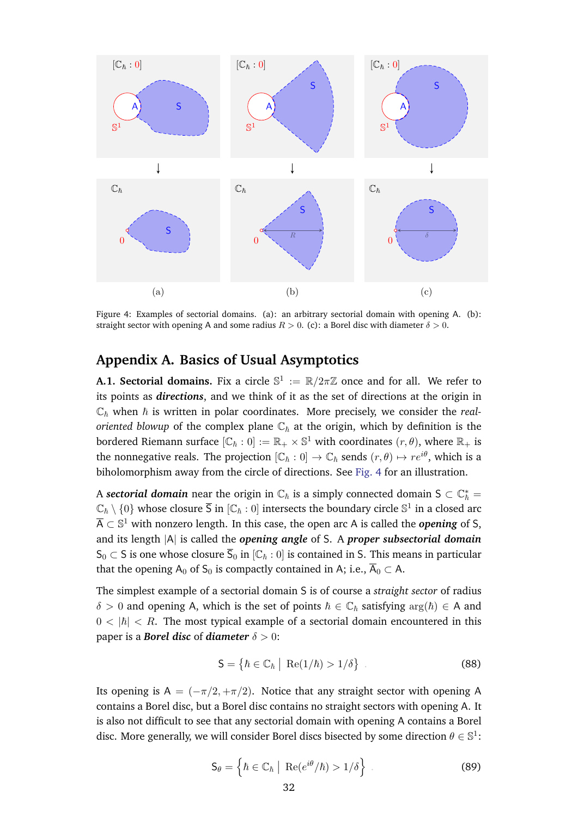<span id="page-31-2"></span>

Figure 4: Examples of sectorial domains. (a): an arbitrary sectorial domain with opening A. (b): straight sector with opening A and some radius  $R > 0$ . (c): a Borel disc with diameter  $\delta > 0$ .

# **Appendix A. Basics of Usual Asymptotics**

<span id="page-31-1"></span>**A.1. Sectorial domains.** Fix a circle  $\mathbb{S}^1 := \mathbb{R}/2\pi\mathbb{Z}$  once and for all. We refer to its points as *directions*, and we think of it as the set of directions at the origin in  $\mathbb{C}_{\hbar}$  when  $\hbar$  is written in polar coordinates. More precisely, we consider the *realoriented blowup* of the complex plane  $\mathbb{C}_h$  at the origin, which by definition is the bordered Riemann surface  $[\mathbb{C}_\hbar:0]:=\mathbb{R}_+\times\mathbb{S}^1$  with coordinates  $(r,\theta),$  where  $\mathbb{R}_+$  is the nonnegative reals. The projection  $[\mathbb{C}_h: 0] \to \mathbb{C}_h$  sends  $(r, \theta) \mapsto re^{i\theta}$ , which is a biholomorphism away from the circle of directions. See [Fig. 4](#page-31-2) for an illustration.

A *sectorial domain* near the origin in  $\mathbb{C}_\hbar$  is a simply connected domain S  $\subset \mathbb{C}_\hbar^*$  =  $\mathbb{C}_\hbar\setminus\{0\}$  whose closure  $\overline{\mathsf{S}}$  in  $[\mathbb{C}_\hbar:0]$  intersects the boundary circle  $\mathbb{S}^1$  in a closed arc  $\overline{\sf A} \subset \mathbb{S}^1$  with nonzero length. In this case, the open arc A is called the  $\bm{opening}$  of S, and its length |A| is called the *opening angle* of S. A *proper subsectorial domain* S<sub>0</sub> ⊂ S is one whose closure  $\overline{S}_0$  in  $[{\mathbb C}_h : 0]$  is contained in S. This means in particular that the opening A<sub>0</sub> of S<sub>0</sub> is compactly contained in A; i.e.,  $\overline{A}_0 \subset A$ .

The simplest example of a sectorial domain S is of course a *straight sector* of radius  $\delta > 0$  and opening A, which is the set of points  $\hbar \in \mathbb{C}_{\hbar}$  satisfying  $\arg(\hbar) \in A$  and  $0 < |h| < R$ . The most typical example of a sectorial domain encountered in this paper is a *Borel disc* of *diameter*  $\delta > 0$ :

$$
\mathsf{S} = \left\{ \hbar \in \mathbb{C}_{\hbar} \; \middle| \; \mathrm{Re}(1/\hbar) > 1/\delta \right\} \tag{88}
$$

<span id="page-31-0"></span>Its opening is A =  $(-\pi/2, +\pi/2)$ . Notice that any straight sector with opening A contains a Borel disc, but a Borel disc contains no straight sectors with opening A. It is also not difficult to see that any sectorial domain with opening A contains a Borel disc. More generally, we will consider Borel discs bisected by some direction  $\theta \in \mathbb{S}^1$ :

$$
\mathsf{S}_{\theta} = \left\{ \hbar \in \mathbb{C}_{\hbar} \mid \operatorname{Re}(e^{i\theta}/\hbar) > 1/\delta \right\} \ . \tag{89}
$$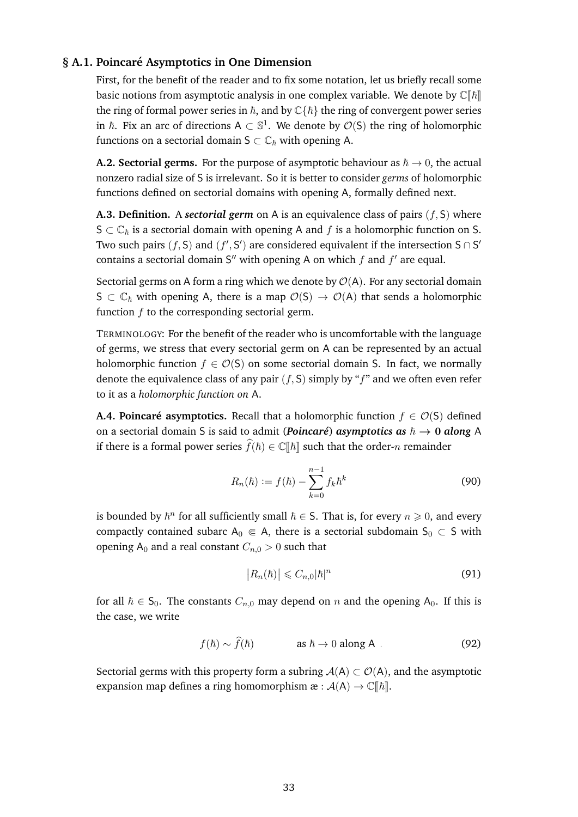# **§ A.1. Poincare Asymptotics in One Dimension ´**

First, for the benefit of the reader and to fix some notation, let us briefly recall some basic notions from asymptotic analysis in one complex variable. We denote by  $\mathbb{C}[\![\hbar]\!]$ the ring of formal power series in  $\hbar$ , and by  $\mathbb{C}\{\hbar\}$  the ring of convergent power series in  $\hbar$ . Fix an arc of directions A  $\subset \mathbb{S}^1$ . We denote by  $\mathcal{O}(\mathsf{S})$  the ring of holomorphic functions on a sectorial domain  $S \subset \mathbb{C}_{\hbar}$  with opening A.

<span id="page-32-1"></span>**A.2. Sectorial germs.** For the purpose of asymptotic behaviour as  $\hbar \to 0$ , the actual nonzero radial size of S is irrelevant. So it is better to consider *germs* of holomorphic functions defined on sectorial domains with opening A, formally defined next.

**A.3. Definition.** A *sectorial germ* on A is an equivalence class of pairs (f, S) where  $S \subset \mathbb{C}_{\hbar}$  is a sectorial domain with opening A and f is a holomorphic function on S. Two such pairs  $(f, S)$  and  $(f', S')$  are considered equivalent if the intersection  $S \cap S'$ contains a sectorial domain S" with opening A on which  $f$  and  $f'$  are equal.

Sectorial germs on A form a ring which we denote by  $\mathcal{O}(A)$ . For any sectorial domain  $S \subset \mathbb{C}_{\hbar}$  with opening A, there is a map  $\mathcal{O}(S) \to \mathcal{O}(A)$  that sends a holomorphic function  $f$  to the corresponding sectorial germ.

TERMINOLOGY: For the benefit of the reader who is uncomfortable with the language of germs, we stress that every sectorial germ on A can be represented by an actual holomorphic function  $f \in \mathcal{O}(S)$  on some sectorial domain S. In fact, we normally denote the equivalence class of any pair  $(f, S)$  simply by " $f$ " and we often even refer to it as a *holomorphic function on* A.

**A.4. Poincaré asymptotics.** Recall that a holomorphic function  $f \in \mathcal{O}(S)$  defined on a sectorial domain S is said to admit (*Poincaré*) *asymptotics as*  $\hbar \rightarrow 0$  *along* A if there is a formal power series  $\widehat{f}(\hbar) \in \mathbb{C}[\![\hbar]\!]$  such that the order-n remainder

$$
R_n(\hbar) := f(\hbar) - \sum_{k=0}^{n-1} f_k \hbar^k
$$
\n(90)

is bounded by  $\hbar^n$  for all sufficiently small  $\hbar \in S$ . That is, for every  $n \geq 0$ , and every compactly contained subarc  $A_0 \in A$ , there is a sectorial subdomain  $S_0 \subset S$  with opening  $A_0$  and a real constant  $C_{n,0} > 0$  such that

<span id="page-32-2"></span>
$$
\left|R_n(\hbar)\right| \leqslant C_{n,0}|\hbar|^n\tag{91}
$$

for all  $h \in S_0$ . The constants  $C_{n,0}$  may depend on n and the opening  $A_0$ . If this is the case, we write

<span id="page-32-3"></span>
$$
f(\hbar) \sim \hat{f}(\hbar) \qquad \qquad \text{as } \hbar \to 0 \text{ along } A \tag{92}
$$

<span id="page-32-0"></span>Sectorial germs with this property form a subring  $A(A) \subset O(A)$ , and the asymptotic expansion map defines a ring homomorphism  $\mathfrak{E} : \mathcal{A}(A) \to \mathbb{C}[[\hbar]]$ .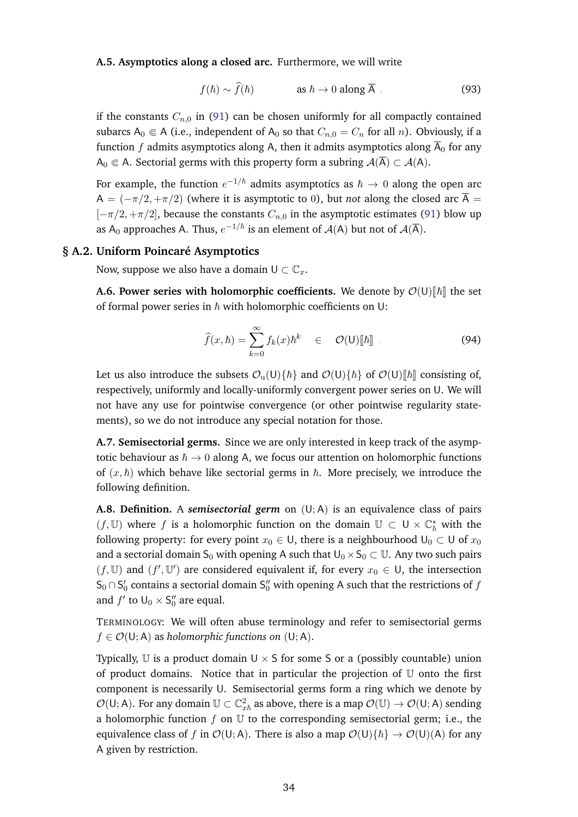**A.5. Asymptotics along a closed arc.** Furthermore, we will write

<span id="page-33-3"></span>
$$
f(\hbar) \sim \hat{f}(\hbar) \qquad \qquad \text{as } \hbar \to 0 \text{ along } \overline{A} \tag{93}
$$

if the constants  $C_{n,0}$  in [\(91\)](#page-32-2) can be chosen uniformly for all compactly contained subarcs  $A_0 \in A$  (i.e., independent of  $A_0$  so that  $C_{n,0} = C_n$  for all n). Obviously, if a function f admits asymptotics along A, then it admits asymptotics along  $\overline{A}_0$  for any A<sub>0</sub> ∈ A. Sectorial germs with this property form a subring  $A(\overline{A}) \subset A(A)$ .

For example, the function  $e^{-1/\hbar}$  admits asymptotics as  $\hbar\to 0$  along the open arc A =  $(-\pi/2, +\pi/2)$  (where it is asymptotic to 0), but *not* along the closed arc  $\overline{A}$  =  $[-\pi/2, +\pi/2]$ , because the constants  $C_{n,0}$  in the asymptotic estimates [\(91\)](#page-32-2) blow up as A<sub>0</sub> approaches A. Thus,  $e^{-1/\hbar}$  is an element of  $\mathcal{A}(A)$  but not of  $\mathcal{A}(\overline{A})$ .

#### **§ A.2. Uniform Poincare Asymptotics ´**

<span id="page-33-0"></span>Now, suppose we also have a domain  $U \subset \mathbb{C}_r$ .

**A.6. Power series with holomorphic coefficients.** We denote by  $\mathcal{O}(U)[\hbar]$  the set of formal power series in  $h$  with holomorphic coefficients on U:

$$
\widehat{f}(x,\hbar) = \sum_{k=0}^{\infty} f_k(x)\hbar^k \in \mathcal{O}(\mathsf{U})[\![\hbar]\!]
$$
\n(94)

Let us also introduce the subsets  $\mathcal{O}_u(U)\{\hbar\}$  and  $\mathcal{O}(U)\{\hbar\}$  of  $\mathcal{O}(U)\{\hbar\}$  consisting of, respectively, uniformly and locally-uniformly convergent power series on U. We will not have any use for pointwise convergence (or other pointwise regularity statements), so we do not introduce any special notation for those.

<span id="page-33-1"></span>**A.7. Semisectorial germs.** Since we are only interested in keep track of the asymptotic behaviour as  $\hbar \rightarrow 0$  along A, we focus our attention on holomorphic functions of  $(x, \hbar)$  which behave like sectorial germs in  $\hbar$ . More precisely, we introduce the following definition.

<span id="page-33-2"></span>**A.8. Definition.** A *semisectorial germ* on (U; A) is an equivalence class of pairs (*f*, U) where *f* is a holomorphic function on the domain  $\mathbb{U}$  ⊂  $\mathsf{U} \times \mathbb{C}_{\hbar}^*$  with the following property: for every point  $x_0 \in U$ , there is a neighbourhood  $U_0 \subset U$  of  $x_0$ and a sectorial domain S<sub>0</sub> with opening A such that  $U_0 \times S_0 \subset \mathbb{U}$ . Any two such pairs  $(f, U)$  and  $(f', U')$  are considered equivalent if, for every  $x_0 \in U$ , the intersection  $\mathsf{S}_0 \cap \mathsf{S}'_0$  contains a sectorial domain  $\mathsf{S}''_0$  with opening A such that the restrictions of  $f$ and  $f'$  to  $\mathsf{U}_0 \times \mathsf{S}_0''$  are equal.

TERMINOLOGY: We will often abuse terminology and refer to semisectorial germs  $f \in \mathcal{O}(U; A)$  as *holomorphic functions on*  $(U; A)$ .

Typically, U is a product domain  $U \times S$  for some S or a (possibly countable) union of product domains. Notice that in particular the projection of U onto the first component is necessarily U. Semisectorial germs form a ring which we denote by  $\mathcal{O}(\sf{U};\sf{A})$ . For any domain  $\mathbb{U}\subset\mathbb{C}^2_{x\hbar}$  as above, there is a map  $\mathcal{O}(\mathbb{U})\to\mathcal{O}(\sf{U};\sf{A})$  sending a holomorphic function  $f$  on  $U$  to the corresponding semisectorial germ; i.e., the equivalence class of f in  $\mathcal{O}(U; A)$ . There is also a map  $\mathcal{O}(U)\{\hbar\} \to \mathcal{O}(U)(A)$  for any A given by restriction.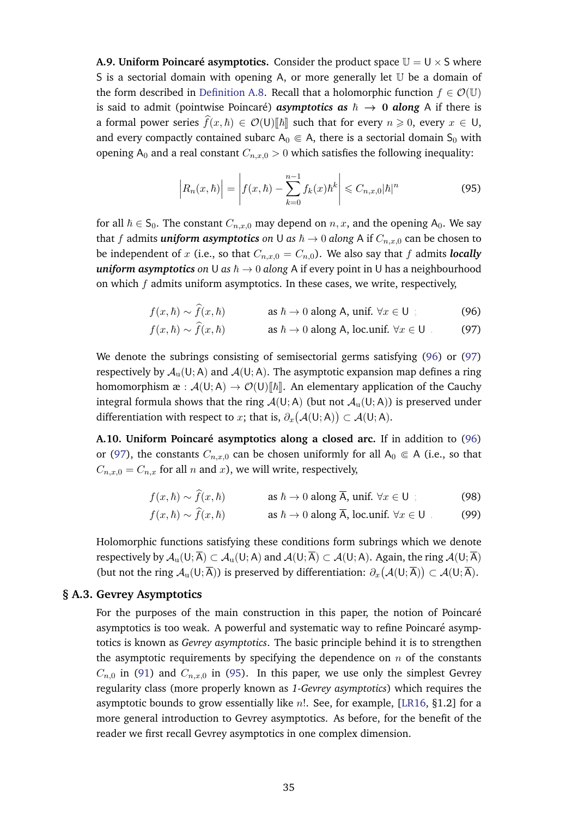**A.9. Uniform Poincaré asymptotics.** Consider the product space  $\mathbb{U} = \mathbb{U} \times \mathbb{S}$  where S is a sectorial domain with opening A, or more generally let  $U$  be a domain of the form described in [Definition A.8.](#page-33-2) Recall that a holomorphic function  $f \in \mathcal{O}(\mathbb{U})$ is said to admit (pointwise Poincaré) *asymptotics as*  $\hbar \rightarrow 0$  *along* A if there is a formal power series  $\widehat{f}(x, \hbar) \in \mathcal{O}(U)[\hbar]$  such that for every  $n \geq 0$ , every  $x \in U$ , and every compactly contained subarc  $A_0 \in A$ , there is a sectorial domain S<sub>0</sub> with opening A<sub>0</sub> and a real constant  $C_{n,x,0} > 0$  which satisfies the following inequality:

<span id="page-34-3"></span><span id="page-34-1"></span>
$$
\left| R_n(x,\hbar) \right| = \left| f(x,\hbar) - \sum_{k=0}^{n-1} f_k(x)\hbar^k \right| \leq C_{n,x,0} |\hbar|^n \tag{95}
$$

for all  $h \in S_0$ . The constant  $C_{n,x,0}$  may depend on  $n, x$ , and the opening  $A_0$ . We say that f admits *uniform asymptotics* on U *as*  $\hbar \rightarrow 0$  *along* A if  $C_{n,x,0}$  can be chosen to be independent of x (i.e., so that  $C_{n,x,0} = C_{n,0}$ ). We also say that f admits *locally uniform asymptotics on* U *as*  $\hbar \rightarrow 0$  *along* A if every point in U has a neighbourhood on which  $f$  admits uniform asymptotics. In these cases, we write, respectively,

$$
f(x, \hbar) \sim f(x, \hbar)
$$
 as  $\hbar \to 0$  along A, unif.  $\forall x \in U$  ; (96)

<span id="page-34-2"></span>
$$
f(x, \hbar) \sim f(x, \hbar)
$$
 as  $\hbar \to 0$  along A, loc.

We denote the subrings consisting of semisectorial germs satisfying [\(96\)](#page-34-1) or [\(97\)](#page-34-2) respectively by  $\mathcal{A}_u(U; A)$  and  $\mathcal{A}(U; A)$ . The asymptotic expansion map defines a ring homomorphism  $\mathfrak{E}: \mathcal{A}(\mathsf{U}; \mathsf{A}) \to \mathcal{O}(\mathsf{U})[\![\hbar]\!]$ . An elementary application of the Cauchy integral formula shows that the ring  $A(U; A)$  (but not  $A_U(U; A)$ ) is preserved under differentiation with respect to  $x$ ; that is,  $\partial_x\big(\mathcal{A}(\mathsf{U};\mathsf{A})\big) \subset \mathcal{A}(\mathsf{U};\mathsf{A}).$ 

**A.10. Uniform Poincare asymptotics along a closed arc. ´** If in addition to [\(96\)](#page-34-1) or [\(97\)](#page-34-2), the constants  $C_{n,x,0}$  can be chosen uniformly for all  $A_0 \in A$  (i.e., so that  $C_{n,x,0} = C_{n,x}$  for all n and x), we will write, respectively,

 $f(x, \hbar) \sim \hat{f}(x, \hbar)$  as  $\hbar \to 0$  along  $\overline{A}$ , unif.  $\forall x \in U$  ; (98)

<span id="page-34-5"></span><span id="page-34-4"></span>
$$
f(x, \hbar) \sim \hat{f}(x, \hbar)
$$
 as  $\hbar \to 0$  along  $\overline{A}$ , loc.

Holomorphic functions satisfying these conditions form subrings which we denote respectively by  $\mathcal{A}_{\mathfrak{u}}(U; \overline{A}) \subset \mathcal{A}_{\mathfrak{u}}(U; A)$  and  $\mathcal{A}(U; \overline{A}) \subset \mathcal{A}(U; A)$ . Again, the ring  $\mathcal{A}(U; \overline{A})$ (but not the ring  $\mathcal{A}_u(U;\overline{A}))$  is preserved by differentiation:  $\partial_x(\mathcal{A}(U;\overline{A})) \subset \mathcal{A}(U;\overline{A})$ .

#### **§ A.3. Gevrey Asymptotics**

<span id="page-34-0"></span>For the purposes of the main construction in this paper, the notion of Poincaré asymptotics is too weak. A powerful and systematic way to refine Poincaré asymptotics is known as *Gevrey asymptotics*. The basic principle behind it is to strengthen the asymptotic requirements by specifying the dependence on  $n$  of the constants  $C_{n,0}$  in [\(91\)](#page-32-2) and  $C_{n,x,0}$  in [\(95\)](#page-34-3). In this paper, we use only the simplest Gevrey regularity class (more properly known as *1-Gevrey asymptotics*) which requires the asymptotic bounds to grow essentially like n!. See, for example, [\[LR16,](#page-57-21) §1.2] for a more general introduction to Gevrey asymptotics. As before, for the benefit of the reader we first recall Gevrey asymptotics in one complex dimension.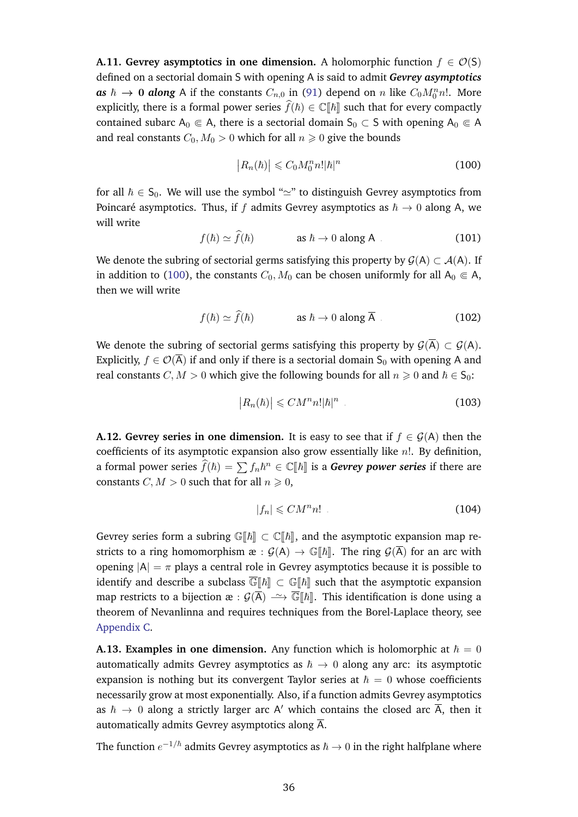**A.11. Gevrey asymptotics in one dimension.** A holomorphic function  $f \in \mathcal{O}(S)$ defined on a sectorial domain S with opening A is said to admit *Gevrey asymptotics* **as**  $\hbar \to 0$  **along** A if the constants  $C_{n,0}$  in [\(91\)](#page-32-2) depend on n like  $C_0M_0^n n!$ . More explicitly, there is a formal power series  $\widehat{f}(\hbar) \in \mathbb{C}[\hbar]$  such that for every compactly contained subarc  $A_0 \n\t\in A$ , there is a sectorial domain  $S_0 \subset S$  with opening  $A_0 \in A$ and real constants  $C_0$ ,  $M_0 > 0$  which for all  $n \ge 0$  give the bounds

<span id="page-35-0"></span>
$$
\left|R_n(\hbar)\right| \leqslant C_0 M_0^n n! |\hbar|^n \tag{100}
$$

<span id="page-35-1"></span>for all  $\hbar \in S_0$ . We will use the symbol " $\simeq$ " to distinguish Gevrey asymptotics from Poincaré asymptotics. Thus, if f admits Gevrey asymptotics as  $\hbar \rightarrow 0$  along A, we will write

$$
f(\hbar) \simeq \hat{f}(\hbar) \qquad \qquad \text{as } \hbar \to 0 \text{ along } A \tag{101}
$$

We denote the subring of sectorial germs satisfying this property by  $\mathcal{G}(A) \subset \mathcal{A}(A)$ . If in addition to [\(100\)](#page-35-0), the constants  $C_0$ ,  $M_0$  can be chosen uniformly for all  $A_0 \in A$ , then we will write

<span id="page-35-2"></span>
$$
f(\hbar) \simeq f(\hbar) \qquad \qquad \text{as } \hbar \to 0 \text{ along } \overline{A} \tag{102}
$$

We denote the subring of sectorial germs satisfying this property by  $\mathcal{G}(\overline{A}) \subset \mathcal{G}(A)$ . Explicitly,  $f \in \mathcal{O}(\overline{A})$  if and only if there is a sectorial domain S<sub>0</sub> with opening A and real constants  $C, M > 0$  which give the following bounds for all  $n \ge 0$  and  $\hbar \in S_0$ :

<span id="page-35-3"></span>
$$
|R_n(\hbar)| \leqslant CM^n n! |\hbar|^n \tag{103}
$$

**A.12. Gevrey series in one dimension.** It is easy to see that if  $f \in \mathcal{G}(A)$  then the coefficients of its asymptotic expansion also grow essentially like  $n!$ . By definition, a formal power series  $\widehat{f}(\hbar) = \sum f_n \hbar^n \in \mathbb{C}[\hbar]$  is a *Gevrey power series* if there are constants  $C, M > 0$  such that for all  $n \geq 0$ ,

$$
|f_n| \leqslant CM^n n! \tag{104}
$$

Gevrey series form a subring  $\mathbb{G}[\![\hbar]\!] \subset \mathbb{C}[\![\hbar]\!]$ , and the asymptotic expansion map restricts to a ring homomorphism  $\mathfrak{E}: \mathcal{G}(A) \to \mathbb{G}[\hbar]\mathbb{R}$ . The ring  $\mathcal{G}(\overline{A})$  for an arc with opening  $|A| = \pi$  plays a central role in Gevrey asymptotics because it is possible to identify and describe a subclass  $\overline{\mathbb{G}}[\![\hbar]\!] \subset \mathbb{G}[\![\hbar]\!]$  such that the asymptotic expansion map restricts to a bijection  $\mathfrak{E} : \mathcal{G}(\overline{A}) \longrightarrow \overline{\mathbb{G}}[[\hbar]]$ . This identification is done using a theorem of Nevanlinna and requires techniques from the Borel-Laplace theory, see [Appendix C.](#page-40-0)

<span id="page-35-4"></span>**A.13. Examples in one dimension.** Any function which is holomorphic at  $\hbar = 0$ automatically admits Gevrey asymptotics as  $\hbar \rightarrow 0$  along any arc: its asymptotic expansion is nothing but its convergent Taylor series at  $\hbar = 0$  whose coefficients necessarily grow at most exponentially. Also, if a function admits Gevrey asymptotics as  $\hbar \rightarrow 0$  along a strictly larger arc A' which contains the closed arc  $\overline{A}$ , then it automatically admits Gevrey asymptotics along  $\overline{A}$ .

The function  $e^{-1/\hbar}$  admits Gevrey asymptotics as  $\hbar\to 0$  in the right halfplane where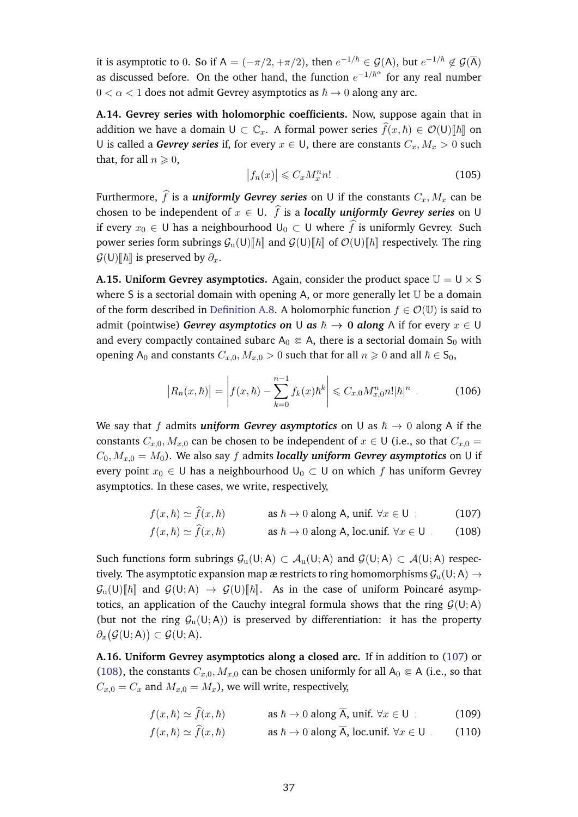it is asymptotic to 0. So if  $A = (-\pi/2, +\pi/2)$ , then  $e^{-1/\hbar} \in \mathcal{G}(A)$ , but  $e^{-1/\hbar} \not\in \mathcal{G}(\overline{A})$ as discussed before. On the other hand, the function  $e^{-1/\hbar^{\alpha}}$  for any real number  $0 < \alpha < 1$  does not admit Gevrey asymptotics as  $\hbar \rightarrow 0$  along any arc.

**A.14. Gevrey series with holomorphic coefficients.** Now, suppose again that in addition we have a domain  $U \subset \mathbb{C}_x$ . A formal power series  $\hat{f}(x, \hbar) \in \mathcal{O}(U)[\hbar]$  on U is called a *Gevrey series* if, for every  $x \in U$ , there are constants  $C_x, M_x > 0$  such that, for all  $n \geqslant 0$ ,

<span id="page-36-3"></span>
$$
\left|f_n(x)\right| \leqslant C_x M_x^n n! \tag{105}
$$

Furthermore,  $\hat{f}$  is a *uniformly Gevrey series* on U if the constants  $C_x, M_x$  can be chosen to be independent of  $x \in U$ .  $\hat{f}$  is a *locally uniformly Gevrey series* on U if every  $x_0$  ∈ U has a neighbourhood  $\cup$ <sub>0</sub> ⊂ U where  $\widehat{f}$  is uniformly Gevrey. Such power series form subrings  $\mathcal{G}_u(U)[\hbar]$  and  $\mathcal{G}(U)[\hbar]$  of  $\mathcal{O}(U)[\hbar]$  respectively. The ring  $\mathcal{G}(U)\llbracket \hbar \rrbracket$  is preserved by  $\partial_x$ .

<span id="page-36-0"></span>**A.15. Uniform Gevrey asymptotics.** Again, consider the product space  $\mathbb{U} = \mathbb{U} \times \mathbb{S}$ where S is a sectorial domain with opening A, or more generally let  $U$  be a domain of the form described in [Definition A.8.](#page-33-2) A holomorphic function  $f \in \mathcal{O}(\mathbb{U})$  is said to admit (pointwise) *Gevrey asymptotics on* U *as*  $\hbar \rightarrow 0$  *along* A if for every  $x \in U$ and every compactly contained subarc  $A_0 \in A$ , there is a sectorial domain S<sub>0</sub> with opening A<sub>0</sub> and constants  $C_{x,0}, M_{x,0} > 0$  such that for all  $n \ge 0$  and all  $\hbar \in S_0$ ,

$$
\left| R_n(x,\hbar) \right| = \left| f(x,\hbar) - \sum_{k=0}^{n-1} f_k(x)\hbar^k \right| \leq C_{x,0} M_{x,0}^n n! |\hbar|^n \quad (106)
$$

We say that f admits *uniform Gevrey asymptotics* on U as  $\hbar \rightarrow 0$  along A if the constants  $C_{x,0}, M_{x,0}$  can be chosen to be independent of  $x \in U$  (i.e., so that  $C_{x,0} =$  $C_0, M_{x,0} = M_0$ ). We also say f admits *locally uniform Gevrey asymptotics* on U if every point  $x_0 \in U$  has a neighbourhood  $U_0 \subset U$  on which f has uniform Gevrey asymptotics. In these cases, we write, respectively,

$$
f(x,\hbar) \simeq f(x,\hbar) \qquad \qquad \text{as } \hbar \to 0 \text{ along A, unif. } \forall x \in U ; \qquad (107)
$$

<span id="page-36-2"></span><span id="page-36-1"></span>
$$
f(x,\hbar) \simeq \hat{f}(x,\hbar) \qquad \qquad \text{as } \hbar \to 0 \text{ along A, loc.}\n\text{unit. } \forall x \in U \qquad (108)
$$

Such functions form subrings  $\mathcal{G}_u(U; A) \subset \mathcal{A}_u(U; A)$  and  $\mathcal{G}(U; A) \subset \mathcal{A}(U; A)$  respectively. The asymptotic expansion map æ restricts to ring homomorphisms  $\mathcal{G}_{\text{u}}(\mathsf{U};\mathsf{A}) \rightarrow$  $\mathcal{G}_{\mathrm{u}}(\mathsf{U})[\![\hbar]\!]$  and  $\mathcal{G}(\mathsf{U};\mathsf{A}) \to \mathcal{G}(\mathsf{U})[\![\hbar]\!]$ . As in the case of uniform Poincaré asymptotics, an application of the Cauchy integral formula shows that the ring  $G(U; A)$ (but not the ring  $G_u(U; A)$ ) is preserved by differentiation: it has the property  $\partial_x \big( \mathcal{G}(\mathsf{U}; \mathsf{A}) \big) \subset \mathcal{G}(\mathsf{U}; \mathsf{A}).$ 

**A.16. Uniform Gevrey asymptotics along a closed arc.** If in addition to [\(107\)](#page-36-1) or [\(108\)](#page-36-2), the constants  $C_{x,0}, M_{x,0}$  can be chosen uniformly for all  $A_0 \in A$  (i.e., so that  $C_{x,0} = C_x$  and  $M_{x,0} = M_x$ , we will write, respectively,

 $f(x, \hbar) \simeq \hat{f}(x, \hbar)$  as  $\hbar \to 0$  along  $\overline{A}$ , unif.  $\forall x \in U$  ; (109)<br>  $f(x, \hbar) \simeq \hat{f}(x, \hbar)$  as  $\hbar \to 0$  along  $\overline{A}$ , loc.unif.  $\forall x \in U$  (110)

<span id="page-36-5"></span><span id="page-36-4"></span>
$$
f(x,\hbar) \simeq \hat{f}(x,\hbar) \qquad \qquad \text{as } \hbar \to 0 \text{ along } \overline{A}, \text{ loc.unif. } \forall x \in U \qquad (110)
$$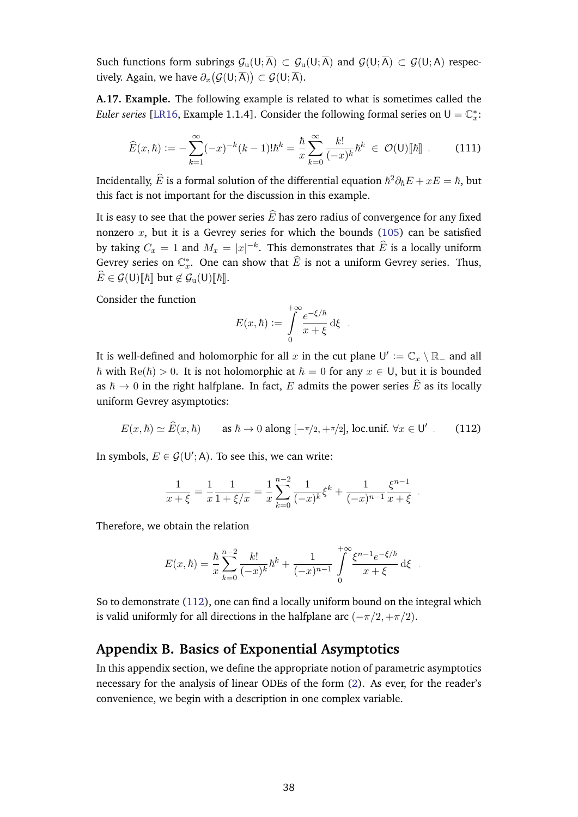Such functions form subrings  $\mathcal{G}_n(U;\overline{A}) \subset \mathcal{G}_n(U;\overline{A})$  and  $\mathcal{G}(U;\overline{A}) \subset \mathcal{G}(U;A)$  respectively. Again, we have  $\partial_x \big( \mathcal{G}(\mathsf{U}; \overline{\mathsf{A}}) \big) \subset \mathcal{G}(\mathsf{U}; \overline{\mathsf{A}}).$ 

**A.17. Example.** The following example is related to what is sometimes called the *Euler series* [\[LR16,](#page-57-21) Example 1.1.4]. Consider the following formal series on  $U = \mathbb{C}_x^*$ :

$$
\widehat{E}(x,\hbar) := -\sum_{k=1}^{\infty} (-x)^{-k} (k-1)! \hbar^k = \frac{\hbar}{x} \sum_{k=0}^{\infty} \frac{k!}{(-x)^k} \hbar^k \in \mathcal{O}(\mathsf{U})[\![\hbar]\!]
$$
(111)

Incidentally,  $\widehat{E}$  is a formal solution of the differential equation  $\hbar^2\partial_\hbar E + xE = \hbar$ , but this fact is not important for the discussion in this example.

It is easy to see that the power series  $\widehat{E}$  has zero radius of convergence for any fixed nonzero  $x$ , but it is a Gevrey series for which the bounds [\(105\)](#page-36-3) can be satisfied by taking  $C_x = 1$  and  $M_x = |x|^{-k}$ . This demonstrates that  $\widehat{E}$  is a locally uniform Gevrey series on  $\mathbb{C}_x^*$ . One can show that  $\widehat{E}$  is not a uniform Gevrey series. Thus,  $E \in \mathcal{G}(\mathsf{U})[\![\hbar]\!]$  but  $\notin \mathcal{G}_{\mathsf{u}}(\mathsf{U})[\![\hbar]\!]$ .

Consider the function

<span id="page-37-2"></span>
$$
E(x,\hbar) := \int_{0}^{+\infty} \frac{e^{-\xi/\hbar}}{x+\xi} d\xi.
$$

It is well-defined and holomorphic for all  $x$  in the cut plane  $\mathsf{U}' := \mathbb{C}_x \setminus \mathbb{R}_+$  and all  $\hbar$  with  $\text{Re}(\hbar) > 0$ . It is not holomorphic at  $\hbar = 0$  for any  $x \in U$ , but it is bounded as  $\hbar \to 0$  in the right halfplane. In fact, E admits the power series  $\hat{E}$  as its locally uniform Gevrey asymptotics:

$$
E(x,\hbar) \simeq \widehat{E}(x,\hbar) \qquad \text{as } \hbar \to 0 \text{ along } [-\pi/2, +\pi/2], \text{loc.unif. } \forall x \in \mathsf{U}' \tag{112}
$$

In symbols,  $E \in \mathcal{G}(\mathsf{U}';\mathsf{A})$ . To see this, we can write:

$$
\frac{1}{x+\xi} = \frac{1}{x} \frac{1}{1+\xi/x} = \frac{1}{x} \sum_{k=0}^{n-2} \frac{1}{(-x)^k} \xi^k + \frac{1}{(-x)^{n-1}} \frac{\xi^{n-1}}{x+\xi}.
$$

Therefore, we obtain the relation

$$
E(x,\hbar) = \frac{\hbar}{x} \sum_{k=0}^{n-2} \frac{k!}{(-x)^k} \hbar^k + \frac{1}{(-x)^{n-1}} \int_0^{+\infty} \frac{\xi^{n-1} e^{-\xi/\hbar}}{x + \xi} d\xi.
$$

So to demonstrate [\(112\)](#page-37-2), one can find a locally uniform bound on the integral which is valid uniformly for all directions in the halfplane arc  $(-\pi/2, +\pi/2)$ .

# <span id="page-37-0"></span>**Appendix B. Basics of Exponential Asymptotics**

<span id="page-37-1"></span>In this appendix section, we define the appropriate notion of parametric asymptotics necessary for the analysis of linear ODEs of the form [\(2\)](#page-3-2). As ever, for the reader's convenience, we begin with a description in one complex variable.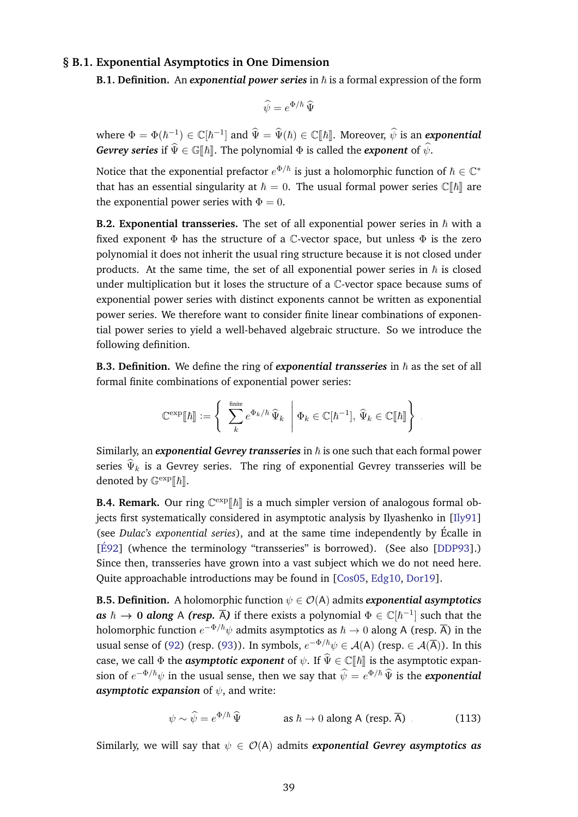#### **§ B.1. Exponential Asymptotics in One Dimension**

**B.1. Definition.** An *exponential power series* in  $\hbar$  is a formal expression of the form

$$
\widehat{\psi} = e^{\Phi/\hbar} \,\widehat{\Psi}
$$

where  $\Phi = \Phi(\hbar^{-1}) \in \mathbb{C}[\hbar^{-1}]$  and  $\widehat{\Psi} = \widehat{\Psi}(\hbar) \in \mathbb{C}[\hbar]$ . Moreover,  $\widehat{\psi}$  is an *exponential Gevrey series* if  $\hat{\Psi} \in \mathbb{G}[\![\hbar]\!]$ . The polynomial  $\Phi$  is called the *exponent* of  $\hat{\psi}$ .

Notice that the exponential prefactor  $e^{\Phi/\hbar}$  is just a holomorphic function of  $\hbar\in\mathbb{C}^*$ that has an essential singularity at  $\hbar = 0$ . The usual formal power series  $\mathbb{C}[\![\hbar]\!]$  are the exponential power series with  $\Phi = 0$ .

**B.2. Exponential transseries.** The set of all exponential power series in  $\hbar$  with a fixed exponent  $\Phi$  has the structure of a C-vector space, but unless  $\Phi$  is the zero polynomial it does not inherit the usual ring structure because it is not closed under products. At the same time, the set of all exponential power series in  $\hbar$  is closed under multiplication but it loses the structure of a C-vector space because sums of exponential power series with distinct exponents cannot be written as exponential power series. We therefore want to consider finite linear combinations of exponential power series to yield a well-behaved algebraic structure. So we introduce the following definition.

**B.3. Definition.** We define the ring of *exponential transseries* in  $\hbar$  as the set of all formal finite combinations of exponential power series:

$$
\mathbb{C}^{\exp}[\![\hbar]\!]:=\left\{\begin{array}{c}\text{finite}\\\sum_{k}e^{\Phi_{k}/\hbar}\,\widehat{\Psi}_{k}\end{array} \middle| \Phi_{k}\in\mathbb{C}[\hbar^{-1}],\,\widehat{\Psi}_{k}\in\mathbb{C}[\![\hbar]\!]\right\}.
$$

Similarly, an *exponential Gevrey transseries* in  $\hbar$  is one such that each formal power series  $\widehat{\Psi}_k$  is a Gevrey series. The ring of exponential Gevrey transseries will be denoted by  $\mathbb{G}^{\exp}[\![\hbar]\!]$ .

**B.4. Remark.** Our ring  $\mathbb{C}^{\exp}[\![\hbar]\!]$  is a much simpler version of analogous formal objects first systematically considered in asymptotic analysis by Ilyashenko in [\[Ily91\]](#page-56-21) (see *Dulac's exponential series*), and at the same time independently by Ecalle in ´  $[\text{É92}]$  (whence the terminology "transseries" is borrowed). (See also [\[DDP93\]](#page-55-6).) Since then, transseries have grown into a vast subject which we do not need here. Quite approachable introductions may be found in [\[Cos05,](#page-55-20) [Edg10,](#page-55-21) [Dor19\]](#page-55-22).

**B.5. Definition.** A holomorphic function  $\psi \in \mathcal{O}(A)$  admits *exponential asymptotics*  $\textit{as} \,\, \hbar \,\to \, 0 \,\, \textit{along} \,\, \mathsf{A}$  *(resp.*  $\overline{\mathsf{A}}$ ) if there exists a polynomial  $\Phi \in \mathbb{C}[\hbar^{-1}]$  such that the holomorphic function  $e^{-\Phi/\hbar}\psi$  admits asymptotics as  $\hbar\to 0$  along A (resp.  $\overline{\sf A})$  in the usual sense of [\(92\)](#page-32-3) (resp. [\(93\)](#page-33-3)). In symbols,  $e^{-\Phi/\hbar}\psi \in \mathcal{A}(\mathsf{A})$  (resp.  $\in \mathcal{A}(\overline{\mathsf{A}})$ ). In this case, we call  $\Phi$  the *asymptotic exponent* of  $\psi$ . If  $\hat{\Psi} \in \mathbb{C}[[\hbar]]$  is the asymptotic expansion of  $e^{-\Phi/\hbar}\psi$  in the usual sense, then we say that  $\widehat{\psi} = e^{\Phi/\hbar} \widehat{\Psi}$  is the *exponential asymptotic expansion* of  $\psi$ , and write:

<span id="page-38-0"></span>
$$
\psi \sim \widehat{\psi} = e^{\Phi/\hbar} \,\widehat{\Psi} \qquad \qquad \text{as } \hbar \to 0 \text{ along A (resp. } \overline{A}) \tag{113}
$$

Similarly, we will say that  $\psi \in \mathcal{O}(A)$  admits *exponential Gevrey asymptotics as*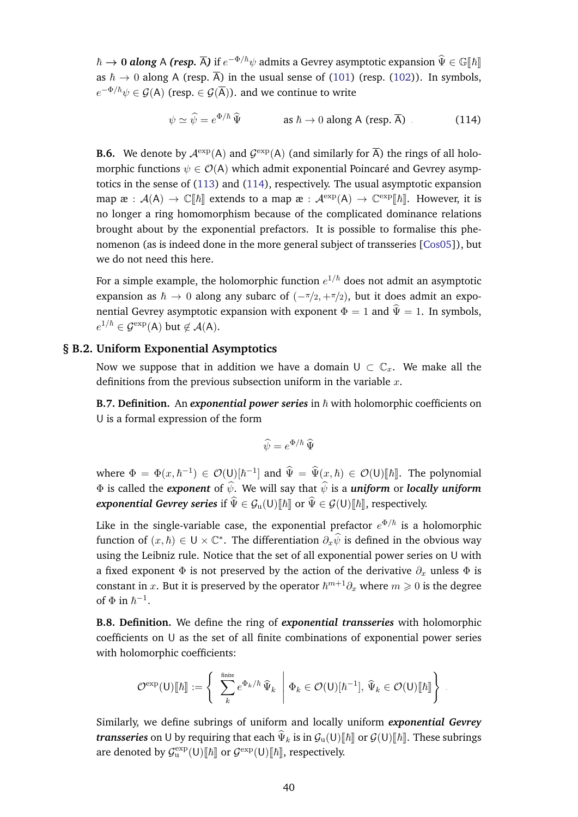$\hbar \to 0$  *along* A *(resp.*  $\overline{A}$ ) if  $e^{-\Phi/\hbar}\psi$  admits a Gevrey asymptotic expansion  $\hat{\Psi} \in \mathbb{G}[[\hbar]]$ as  $\hbar \to 0$  along A (resp.  $\overline{A}$ ) in the usual sense of [\(101\)](#page-35-1) (resp. [\(102\)](#page-35-2)). In symbols,  $e^{-\Phi/\hbar}\psi \in \mathcal{G}(\mathsf{A})$  (resp.  $\in \mathcal{G}(\overline{\mathsf{A}})$ ). and we continue to write

<span id="page-39-3"></span>
$$
\psi \simeq \widehat{\psi} = e^{\Phi/\hbar} \,\widehat{\Psi} \qquad \qquad \text{as } \hbar \to 0 \text{ along A (resp. } \overline{A}) \tag{114}
$$

**B.6.** We denote by  $\mathcal{A}^{\text{exp}}(A)$  and  $\mathcal{G}^{\text{exp}}(A)$  (and similarly for  $\overline{A}$ ) the rings of all holomorphic functions  $\psi \in \mathcal{O}(A)$  which admit exponential Poincaré and Gevrey asymptotics in the sense of [\(113\)](#page-38-0) and [\(114\)](#page-39-3), respectively. The usual asymptotic expansion map  $\mathfrak{E} : \mathcal{A}(A) \to \mathbb{C}[\![\hbar]\!]$  extends to a map  $\mathfrak{E} : \mathcal{A}^{\exp}(A) \to \mathbb{C}^{\exp}[\![\hbar]\!]$ . However, it is no longer a ring homomorphism because of the complicated dominance relations brought about by the exponential prefactors. It is possible to formalise this phenomenon (as is indeed done in the more general subject of transseries [\[Cos05\]](#page-55-20)), but we do not need this here.

For a simple example, the holomorphic function  $e^{1/\hbar}$  does not admit an asymptotic expansion as  $\hbar \to 0$  along any subarc of  $(-\pi/2, +\pi/2)$ , but it does admit an exponential Gevrey asymptotic expansion with exponent  $\Phi = 1$  and  $\hat{\Psi} = 1$ . In symbols,  $e^{1/\hbar} \in \mathcal{G}^{\text{exp}}(\mathsf{A})$  but  $\not\in \mathcal{A}(\mathsf{A})$ .

#### **§ B.2. Uniform Exponential Asymptotics**

<span id="page-39-0"></span>Now we suppose that in addition we have a domain  $U \subset \mathbb{C}_r$ . We make all the definitions from the previous subsection uniform in the variable  $x$ .

<span id="page-39-1"></span>**B.7. Definition.** An *exponential power series* in  $\hbar$  with holomorphic coefficients on U is a formal expression of the form

$$
\widehat{\psi} = e^{\Phi/\hbar} \,\widehat{\Psi}
$$

where  $\Phi = \Phi(x, \hbar^{-1}) \in \mathcal{O}(\mathsf{U})[\hbar^{-1}]$  and  $\widehat{\Psi} = \widehat{\Psi}(x, \hbar) \in \mathcal{O}(\mathsf{U})[\hbar]$ . The polynomial  $\Phi$  is called the *exponent* of  $\hat{\psi}$ . We will say that  $\hat{\psi}$  is a *uniform* or *locally uniform exponential Gevrey series* if  $\widehat{\Psi} \in \mathcal{G}_u(U)[\![\hbar]\!]$  or  $\widehat{\Psi} \in \mathcal{G}(U)[\![\hbar]\!]$ , respectively.

Like in the single-variable case, the exponential prefactor  $e^{\Phi/\hbar}$  is a holomorphic function of  $(x, \hbar) \in U \times \mathbb{C}^*$ . The differentiation  $\partial_x \widehat{\psi}$  is defined in the obvious way using the Leibniz rule. Notice that the set of all exponential power series on U with a fixed exponent  $\Phi$  is not preserved by the action of the derivative  $\partial_x$  unless  $\Phi$  is constant in x. But it is preserved by the operator  $\hbar^{m+1}\partial_x$  where  $m\geqslant 0$  is the degree of  $\Phi$  in  $\hbar^{-1}$ .

<span id="page-39-2"></span>**B.8. Definition.** We define the ring of *exponential transseries* with holomorphic coefficients on U as the set of all finite combinations of exponential power series with holomorphic coefficients:

$$
\mathcal{O}^{\exp}(\mathsf{U})[\![\hbar]\!]:=\left\{\left.\begin{array}{c}\sum\limits_{k}^{\text{finite}}e^{\Phi_k/\hbar}\,\widehat{\Psi}_k \\\end{array}\right|\Phi_k\in\mathcal{O}(\mathsf{U})[\![\hbar^{-1}]\!],\,\widehat{\Psi}_k\in\mathcal{O}(\mathsf{U})[\![\hbar]\!]\right\}\ .
$$

Similarly, we define subrings of uniform and locally uniform *exponential Gevrey transseries* on U by requiring that each  $\widehat{\Psi}_k$  is in  $\mathcal{G}_u(U)[\hbar]$  or  $\mathcal{G}(U)[\hbar]$ . These subrings are denoted by  $\mathcal{G}_u^{\text{exp}}(U)[\![\hbar]\!]$  or  $\mathcal{G}^{\text{exp}}(U)[\![\hbar]\!]$ , respectively.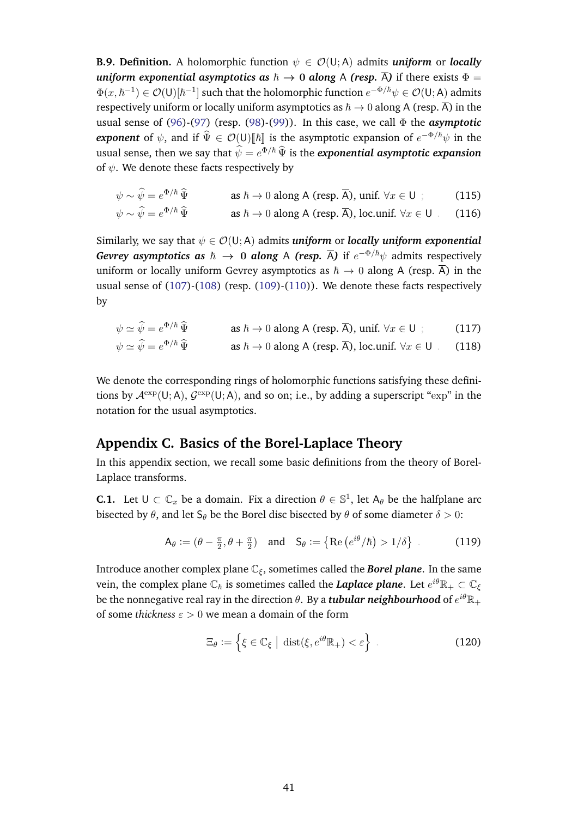**B.9. Definition.** A holomorphic function  $\psi \in \mathcal{O}(\mathsf{U}; A)$  admits *uniform* or *locally uniform exponential asymptotics as*  $\hbar \rightarrow 0$  *along* A *(resp.*  $\overline{A}$ ) if there exists  $\Phi =$  $\Phi(x,\hbar^{-1})\in\mathcal{O}(\mathsf{U})[\hbar^{-1}]$  such that the holomorphic function  $e^{-\Phi/\hbar}\psi\in\mathcal{O}(\mathsf{U};\mathsf{A})$  admits respectively uniform or locally uniform asymptotics as  $\hbar \to 0$  along A (resp.  $\overline{A}$ ) in the usual sense of [\(96\)](#page-34-1)-[\(97\)](#page-34-2) (resp. [\(98\)](#page-34-4)-[\(99\)](#page-34-5)). In this case, we call Φ the *asymptotic exponent* of  $\psi$ , and if  $\widehat{\Psi} \in \mathcal{O}(U)[\hbar]$  is the asymptotic expansion of  $e^{-\Phi/\hbar}\psi$  in the usual sense, then we say that  $\widehat{\psi} = e^{\Phi/\hbar} \widehat{\Psi}$  is the *exponential asymptotic expansion* of  $\psi$ . We denote these facts respectively by

$$
\psi \sim \widehat{\psi} = e^{\Phi/\hbar} \, \widehat{\Psi} \qquad \qquad \text{as } \hbar \to 0 \text{ along A (resp. } \overline{\mathsf{A}}), \text{ unif. } \forall x \in \mathsf{U} \, ; \tag{115}
$$

$$
\psi \sim \widehat{\psi} = e^{\Phi/\hbar} \, \widehat{\Psi} \qquad \qquad \text{as } \hbar \to 0 \text{ along A (resp. } \overline{\mathsf{A}}), \text{ loc.unif. } \forall x \in \mathsf{U} \qquad (116)
$$

Similarly, we say that  $\psi \in \mathcal{O}(U; A)$  admits *uniform* or *locally uniform exponential Gevrey asymptotics as*  $\hbar$   $\to$  0 *along* A *(resp.*  $\overline{A}$ ) if  $e^{-\Phi/\hbar}\psi$  admits respectively uniform or locally uniform Gevrey asymptotics as  $\hbar \to 0$  along A (resp.  $\overline{A}$ ) in the usual sense of  $(107)$ - $(108)$  (resp.  $(109)$ - $(110)$ ). We denote these facts respectively by

$$
\psi \simeq \hat{\psi} = e^{\Phi/\hbar} \hat{\Psi} \qquad \text{as } \hbar \to 0 \text{ along A (resp. } \overline{A}), \text{ unif. } \forall x \in U ; \qquad (117)
$$
  

$$
\psi \simeq \hat{\psi} = e^{\Phi/\hbar} \hat{\Psi} \qquad \text{as } \hbar \to 0 \text{ along A (resp. } \overline{A}), \text{ loc. } \text{unif. } \forall x \in U . \qquad (118)
$$

We denote the corresponding rings of holomorphic functions satisfying these definitions by  $\mathcal{A}^{\text{exp}}(U;A)$ ,  $\mathcal{G}^{\text{exp}}(U;A)$ , and so on; i.e., by adding a superscript "exp" in the notation for the usual asymptotics.

# <span id="page-40-0"></span>**Appendix C. Basics of the Borel-Laplace Theory**

In this appendix section, we recall some basic definitions from the theory of Borel-Laplace transforms.

**C.1.** Let  $U \subset \mathbb{C}_x$  be a domain. Fix a direction  $\theta \in \mathbb{S}^1$ , let  $A_\theta$  be the halfplane arc bisected by  $\theta$ , and let S<sub>θ</sub> be the Borel disc bisected by  $\theta$  of some diameter  $\delta > 0$ :

$$
\mathsf{A}_{\theta} := (\theta - \frac{\pi}{2}, \theta + \frac{\pi}{2}) \quad \text{and} \quad \mathsf{S}_{\theta} := \left\{ \operatorname{Re} \left( e^{i\theta} / \hbar \right) > 1 / \delta \right\} \tag{119}
$$

<span id="page-40-1"></span>Introduce another complex plane  $\mathbb{C}_{\xi}$ , sometimes called the **Borel plane**. In the same vein, the complex plane  $\mathbb{C}_\hbar$  is sometimes called the *Laplace plane*. Let  $e^{i\theta}\mathbb{R}_+\subset \mathbb{C}_\xi$ be the nonnegative real ray in the direction  $\theta.$  By a  $\bm{t}$  ubular neighbourhood of  $e^{i\theta}\mathbb{R}_+$ of some *thickness*  $\varepsilon > 0$  we mean a domain of the form

$$
\Xi_{\theta} := \left\{ \xi \in \mathbb{C}_{\xi} \mid \operatorname{dist}(\xi, e^{i\theta} \mathbb{R}_{+}) < \varepsilon \right\} \tag{120}
$$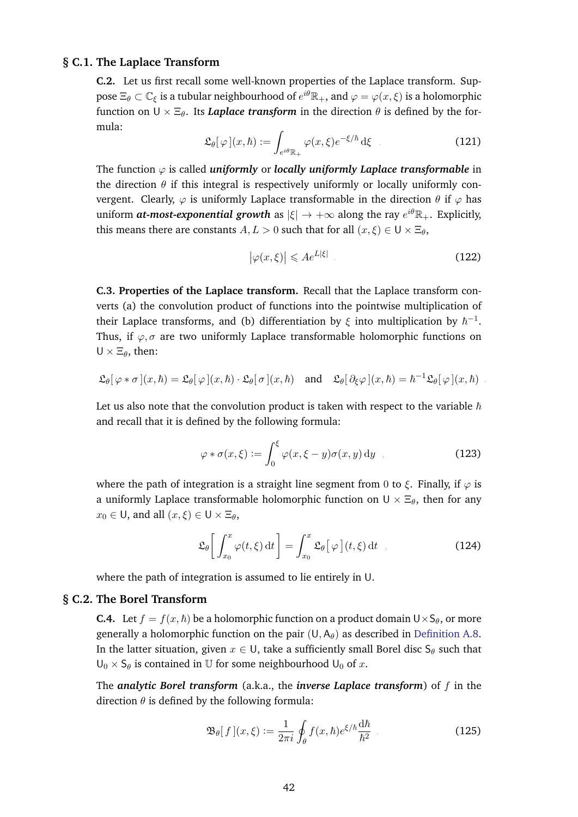#### **§ C.1. The Laplace Transform**

<span id="page-41-2"></span>**C.2.** Let us first recall some well-known properties of the Laplace transform. Suppose  $\Xi_\theta\subset\mathbb{C}_\xi$  is a tubular neighbourhood of  $e^{i\theta}\mathbb{R}_+$ , and  $\varphi=\varphi(x,\xi)$  is a holomorphic function on  $U \times \Xi_{\theta}$ . Its *Laplace transform* in the direction  $\theta$  is defined by the formula:

$$
\mathfrak{L}_{\theta}[\varphi](x,\hbar) := \int_{e^{i\theta}\mathbb{R}_+} \varphi(x,\xi) e^{-\xi/\hbar} d\xi
$$
 (121)

The function  $\varphi$  is called *uniformly* or *locally uniformly Laplace transformable* in the direction  $\theta$  if this integral is respectively uniformly or locally uniformly convergent. Clearly,  $\varphi$  is uniformly Laplace transformable in the direction  $\theta$  if  $\varphi$  has uniform  $\bm{at}\text{-}most\text{-}exponential$  growth as  $|\xi|\to +\infty$  along the ray  $e^{i\theta}\mathbb{R}_+.$  Explicitly, this means there are constants  $A, L > 0$  such that for all  $(x, \xi) \in U \times \Xi_{\theta}$ ,

$$
\left|\varphi(x,\xi)\right| \leqslant Ae^{L|\xi|} \tag{122}
$$

**C.3. Properties of the Laplace transform.** Recall that the Laplace transform converts (a) the convolution product of functions into the pointwise multiplication of their Laplace transforms, and (b) differentiation by  $\xi$  into multiplication by  $\hbar^{-1}.$ Thus, if  $\varphi$ ,  $\sigma$  are two uniformly Laplace transformable holomorphic functions on  $U \times \Xi_{\theta}$ , then:

$$
\mathfrak{L}_{\theta}[\varphi * \sigma](x,\hbar) = \mathfrak{L}_{\theta}[\varphi](x,\hbar) \cdot \mathfrak{L}_{\theta}[\sigma](x,\hbar) \quad \text{and} \quad \mathfrak{L}_{\theta}[\partial_{\xi}\varphi](x,\hbar) = \hbar^{-1}\mathfrak{L}_{\theta}[\varphi](x,\hbar) .
$$

Let us also note that the convolution product is taken with respect to the variable  $\hbar$ and recall that it is defined by the following formula:

$$
\varphi * \sigma(x,\xi) := \int_0^{\xi} \varphi(x,\xi - y) \sigma(x,y) \, dy \quad , \tag{123}
$$

where the path of integration is a straight line segment from 0 to  $\xi$ . Finally, if  $\varphi$  is a uniformly Laplace transformable holomorphic function on  $U \times \Xi_{\theta}$ , then for any  $x_0 \in U$ , and all  $(x, \xi) \in U \times \Xi_\theta$ ,

$$
\mathfrak{L}_{\theta}\bigg[\int_{x_0}^x \varphi(t,\xi) dt\bigg] = \int_{x_0}^x \mathfrak{L}_{\theta}\big[\varphi\big](t,\xi) dt , \qquad (124)
$$

<span id="page-41-0"></span>where the path of integration is assumed to lie entirely in U.

#### **§ C.2. The Borel Transform**

**C.4.** Let  $f = f(x, \hbar)$  be a holomorphic function on a product domain  $U \times S_\theta$ , or more generally a holomorphic function on the pair  $(U, A_\theta)$  as described in [Definition A.8.](#page-33-2) In the latter situation, given  $x \in U$ , take a sufficiently small Borel disc  $S_\theta$  such that  $U_0 \times S_\theta$  is contained in U for some neighbourhood  $U_0$  of x.

The *analytic Borel transform* (a.k.a., the *inverse Laplace transform*) of f in the direction  $\theta$  is defined by the following formula:

<span id="page-41-1"></span>
$$
\mathfrak{B}_{\theta}[f](x,\xi) := \frac{1}{2\pi i} \oint_{\theta} f(x,\hbar) e^{\xi/\hbar} \frac{\mathrm{d}\hbar}{\hbar^2} \tag{125}
$$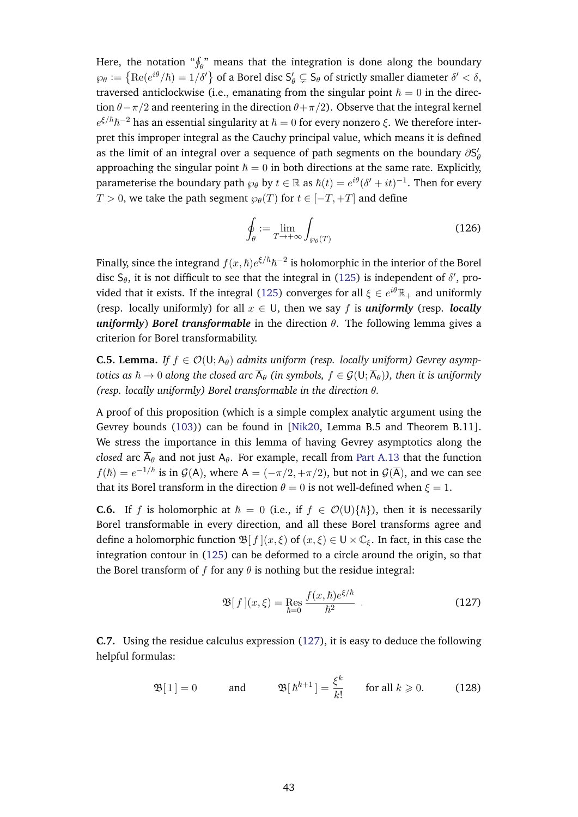Here, the notation " $\oint_{\theta}$ " means that the integration is done along the boundary  $\wp_\theta:=\left\{\text{Re}(e^{i\theta}/\hbar)=1/\delta'\right\}$  of a Borel disc  $\mathsf{S}'_\theta\subsetneq \mathsf{S}_\theta$  of strictly smaller diameter  $\delta'<\delta,$ traversed anticlockwise (i.e., emanating from the singular point  $\hbar = 0$  in the direction  $\theta - \pi/2$  and reentering in the direction  $\theta + \pi/2$ ). Observe that the integral kernel  $e^{\xi/\hbar}\hbar^{-2}$  has an essential singularity at  $\hbar=0$  for every nonzero  $\xi.$  We therefore interpret this improper integral as the Cauchy principal value, which means it is defined as the limit of an integral over a sequence of path segments on the boundary  $\partial S'_\theta$ approaching the singular point  $\hbar = 0$  in both directions at the same rate. Explicitly, parameterise the boundary path  $\wp_\theta$  by  $t\in\mathbb{R}$  as  $\hbar(t)=e^{i\theta}(\delta'+it)^{-1}.$  Then for every  $T > 0$ , we take the path segment  $\varphi_{\theta}(T)$  for  $t \in [-T, +T]$  and define

$$
\oint_{\theta} := \lim_{T \to +\infty} \int_{\wp_{\theta}(T)} \tag{126}
$$

Finally, since the integrand  $f(x,\hbar)e^{\xi/\hbar}\hbar^{-2}$  is holomorphic in the interior of the Borel disc  $S_\theta$ , it is not difficult to see that the integral in [\(125\)](#page-41-1) is independent of  $\delta'$ , pro-vided that it exists. If the integral [\(125\)](#page-41-1) converges for all  $\xi \in e^{i\theta}\mathbb{R}_+$  and uniformly (resp. locally uniformly) for all  $x \in U$ , then we say f is **uniformly** (resp. *locally uniformly*) *Borel transformable* in the direction θ. The following lemma gives a criterion for Borel transformability.

**C.5. Lemma.** *If*  $f \in \mathcal{O}(U; A_\theta)$  *admits uniform (resp. locally uniform) Gevrey asymptotics as*  $\hbar \to 0$  *along the closed arc*  $\overline{A}_{\theta}$  *(in symbols,*  $f \in \mathcal{G}(\cup, \overline{A}_{\theta})$ ), then it is uniformly *(resp. locally uniformly) Borel transformable in the direction* θ*.*

A proof of this proposition (which is a simple complex analytic argument using the Gevrey bounds [\(103\)](#page-35-3)) can be found in [\[Nik20,](#page-57-0) Lemma B.5 and Theorem B.11]. We stress the importance in this lemma of having Gevrey asymptotics along the *closed* arc  $\overline{A}_{\theta}$  and not just  $A_{\theta}$ . For example, recall from [Part A.13](#page-35-4) that the function  $f(\hbar) = e^{-1/\hbar}$  is in  $\mathcal{G}(\mathsf{A})$ , where  $\mathsf{A} = (-\pi/2, +\pi/2)$ , but not in  $\mathcal{G}(\overline{\mathsf{A}})$ , and we can see that its Borel transform in the direction  $\theta = 0$  is not well-defined when  $\xi = 1$ .

**C.6.** If f is holomorphic at  $\hbar = 0$  (i.e., if  $f \in \mathcal{O}(U)\{\hbar\}$ ), then it is necessarily Borel transformable in every direction, and all these Borel transforms agree and define a holomorphic function  $\mathfrak{B}[f](x,\xi)$  of  $(x,\xi) \in U \times \mathbb{C}_{\xi}$ . In fact, in this case the integration contour in [\(125\)](#page-41-1) can be deformed to a circle around the origin, so that the Borel transform of f for any  $\theta$  is nothing but the residue integral:

<span id="page-42-0"></span>
$$
\mathfrak{B}[f](x,\xi) = \mathop{\mathrm{Res}}\limits_{\hbar=0} \frac{f(x,\hbar)e^{\xi/\hbar}}{\hbar^2} \tag{127}
$$

**C.7.** Using the residue calculus expression [\(127\)](#page-42-0), it is easy to deduce the following helpful formulas:

$$
\mathfrak{B}[1] = 0 \quad \text{and} \quad \mathfrak{B}[\hbar^{k+1}] = \frac{\xi^k}{k!} \quad \text{for all } k \geq 0. \quad (128)
$$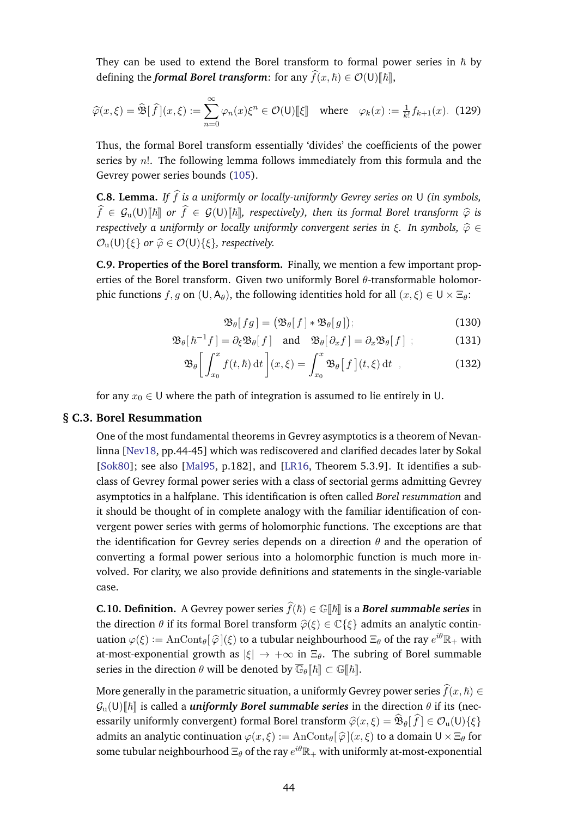They can be used to extend the Borel transform to formal power series in  $\hbar$  by defining the *formal Borel transform*: for any  $\widehat{f}(x, \hbar) \in \mathcal{O}(U)[\hbar],$ 

$$
\widehat{\varphi}(x,\xi) = \widehat{\mathfrak{B}}[\widehat{f}](x,\xi) := \sum_{n=0}^{\infty} \varphi_n(x)\xi^n \in \mathcal{O}(\mathsf{U})[\![\xi]\!]
$$
 where  $\varphi_k(x) := \frac{1}{k!}f_{k+1}(x)$ . (129)

Thus, the formal Borel transform essentially 'divides' the coefficients of the power series by  $n!$ . The following lemma follows immediately from this formula and the Gevrey power series bounds [\(105\)](#page-36-3).

**C.8. Lemma.** *If*  $\hat{f}$  *is a uniformly or locally-uniformly Gevrey series on* U *(in symbols,*  $\widehat{f} \in \mathcal{G}_{\mathrm{u}}(\mathsf{U})[\![\hbar]\!]$  or  $\widehat{f} \in \mathcal{G}(\mathsf{U})[\![\hbar]\!]$ , respectively), then its formal Borel transform  $\widehat{\varphi}$  is *respectively a uniformly or locally uniformly convergent series in ξ. In symbols,*  $\hat{\varphi}$  *∈*  $\mathcal{O}_u(U)\{\xi\}$  *or*  $\widehat{\varphi} \in \mathcal{O}(U)\{\xi\}$ *, respectively.* 

**C.9. Properties of the Borel transform.** Finally, we mention a few important properties of the Borel transform. Given two uniformly Borel  $\theta$ -transformable holomorphic functions  $f, g$  on  $(U, A_\theta)$ , the following identities hold for all  $(x, \xi) \in U \times \Xi_\theta$ :

$$
\mathfrak{B}_{\theta}[fg] = (\mathfrak{B}_{\theta}[f] * \mathfrak{B}_{\theta}[g]); \tag{130}
$$

$$
\mathfrak{B}_{\theta}[{\hbar}^{-1}f] = \partial_{\xi} \mathfrak{B}_{\theta}[f] \quad \text{and} \quad \mathfrak{B}_{\theta}[\partial_x f] = \partial_x \mathfrak{B}_{\theta}[f] \ ; \tag{131}
$$

$$
\mathfrak{B}_{\theta}\bigg[\int_{x_0}^x f(t,\hbar) dt\bigg](x,\xi) = \int_{x_0}^x \mathfrak{B}_{\theta}\big[f\big](t,\xi) dt , \qquad (132)
$$

<span id="page-43-0"></span>for any  $x_0 \in U$  where the path of integration is assumed to lie entirely in U.

#### **§ C.3. Borel Resummation**

One of the most fundamental theorems in Gevrey asymptotics is a theorem of Nevanlinna [\[Nev18,](#page-57-14) pp.44-45] which was rediscovered and clarified decades later by Sokal [\[Sok80\]](#page-57-15); see also [\[Mal95,](#page-57-22) p.182], and [\[LR16,](#page-57-21) Theorem 5.3.9]. It identifies a subclass of Gevrey formal power series with a class of sectorial germs admitting Gevrey asymptotics in a halfplane. This identification is often called *Borel resummation* and it should be thought of in complete analogy with the familiar identification of convergent power series with germs of holomorphic functions. The exceptions are that the identification for Gevrey series depends on a direction  $\theta$  and the operation of converting a formal power serious into a holomorphic function is much more involved. For clarity, we also provide definitions and statements in the single-variable case.

**C.10. Definition.** A Gevrey power series  $\widehat{f}(h) \in \mathbb{G}[\![h]\!]$  is a *Borel summable series* in the direction  $\theta$  if its formal Borel transform  $\hat{\varphi}(\xi) \in \mathbb{C}\{\xi\}$  admits an analytic continuation  $\varphi(\xi) := \text{AnCont}_{\theta}[\hat{\varphi}](\xi)$  to a tubular neighbourhood  $\Xi_{\theta}$  of the ray  $e^{i\theta}\mathbb{R}_+$  with at-most-exponential growth as  $|\xi| \to +\infty$  in  $\Xi_{\theta}$ . The subring of Borel summable series in the direction  $\theta$  will be denoted by  $\overline{\mathbb{G}}_{\theta}[\![\hbar]\!] \subset \mathbb{G}[\![\hbar]\!]$ .

More generally in the parametric situation, a uniformly Gevrey power series  $\widehat{f}(x, \hbar) \in$  $\mathcal{G}_{\nu}(\mathsf{U})[\![\hbar]\!]$  is called a *uniformly Borel summable series* in the direction  $\theta$  if its (necessarily uniformly convergent) formal Borel transform  $\hat{\varphi}(x, \xi) = \mathfrak{B}_{\theta}[f] \in \mathcal{O}_{\mathfrak{u}}(\mathsf{U})\{\xi\}$ admits an analytic continuation  $\varphi(x,\xi) := \text{AnCont}_{\theta}[\hat{\varphi}](x,\xi)$  to a domain  $\mathsf{U} \times \Xi_{\theta}$  for some tubular neighbourhood  $\Xi_\theta$  of the ray  $e^{i\theta}\mathbb{R}_+$  with uniformly at-most-exponential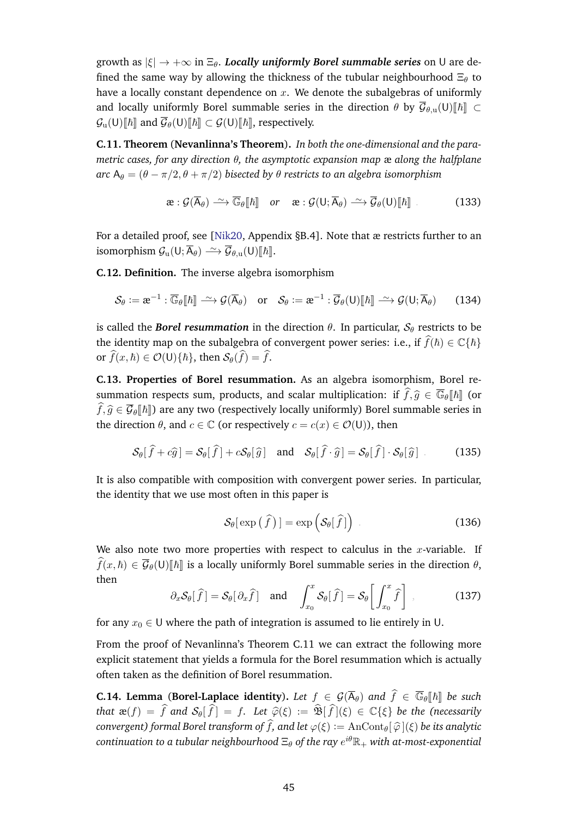growth as  $|\xi| \to +\infty$  in  $\Xi_{\theta}$ . *Locally uniformly Borel summable series* on U are defined the same way by allowing the thickness of the tubular neighbourhood  $\Xi_{\theta}$  to have a locally constant dependence on  $x$ . We denote the subalgebras of uniformly and locally uniformly Borel summable series in the direction  $\theta$  by  $\overline{\mathcal{G}}_{\theta,\mathrm{u}}(\mathsf{U})[\![\hbar]\!] \subset$  $\mathcal{G}_{\mathrm{u}}(\mathsf{U})[\![\hbar]\!]$  and  $\overline{\mathcal{G}}_{\theta}(\mathsf{U})[\![\hbar]\!] \subset \mathcal{G}(\mathsf{U})[\![\hbar]\!]$ , respectively.

<span id="page-44-0"></span>**C.11. Theorem** (**Nevanlinna's Theorem**)**.** *In both the one-dimensional and the parametric cases, for any direction* θ*, the asymptotic expansion map* æ *along the halfplane*  $\alpha$ *rc* A $_{\theta} = (\theta - \pi/2, \theta + \pi/2)$  *bisected by*  $\theta$  *restricts to an algebra isomorphism* 

$$
\mathbf{a}: \mathcal{G}(\overline{\mathsf{A}}_{\theta}) \xrightarrow{\sim} \overline{\mathbb{G}}_{\theta}[\![\hbar]\!] \quad \text{or} \quad \mathbf{a}: \mathcal{G}(\mathsf{U}; \overline{\mathsf{A}}_{\theta}) \xrightarrow{\sim} \overline{\mathcal{G}}_{\theta}(\mathsf{U})[\![\hbar]\!]
$$
 (133)

For a detailed proof, see [\[Nik20,](#page-57-0) Appendix §B.4]. Note that æ restricts further to an isomorphism  $\mathcal{G}_u(U; \overline{A}_{\theta}) \longrightarrow \overline{\mathcal{G}}_{\theta,u}(U)[\hbar]].$ 

**C.12. Definition.** The inverse algebra isomorphism

$$
\mathcal{S}_{\theta} := \mathbf{\alpha}^{-1} : \overline{\mathbb{G}}_{\theta}[\![\hbar]\!] \stackrel{\sim}{\longrightarrow} \mathcal{G}(\overline{\mathsf{A}}_{\theta}) \quad \text{or} \quad \mathcal{S}_{\theta} := \mathbf{\alpha}^{-1} : \overline{\mathcal{G}}_{\theta}(\mathsf{U})[\![\hbar]\!] \stackrel{\sim}{\longrightarrow} \mathcal{G}(\mathsf{U}; \overline{\mathsf{A}}_{\theta}) \tag{134}
$$

is called the **Borel resummation** in the direction  $\theta$ . In particular,  $S_{\theta}$  restricts to be the identity map on the subalgebra of convergent power series: i.e., if  $\widehat{f}(\hbar) \in \mathbb{C} \{ \hbar \}$ or  $\widehat{f}(x, \hbar) \in \mathcal{O}(\mathsf{U})\{\hbar\}$ , then  $\mathcal{S}_{\theta}(\widehat{f}) = \widehat{f}$ .

**C.13. Properties of Borel resummation.** As an algebra isomorphism, Borel resummation respects sum, products, and scalar multiplication: if  $\hat{f},\hat{g} \in \overline{\mathbb{G}}_{\theta}[\![\hbar]\!]$  (or  $\widehat{f},\widehat{g}\in\overline{\mathcal{G}}_{\theta}[\![\hbar]\!]$  are any two (respectively locally uniformly) Borel summable series in the direction  $\theta$ , and  $c \in \mathbb{C}$  (or respectively  $c = c(x) \in \mathcal{O}(U)$ ), then

$$
\mathcal{S}_{\theta}[\hat{f} + c\hat{g}] = \mathcal{S}_{\theta}[\hat{f}] + c\mathcal{S}_{\theta}[\hat{g}] \text{ and } \mathcal{S}_{\theta}[\hat{f} \cdot \hat{g}] = \mathcal{S}_{\theta}[\hat{f}] \cdot \mathcal{S}_{\theta}[\hat{g}]
$$
 (135)

It is also compatible with composition with convergent power series. In particular, the identity that we use most often in this paper is

$$
\mathcal{S}_{\theta}[\exp\left(\widehat{f}\right)] = \exp\left(\mathcal{S}_{\theta}[\widehat{f}]\right) \tag{136}
$$

We also note two more properties with respect to calculus in the  $x$ -variable. If  $\widehat{f}(x, \hbar) \in \overline{\mathcal{G}}_{\theta}(U)\llbracket \hbar \rrbracket$  is a locally uniformly Borel summable series in the direction  $\theta$ , then

$$
\partial_x \mathcal{S}_{\theta}[\hat{f}] = \mathcal{S}_{\theta}[\partial_x \hat{f}] \text{ and } \int_{x_0}^x \mathcal{S}_{\theta}[\hat{f}] = \mathcal{S}_{\theta}[\int_{x_0}^x \hat{f}] ,
$$
\n(137)

for any  $x_0 \in U$  where the path of integration is assumed to lie entirely in U.

From the proof of Nevanlinna's Theorem C.11 we can extract the following more explicit statement that yields a formula for the Borel resummation which is actually often taken as the definition of Borel resummation.

**C.14. Lemma** (**Borel-Laplace identity**). Let  $f \in \mathcal{G}(\overline{A}_{\theta})$  and  $\widehat{f} \in \overline{\mathbb{G}}_{\theta}[[\hbar]]$  be such *that*  $\mathbf{a}(f) = \hat{f}$  *and*  $\mathcal{S}_{\theta}[\hat{f}] = f$ *. Let*  $\hat{\varphi}(\xi) := \hat{\mathfrak{B}}[\hat{f}](\xi) \in \mathbb{C}\{\xi\}$  *be the (necessarily convergent) formal Borel transform of*  $\widehat{f}$ *, and let*  $\varphi(\xi) := \text{AnCont}_{\theta}[\widehat{\varphi}](\xi)$  *be its analytic*  $\emph{continuation}$  to a tubular neighbourhood  $\Xi_\theta$  of the ray  $e^{i\theta}\mathbb{R}_+$  with at-most-exponential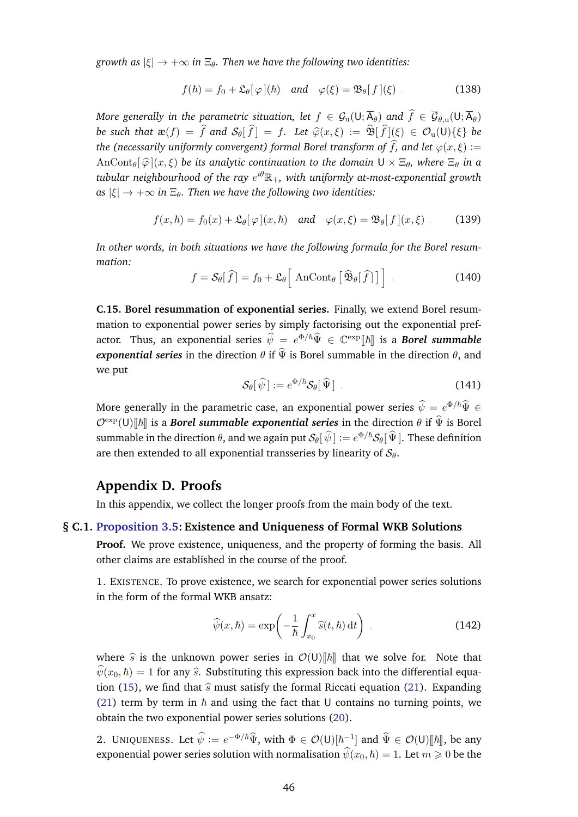*growth as*  $|\xi| \to +\infty$  *in*  $\Xi_{\theta}$ *. Then we have the following two identities:* 

$$
f(\hbar) = f_0 + \mathfrak{L}_{\theta}[\varphi](\hbar) \quad \text{and} \quad \varphi(\xi) = \mathfrak{B}_{\theta}[f](\xi)
$$
 (138)

*More generally in the parametric situation, let*  $f \in \mathcal{G}_u(U; \overline{A}_{\theta})$  *and*  $\hat{f} \in \overline{\mathcal{G}}_{\theta,u}(U; \overline{A}_{\theta})$ *be such that*  $\mathbf{a}(f) = \hat{f}$  *and*  $\mathcal{S}_{\theta}[\hat{f}] = f$ *. Let*  $\hat{\varphi}(x,\xi) := \hat{\mathfrak{B}}[\hat{f}](\xi) \in \mathcal{O}_{\mathfrak{u}}(\mathsf{U})\{\xi\}$  *be the (necessarily uniformly convergent) formal Borel transform of*  $\widehat{f}$ *, and let*  $\varphi(x,\xi) :=$  $\text{AnCont}_{\theta}[\hat{\varphi}](x,\xi)$  *be its analytic continuation to the domain*  $U \times \Xi_{\theta}$ *, where*  $\Xi_{\theta}$  *in a tubular neighbourhood of the ray* e iθR+*, with uniformly at-most-exponential growth*  $as |\xi| \rightarrow +\infty$  *in*  $\Xi_{\theta}$ *. Then we have the following two identities:* 

$$
f(x,\hbar) = f_0(x) + \mathfrak{L}_{\theta}[\varphi](x,\hbar) \quad \text{and} \quad \varphi(x,\xi) = \mathfrak{B}_{\theta}[f](x,\xi) \tag{139}
$$

*In other words, in both situations we have the following formula for the Borel resummation:*

$$
f = \mathcal{S}_{\theta}[\hat{f}] = f_0 + \mathfrak{L}_{\theta}[\text{AnCont}_{\theta}[\hat{\mathfrak{B}}_{\theta}[\hat{f}]]]
$$
 (140)

**C.15. Borel resummation of exponential series.** Finally, we extend Borel resummation to exponential power series by simply factorising out the exponential prefactor. Thus, an exponential series  $\hat{\psi} = e^{\Phi/\hbar} \hat{\Psi} \in \mathbb{C}^{\exp}[\hbar]$  is a *Borel summable exponential series* in the direction  $\theta$  if  $\hat{\Psi}$  is Borel summable in the direction  $\theta$ , and we put

$$
\mathcal{S}_{\theta}[\widehat{\psi}] := e^{\Phi/\hbar} \mathcal{S}_{\theta}[\widehat{\Psi}] \tag{141}
$$

More generally in the parametric case, an exponential power series  $\hat{\psi} = e^{\Phi/\hbar} \widehat{\Psi} \in$  $\mathcal{O}^{\text{exp}}(U)\llbracket \hbar \rrbracket$  is a **Borel summable exponential series** in the direction  $\theta$  if  $\widehat{\Psi}$  is Borel summable in the direction  $\theta$ , and we again put  $\mathcal{S}_{\theta}[\hat{\psi}]:=e^{\Phi/\hbar}\mathcal{S}_{\theta}[\hat{\Psi}].$  These definition are then extended to all exponential transseries by linearity of  $S_{\theta}$ .

# <span id="page-45-0"></span>**Appendix D. Proofs**

<span id="page-45-1"></span>In this appendix, we collect the longer proofs from the main body of the text.

#### **§ C.1. [Proposition 3.5:](#page-9-0) Existence and Uniqueness of Formal WKB Solutions**

**Proof.** We prove existence, uniqueness, and the property of forming the basis. All other claims are established in the course of the proof.

1. EXISTENCE. To prove existence, we search for exponential power series solutions in the form of the formal WKB ansatz:

$$
\widehat{\psi}(x,\hbar) = \exp\left(-\frac{1}{\hbar} \int_{x_0}^x \widehat{s}(t,\hbar) dt\right) , \qquad (142)
$$

where  $\hat{s}$  is the unknown power series in  $\mathcal{O}(U)\llbracket \hbar \rrbracket$  that we solve for. Note that  $\hat{\psi}(x_0, \hbar) = 1$  for any  $\hat{s}$ . Substituting this expression back into the differential equa-tion [\(15\)](#page-8-3), we find that  $\hat{s}$  must satisfy the formal Riccati equation [\(21\)](#page-9-3). Expanding [\(21\)](#page-9-3) term by term in  $\hbar$  and using the fact that U contains no turning points, we obtain the two exponential power series solutions [\(20\)](#page-9-2).

2. UNIQUENESS. Let  $\hat{\psi} := e^{-\Phi/\hbar} \hat{\Psi}$ , with  $\Phi \in \mathcal{O}(U)[\hbar^{-1}]$  and  $\hat{\Psi} \in \mathcal{O}(U)[\hbar],$  be any exponential power series solution with normalisation  $\hat{\psi}(x_0, \hbar) = 1$ . Let  $m \geq 0$  be the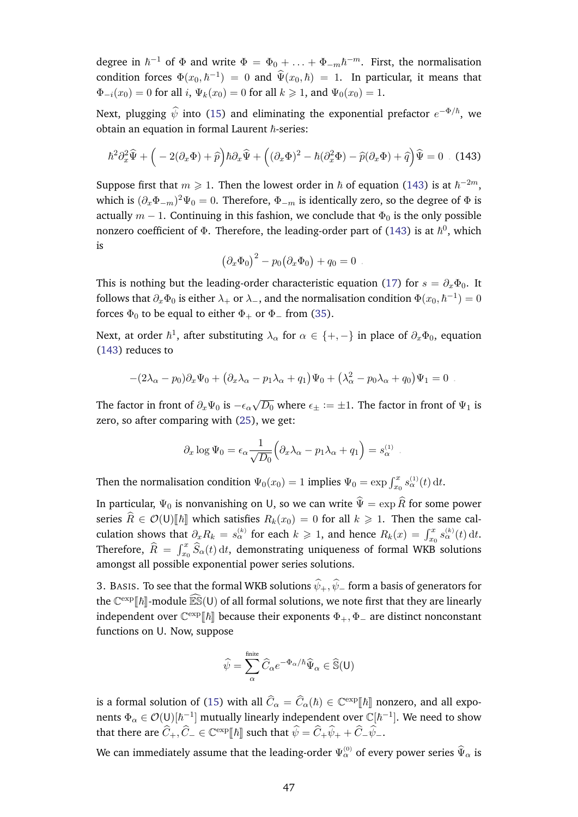degree in  $\hbar^{-1}$  of  $\Phi$  and write  $\Phi = \Phi_0 + \ldots + \Phi_{-m}\hbar^{-m}$ . First, the normalisation condition forces  $\Phi(x_0, \hbar^{-1}) = 0$  and  $\widehat{\Psi}(x_0, \hbar) = 1$ . In particular, it means that  $\Phi_{-i}(x_0) = 0$  for all i,  $\Psi_k(x_0) = 0$  for all  $k \ge 1$ , and  $\Psi_0(x_0) = 1$ .

Next, plugging  $\widehat{\psi}$  into [\(15\)](#page-8-3) and eliminating the exponential prefactor  $e^{-\Phi/\hbar}$ , we obtain an equation in formal Laurent  $\hbar$ -series:

$$
\hbar^2 \partial_x^2 \widehat{\Psi} + \left( -2(\partial_x \Phi) + \widehat{p} \right) \hbar \partial_x \widehat{\Psi} + \left( (\partial_x \Phi)^2 - \hbar (\partial_x^2 \Phi) - \widehat{p}(\partial_x \Phi) + \widehat{q} \right) \widehat{\Psi} = 0 \quad (143)
$$

Suppose first that  $m \geq 1$ . Then the lowest order in  $\hbar$  of equation [\(143\)](#page-46-0) is at  $\hbar^{-2m}$ , which is  $(\partial_x\Phi_{-m})^2\Psi_0=0.$  Therefore,  $\Phi_{-m}$  is identically zero, so the degree of  $\Phi$  is actually  $m - 1$ . Continuing in this fashion, we conclude that  $\Phi_0$  is the only possible nonzero coefficient of  $\Phi.$  Therefore, the leading-order part of [\(143\)](#page-46-0) is at  $\hbar^0,$  which is

<span id="page-46-0"></span>
$$
(\partial_x \Phi_0)^2 - p_0 (\partial_x \Phi_0) + q_0 = 0.
$$

This is nothing but the leading-order characteristic equation [\(17\)](#page-8-2) for  $s = \partial_x \Phi_0$ . It follows that  $\partial_x\Phi_0$  is either  $\lambda_+$  or  $\lambda_-$ , and the normalisation condition  $\Phi(x_0,\hbar^{-1})=0$ forces  $\Phi_0$  to be equal to either  $\Phi_+$  or  $\Phi_-$  from [\(35\)](#page-11-3).

Next, at order  $\hbar^1$ , after substituting  $\lambda_\alpha$  for  $\alpha\in\{+,-\}$  in place of  $\partial_x\Phi_0$ , equation [\(143\)](#page-46-0) reduces to

$$
-(2\lambda_{\alpha}-p_0)\partial_x\Psi_0 + (\partial_x\lambda_{\alpha}-p_1\lambda_{\alpha}+q_1)\Psi_0 + (\lambda_{\alpha}^2-p_0\lambda_{\alpha}+q_0)\Psi_1 = 0.
$$

The factor in front of  $\partial_x \Psi_0$  is  $-\epsilon_\alpha$ √  $\overline{D_0}$  where  $\epsilon_\pm \coloneqq \pm 1.$  The factor in front of  $\Psi_1$  is zero, so after comparing with [\(25\)](#page-10-3), we get:

$$
\partial_x \log \Psi_0 = \epsilon_\alpha \frac{1}{\sqrt{D_0}} \Big( \partial_x \lambda_\alpha - p_1 \lambda_\alpha + q_1 \Big) = s_\alpha^{(1)}.
$$

Then the normalisation condition  $\Psi_0(x_0) = 1$  implies  $\Psi_0 = \exp \int_{x_0}^x s_\alpha^{(1)}(t) dt$ .

In particular,  $\Psi_0$  is nonvanishing on U, so we can write  $\hat{\Psi} = \exp \hat{R}$  for some power series  $\widehat{R} \in \mathcal{O}(U)[\hbar]$  which satisfies  $R_k(x_0) = 0$  for all  $k \ge 1$ . Then the same calculation shows that  $\partial_x R_k = s_\alpha^{(k)}$  for each  $k \geq 1$ , and hence  $R_k(x) = \int_{x_0}^x s_\alpha^{(k)}(t) dt$ . Therefore,  $\widehat{R} = \int_{x_0}^x \widehat{S}_{\alpha}(t) \,\mathrm{d} t$ , demonstrating uniqueness of formal WKB solutions amongst all possible exponential power series solutions.

3. BASIS. To see that the formal WKB solutions  $\hat{\psi}_+$ ,  $\hat{\psi}_-$  form a basis of generators for the  $\mathbb{C}^{\exp}[\![\hbar]\!]$ -module  $\widetilde{\mathbb{ES}}(U)$  of all formal solutions, we note first that they are linearly independent over  $\mathbb{C}^{\exp}[\![\hbar]\!]$  because their exponents  $\Phi_+,\Phi_-$  are distinct nonconstant functions on U. Now, suppose

$$
\widehat{\psi} = \sum_{\alpha}^{\text{finite}} \widehat{C}_{\alpha} e^{-\Phi_{\alpha}/\hbar} \widehat{\Psi}_{\alpha} \in \widehat{\mathbb{S}}(\mathsf{U})
$$

is a formal solution of [\(15\)](#page-8-3) with all  $\hat{C}_{\alpha} = \hat{C}_{\alpha}(\hbar) \in \mathbb{C}^{\exp}[\![\hbar]\!]$  nonzero, and all exponents  $\Phi_\alpha\in\mathcal{O}(\mathsf{U})[\hbar^{-1}]$  mutually linearly independent over  $\mathbb{C}[\hbar^{-1}]$ . We need to show that there are  $\widehat{C}_+,\widehat{C}_-\in \mathbb{C}^{\exp}[\![\hbar]\!]$  such that  $\widehat{\psi}=\widehat{C}_+\widehat{\psi}_++\widehat{C}_-\widehat{\psi}_-$ .

We can immediately assume that the leading-order  $\Psi^{(0)}_\alpha$  of every power series  $\widehat{\Psi}_\alpha$  is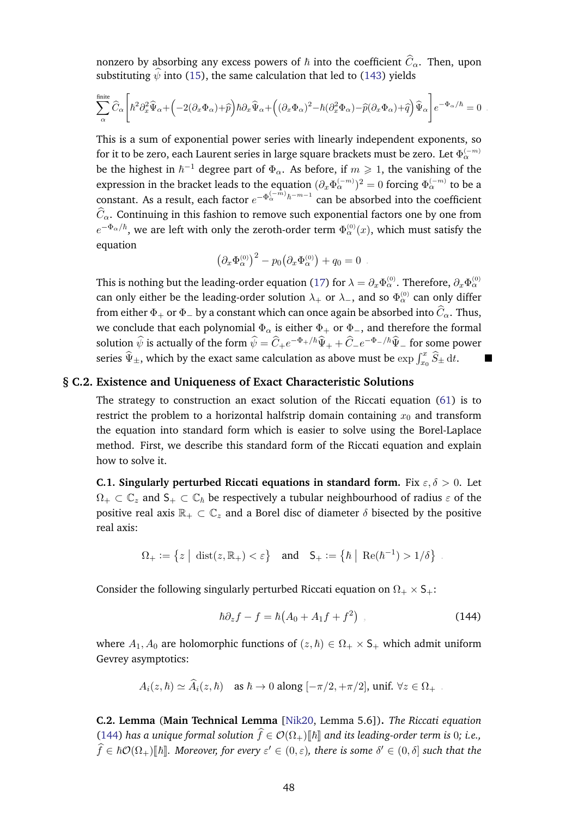nonzero by absorbing any excess powers of  $\hbar$  into the coefficient  $\widehat{C}_{\alpha}$ . Then, upon substituting  $\hat{\psi}$  into [\(15\)](#page-8-3), the same calculation that led to [\(143\)](#page-46-0) yields

$$
\sum_\alpha^{\text{finite}} \widehat{C}_\alpha\Bigg[\hbar^2\partial_x^2\widehat{\Psi}_\alpha+\Big(-2(\partial_x\Phi_\alpha)+\widehat{p}\Big)\hbar\partial_x\widehat{\Psi}_\alpha+\Big(\big(\partial_x\Phi_\alpha\big)^2-\hbar\big(\partial_x^2\Phi_\alpha\big)-\widehat{p}(\partial_x\Phi_\alpha)+\widehat{q}\Big)\widehat{\Psi}_\alpha\Bigg]e^{-\Phi_\alpha/\hbar}=0\ .
$$

This is a sum of exponential power series with linearly independent exponents, so for it to be zero, each Laurent series in large square brackets must be zero. Let  $\Phi_{\alpha}^{(-m)}$ be the highest in  $\hbar^{-1}$  degree part of  $\Phi_\alpha$ . As before, if  $m\geqslant 1$ , the vanishing of the expression in the bracket leads to the equation  $(\partial_x\Phi_\alpha^{(-m)})^2=0$  forcing  $\Phi_\alpha^{(-m)}$  to be a constant. As a result, each factor  $e^{-\Phi_{\alpha}^{(-m)}\hbar^{-m-1}}$  can be absorbed into the coefficient  $\widehat{C}_{\alpha}$ . Continuing in this fashion to remove such exponential factors one by one from  $e^{-\Phi_{\alpha}/\hbar},$  we are left with only the zeroth-order term  $\Phi_{\alpha}^{(0)}(x),$  which must satisfy the equation

$$
(\partial_x \Phi_\alpha^{(0)})^2 - p_0 (\partial_x \Phi_\alpha^{(0)}) + q_0 = 0
$$

This is nothing but the leading-order equation [\(17\)](#page-8-2) for  $\lambda=\partial_x\Phi_\alpha^{(0)}.$  Therefore,  $\partial_x\Phi_\alpha^{(0)}$ can only either be the leading-order solution  $\lambda_+$  or  $\lambda_-$ , and so  $\Phi_\alpha^{(0)}$  can only differ from either  $\Phi_+$  or  $\Phi_-$  by a constant which can once again be absorbed into  $\widehat C_\alpha$ . Thus, we conclude that each polynomial  $\Phi_{\alpha}$  is either  $\Phi_{+}$  or  $\Phi_{-}$ , and therefore the formal solution  $\widehat{\psi}$  is actually of the form  $\widehat{\psi} = \widehat{C}_+e^{-\Phi_+/\hbar}\widehat{\Psi}_+ + \widehat{C}_-e^{-\Phi_-/\hbar}\widehat{\Psi}_-$  for some power series  $\widehat{\Psi}_\pm$ , which by the exact same calculation as above must be  $\exp\int_{x_0}^x \widehat{S}_\pm \, {\rm d}t.$ 

#### **§ C.2. Existence and Uniqueness of Exact Characteristic Solutions**

<span id="page-47-0"></span>The strategy to construction an exact solution of the Riccati equation [\(61\)](#page-20-3) is to restrict the problem to a horizontal halfstrip domain containing  $x_0$  and transform the equation into standard form which is easier to solve using the Borel-Laplace method. First, we describe this standard form of the Riccati equation and explain how to solve it.

**C.1. Singularly perturbed Riccati equations in standard form.** Fix  $\varepsilon, \delta > 0$ . Let  $\Omega_+ \subset \mathbb{C}_z$  and  $S_+ \subset \mathbb{C}_h$  be respectively a tubular neighbourhood of radius  $\varepsilon$  of the positive real axis  $\mathbb{R}_+ \subset \mathbb{C}_z$  and a Borel disc of diameter  $\delta$  bisected by the positive real axis:

$$
\Omega_+ := \left\{ z \mid \, \text{dist}(z,\mathbb{R}_+) < \varepsilon \right\} \quad \text{and} \quad \mathsf{S}_+ := \left\{ \hbar \mid \, \text{Re}(\hbar^{-1}) > 1/\delta \right\} \; .
$$

Consider the following singularly perturbed Riccati equation on  $\Omega_+ \times S_+$ :

<span id="page-47-2"></span>
$$
\hbar \partial_z f - f = \hbar \big( A_0 + A_1 f + f^2 \big) \tag{144}
$$

where  $A_1, A_0$  are holomorphic functions of  $(z, \hbar) \in \Omega_+ \times S_+$  which admit uniform Gevrey asymptotics:

$$
A_i(z,\hbar) \simeq \widehat{A}_i(z,\hbar) \quad \text{as } \hbar \to 0 \text{ along } [-\pi/2, +\pi/2], \text{unif. } \forall z \in \Omega_+ .
$$

<span id="page-47-1"></span>**C.2. Lemma** (**Main Technical Lemma** [\[Nik20,](#page-57-0) Lemma 5.6])**.** *The Riccati equation* [\(144\)](#page-47-2) has a unique formal solution  $\hat{f} \in \mathcal{O}(\Omega_+)$  and its leading-order term is 0; i.e.,  $\widehat{f} \in \hbar \mathcal{O}(\Omega_+) [\![\hbar]\!]$ *. Moreover, for every*  $\varepsilon' \in (0, \varepsilon)$ *, there is some*  $\delta' \in (0, \delta]$  *such that the*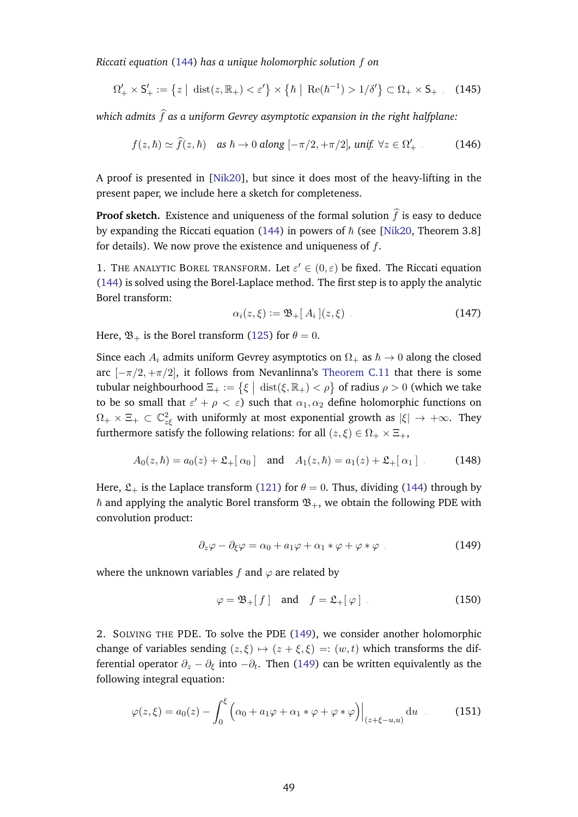*Riccati equation* [\(144\)](#page-47-2) *has a unique holomorphic solution* f *on*

$$
\Omega'_{+} \times \mathsf{S}'_{+} := \left\{ z \mid \operatorname{dist}(z, \mathbb{R}_{+}) < \varepsilon' \right\} \times \left\{ \hbar \mid \operatorname{Re}(\hbar^{-1}) > 1/\delta' \right\} \subset \Omega_{+} \times \mathsf{S}_{+} \quad (145)
$$

*which admits*  $\hat{f}$  *as a uniform Gevrey asymptotic expansion in the right halfplane:* 

$$
f(z,\hbar) \simeq \hat{f}(z,\hbar) \quad \text{as } \hbar \to 0 \text{ along } [-\pi/2, +\pi/2], \text{ unif. } \forall z \in \Omega'_+ \tag{146}
$$

A proof is presented in [\[Nik20\]](#page-57-0), but since it does most of the heavy-lifting in the present paper, we include here a sketch for completeness.

**Proof sketch.** Existence and uniqueness of the formal solution  $\hat{f}$  is easy to deduce by expanding the Riccati equation [\(144\)](#page-47-2) in powers of  $\hbar$  (see [\[Nik20,](#page-57-0) Theorem 3.8] for details). We now prove the existence and uniqueness of  $f$ .

1. THE ANALYTIC BOREL TRANSFORM. Let  $\varepsilon' \in (0,\varepsilon)$  be fixed. The Riccati equation [\(144\)](#page-47-2) is solved using the Borel-Laplace method. The first step is to apply the analytic Borel transform:

$$
\alpha_i(z,\xi) := \mathfrak{B}_+[A_i](z,\xi) \tag{147}
$$

Here,  $\mathfrak{B}_+$  is the Borel transform [\(125\)](#page-41-1) for  $\theta = 0$ .

Since each  $A_i$  admits uniform Gevrey asymptotics on  $\Omega_+$  as  $\hbar \to 0$  along the closed arc  $[-\pi/2, +\pi/2]$ , it follows from Nevanlinna's [Theorem C.11](#page-44-0) that there is some tubular neighbourhood  $\Xi_+ := \{ \xi \mid \text{dist}(\xi, \mathbb{R}_+) < \rho \}$  of radius  $\rho > 0$  (which we take to be so small that  $\varepsilon' + \rho < \varepsilon$ ) such that  $\alpha_1, \alpha_2$  define holomorphic functions on  $\Omega_+\times\Xi_+\,\subset\, \mathbb{C}^2_{z\xi}$  with uniformly at most exponential growth as  $|\xi|\,\rightarrow\,+\infty.$  They furthermore satisfy the following relations: for all  $(z, \xi) \in \Omega_+ \times \Xi_+$ ,

$$
A_0(z,\hbar) = a_0(z) + \mathfrak{L}_+[\,\alpha_0\,] \quad \text{and} \quad A_1(z,\hbar) = a_1(z) + \mathfrak{L}_+[\,\alpha_1\,] \tag{148}
$$

Here,  $\mathfrak{L}_+$  is the Laplace transform [\(121\)](#page-41-2) for  $\theta = 0$ . Thus, dividing [\(144\)](#page-47-2) through by  $\hbar$  and applying the analytic Borel transform  $\mathfrak{B}_+$ , we obtain the following PDE with convolution product:

<span id="page-48-0"></span>
$$
\partial_z \varphi - \partial_{\xi} \varphi = \alpha_0 + a_1 \varphi + \alpha_1 * \varphi + \varphi * \varphi \tag{149}
$$

where the unknown variables f and  $\varphi$  are related by

<span id="page-48-1"></span>
$$
\varphi = \mathfrak{B}_+[f] \quad \text{and} \quad f = \mathfrak{L}_+[\varphi] \tag{150}
$$

2. SOLVING THE PDE. To solve the PDE [\(149\)](#page-48-0), we consider another holomorphic change of variables sending  $(z, \xi) \mapsto (z + \xi, \xi) =: (w, t)$  which transforms the differential operator  $\partial_z - \partial_\xi$  into  $-\partial_t$ . Then [\(149\)](#page-48-0) can be written equivalently as the following integral equation:

$$
\varphi(z,\xi) = a_0(z) - \int_0^{\xi} \left( \alpha_0 + a_1 \varphi + \alpha_1 * \varphi + \varphi * \varphi \right) \Big|_{(z+\xi-u,u)} du \quad . \tag{151}
$$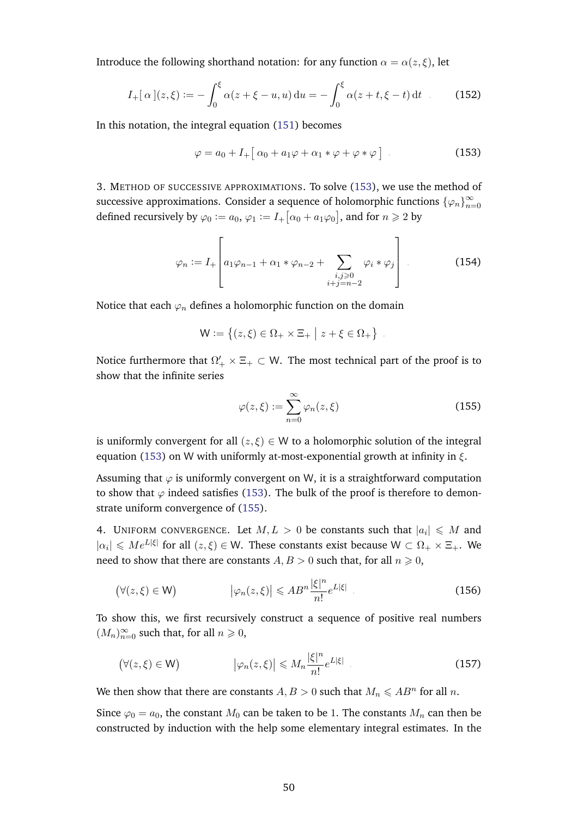Introduce the following shorthand notation: for any function  $\alpha = \alpha(z, \xi)$ , let

$$
I_{+}[\alpha](z,\xi) := -\int_{0}^{\xi} \alpha(z+\xi-u,u) du = -\int_{0}^{\xi} \alpha(z+t,\xi-t) dt \quad . \tag{152}
$$

In this notation, the integral equation [\(151\)](#page-48-1) becomes

<span id="page-49-4"></span><span id="page-49-1"></span>
$$
\varphi = a_0 + I_+ \big[ \alpha_0 + a_1 \varphi + \alpha_1 * \varphi + \varphi * \varphi \big] \tag{153}
$$

3. METHOD OF SUCCESSIVE APPROXIMATIONS. To solve [\(153\)](#page-49-1), we use the method of successive approximations. Consider a sequence of holomorphic functions  $\{\varphi_n\}_{n=1}^{\infty}$  $n=0$ defined recursively by  $\varphi_0 := a_0, \varphi_1 := I_+ \big[ \alpha_0 + a_1 \varphi_0 \big],$  and for  $n \geqslant 2$  by

$$
\varphi_n := I_+ \left[ a_1 \varphi_{n-1} + \alpha_1 * \varphi_{n-2} + \sum_{\substack{i,j \geq 0 \\ i+j=n-2}} \varphi_i * \varphi_j \right].
$$
 (154)

Notice that each  $\varphi_n$  defines a holomorphic function on the domain

$$
\mathsf{W} := \left\{ (z,\xi) \in \Omega_+ \times \Xi_+ \mid z + \xi \in \Omega_+ \right\}
$$

Notice furthermore that  $\Omega'_+ \times \Xi_+ \subset \mathsf{W}.$  The most technical part of the proof is to show that the infinite series

<span id="page-49-2"></span>
$$
\varphi(z,\xi) := \sum_{n=0}^{\infty} \varphi_n(z,\xi)
$$
\n(155)

<span id="page-49-3"></span><span id="page-49-0"></span>.

is uniformly convergent for all  $(z, \xi) \in W$  to a holomorphic solution of the integral equation [\(153\)](#page-49-1) on W with uniformly at-most-exponential growth at infinity in  $\xi$ .

Assuming that  $\varphi$  is uniformly convergent on W, it is a straightforward computation to show that  $\varphi$  indeed satisfies [\(153\)](#page-49-1). The bulk of the proof is therefore to demonstrate uniform convergence of [\(155\)](#page-49-2).

4. UNIFORM CONVERGENCE. Let  $M, L > 0$  be constants such that  $|a_i| \le M$  and  $|\alpha_i| \le Me^{L|\xi|}$  for all  $(z,\xi) \in W$ . These constants exist because  $W \subset \Omega_+ \times \Xi_+$ . We need to show that there are constants  $A, B > 0$  such that, for all  $n \ge 0$ ,

$$
(\forall (z,\xi) \in \mathsf{W}) \qquad |\varphi_n(z,\xi)| \leqslant AB^n \frac{|\xi|^n}{n!} e^{L|\xi|} \qquad (156)
$$

To show this, we first recursively construct a sequence of positive real numbers  $(M_n)_{n=0}^{\infty}$  such that, for all  $n \geq 0$ ,

$$
(\forall (z,\xi) \in \mathsf{W}) \qquad |\varphi_n(z,\xi)| \leq M_n \frac{|\xi|^n}{n!} e^{L|\xi|} \qquad (157)
$$

We then show that there are constants  $A, B > 0$  such that  $M_n \leqslant AB^n$  for all n.

Since  $\varphi_0 = a_0$ , the constant  $M_0$  can be taken to be 1. The constants  $M_n$  can then be constructed by induction with the help some elementary integral estimates. In the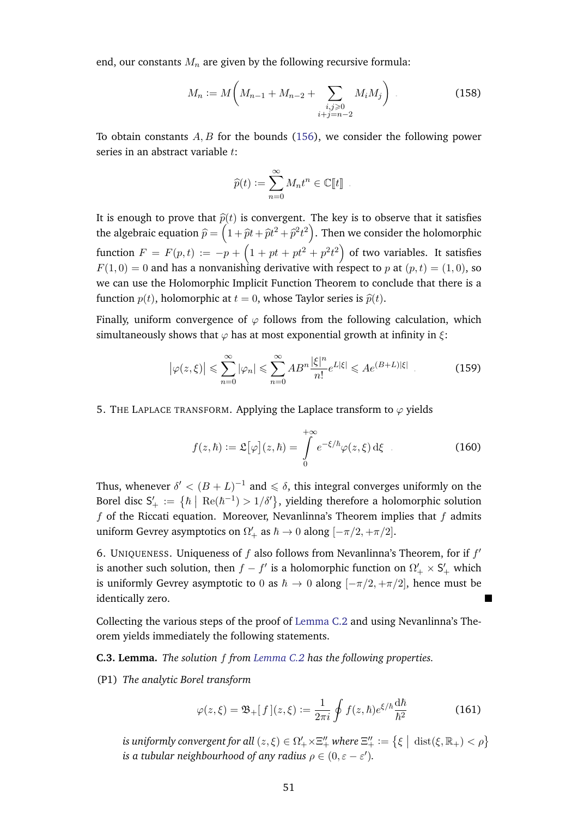end, our constants  $M_n$  are given by the following recursive formula:

$$
M_n := M\left(M_{n-1} + M_{n-2} + \sum_{\substack{i,j \ge 0 \\ i+j=n-2}} M_i M_j\right) \tag{158}
$$

To obtain constants  $A, B$  for the bounds [\(156\)](#page-49-3), we consider the following power series in an abstract variable t:

$$
\widehat{p}(t) := \sum_{n=0}^{\infty} M_n t^n \in \mathbb{C}[\![t]\!].
$$

It is enough to prove that  $\hat{p}(t)$  is convergent. The key is to observe that it satisfies the algebraic equation  $\widehat{p} = \left(1 + \widehat{p}t + \widehat{p}t^2 + \widehat{p}^2t^2\right)$ . Then we consider the holomorphic function  $F = F(p,t) := -p + \left(1 + pt + pt^2 + p^2t^2\right)$  of two variables. It satisfies  $F(1,0) = 0$  and has a nonvanishing derivative with respect to p at  $(p, t) = (1, 0)$ , so we can use the Holomorphic Implicit Function Theorem to conclude that there is a function  $p(t)$ , holomorphic at  $t = 0$ , whose Taylor series is  $\hat{p}(t)$ .

Finally, uniform convergence of  $\varphi$  follows from the following calculation, which simultaneously shows that  $\varphi$  has at most exponential growth at infinity in  $\xi$ :

$$
\left|\varphi(z,\xi)\right| \leqslant \sum_{n=0}^{\infty} |\varphi_n| \leqslant \sum_{n=0}^{\infty} AB^n \frac{|\xi|^n}{n!} e^{L|\xi|} \leqslant Ae^{(B+L)|\xi|} \tag{159}
$$

5. THE LAPLACE TRANSFORM. Applying the Laplace transform to  $\varphi$  yields

$$
f(z,\hbar) := \mathfrak{L}[\varphi](z,\hbar) = \int_{0}^{+\infty} e^{-\xi/\hbar} \varphi(z,\xi) \,\mathrm{d}\xi \qquad (160)
$$

Thus, whenever  $\delta' < (B+L)^{-1}$  and  $\leq \delta$ , this integral converges uniformly on the Borel disc  $S'_+ := \{ \hbar \mid \text{Re}(\hbar^{-1}) > 1/\delta' \},\$  yielding therefore a holomorphic solution  $f$  of the Riccati equation. Moreover, Nevanlinna's Theorem implies that  $f$  admits uniform Gevrey asymptotics on  $\Omega'_{+}$  as  $\hbar \to 0$  along  $[-\pi/2, +\pi/2]$ .

6. UNIQUENESS. Uniqueness of  $f$  also follows from Nevanlinna's Theorem, for if  $f'$ is another such solution, then  $f - f'$  is a holomorphic function on  $\Omega'_{+} \times S'_{+}$  which is uniformly Gevrey asymptotic to 0 as  $\hbar \to 0$  along  $[-\pi/2, +\pi/2]$ , hence must be identically zero.

Collecting the various steps of the proof of [Lemma C.2](#page-47-1) and using Nevanlinna's Theorem yields immediately the following statements.

<span id="page-50-0"></span>**C.3. Lemma.** *The solution* f *from [Lemma C.2](#page-47-1) has the following properties.*

(P1) *The analytic Borel transform*

$$
\varphi(z,\xi) = \mathfrak{B}_+[f](z,\xi) := \frac{1}{2\pi i} \oint f(z,\hbar) e^{\xi/\hbar} \frac{\mathrm{d}\hbar}{\hbar^2} \tag{161}
$$

is uniformly convergent for all  $(z,\xi) \in \Omega'_+ \times \Xi''_+$  where  $\Xi''_+ := \big\{ \xi \bigm| \text{dist}(\xi,\mathbb{R}_+) < \rho \big\}$ *is a tubular neighbourhood of any radius*  $\rho \in (0, \varepsilon - \varepsilon').$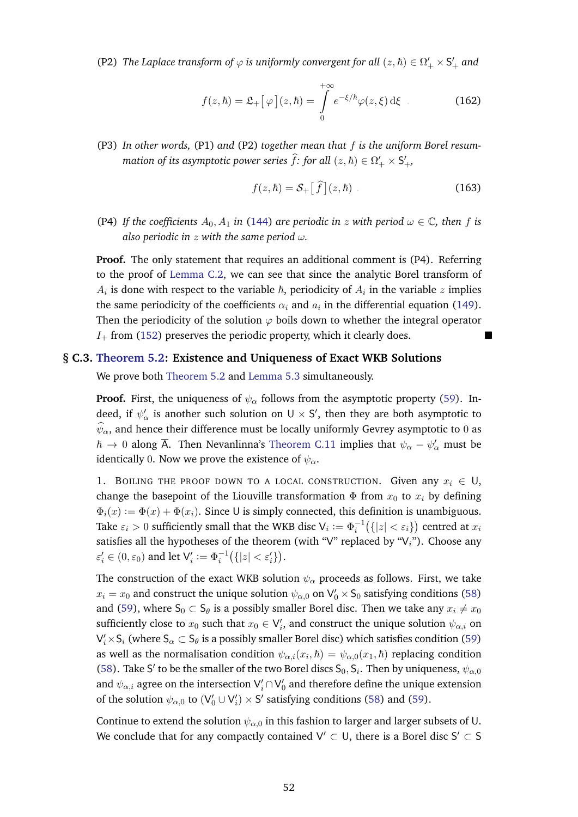(P2) *The Laplace transform of*  $\varphi$  *is uniformly convergent for all*  $(z, \hbar) \in \Omega'_{+} \times S'_{+}$  *and* 

$$
f(z,\hbar) = \mathfrak{L}_+ \big[ \varphi \big] (z,\hbar) = \int_0^{+\infty} e^{-\xi/\hbar} \varphi(z,\xi) \,d\xi \qquad (162)
$$

(P3) *In other words,* (P1) *and* (P2) *together mean that* f *is the uniform Borel resummation of its asymptotic power series*  $\widehat{f}$ *: for all*  $(z, \hbar) \in \Omega'_{+} \times S'_{+}$ ,

$$
f(z,\hbar) = \mathcal{S}_+ \left[ \hat{f} \right] (z,\hbar) \tag{163}
$$

(P4) If the coefficients  $A_0$ ,  $A_1$  in [\(144\)](#page-47-2) are periodic in z with period  $\omega \in \mathbb{C}$ , then f is *also periodic in* z *with the same period* ω*.*

**Proof.** The only statement that requires an additional comment is (P4). Referring to the proof of [Lemma C.2,](#page-47-1) we can see that since the analytic Borel transform of  $A_i$  is done with respect to the variable  $\hbar$ , periodicity of  $A_i$  in the variable  $z$  implies the same periodicity of the coefficients  $\alpha_i$  and  $a_i$  in the differential equation [\(149\)](#page-48-0). Then the periodicity of the solution  $\varphi$  boils down to whether the integral operator  $I_{+}$  from [\(152\)](#page-49-4) preserves the periodic property, which it clearly does.

#### **§ C.3. [Theorem 5.2:](#page-20-1) Existence and Uniqueness of Exact WKB Solutions**

<span id="page-51-0"></span>We prove both [Theorem 5.2](#page-20-1) and [Lemma 5.3](#page-20-4) simultaneously.

**Proof.** First, the uniqueness of  $\psi_{\alpha}$  follows from the asymptotic property [\(59\)](#page-20-5). Indeed, if  $\psi'_\alpha$  is another such solution on  $U \times S'$ , then they are both asymptotic to  $\widehat{\psi}_{\alpha}$ , and hence their difference must be locally uniformly Gevrey asymptotic to 0 as  $\hbar \to 0$  along  $\overline{\mathsf{A}}$ . Then Nevanlinna's [Theorem C.11](#page-44-0) implies that  $\psi_\alpha - \psi_\alpha'$  must be identically 0. Now we prove the existence of  $\psi_{\alpha}$ .

1. BOILING THE PROOF DOWN TO A LOCAL CONSTRUCTION. Given any  $x_i \in U$ , change the basepoint of the Liouville transformation  $\Phi$  from  $x_0$  to  $x_i$  by defining  $\Phi_i(x) := \Phi(x) + \Phi(x_i)$ . Since U is simply connected, this definition is unambiguous. Take  $\varepsilon_i > 0$  sufficiently small that the WKB disc  $\mathsf{V}_i := \Phi_i^{-1} \big( \{|z| < \varepsilon_i\} \big)$  centred at  $x_i$ satisfies all the hypotheses of the theorem (with "V" replaced by " $V_i$ "). Choose any  $\varepsilon_i' \in (0, \varepsilon_0)$  and let  $\mathsf{V}_i' := \Phi_i^{-1} \big( \{ |z| < \varepsilon_i' \} \big)$ .

The construction of the exact WKB solution  $\psi_{\alpha}$  proceeds as follows. First, we take  $x_i = x_0$  and construct the unique solution  $\psi_{\alpha,0}$  on  $\mathsf{V}'_0 \times \mathsf{S}_0$  satisfying conditions [\(58\)](#page-20-6) and [\(59\)](#page-20-5), where  $S_0 \subset S_\theta$  is a possibly smaller Borel disc. Then we take any  $x_i \neq x_0$ sufficiently close to  $x_0$  such that  $x_0 \in V_i'$ , and construct the unique solution  $\psi_{\alpha,i}$  on  $\mathsf{V}'_i \times \mathsf{S}_i$  (where  $\mathsf{S}_\alpha \subset \mathsf{S}_\theta$  is a possibly smaller Borel disc) which satisfies condition [\(59\)](#page-20-5) as well as the normalisation condition  $\psi_{\alpha,i}(x_i,\hbar)=\psi_{\alpha,0}(x_1,\hbar)$  replacing condition [\(58\)](#page-20-6). Take S' to be the smaller of the two Borel discs  $S_0, S_i$ . Then by uniqueness,  $\psi_{\alpha,0}$ and  $\psi_{\alpha,i}$  agree on the intersection  $\mathsf{V}_i^\prime \cap \mathsf{V}_0^\prime$  and therefore define the unique extension of the solution  $\psi_{\alpha,0}$  to  $(V'_0 \cup V'_i) \times S'$  satisfying conditions [\(58\)](#page-20-6) and [\(59\)](#page-20-5).

Continue to extend the solution  $\psi_{\alpha,0}$  in this fashion to larger and larger subsets of U. We conclude that for any compactly contained  $\mathsf{V}' \subset \mathsf{U}$ , there is a Borel disc  $\mathsf{S}' \subset \mathsf{S}'$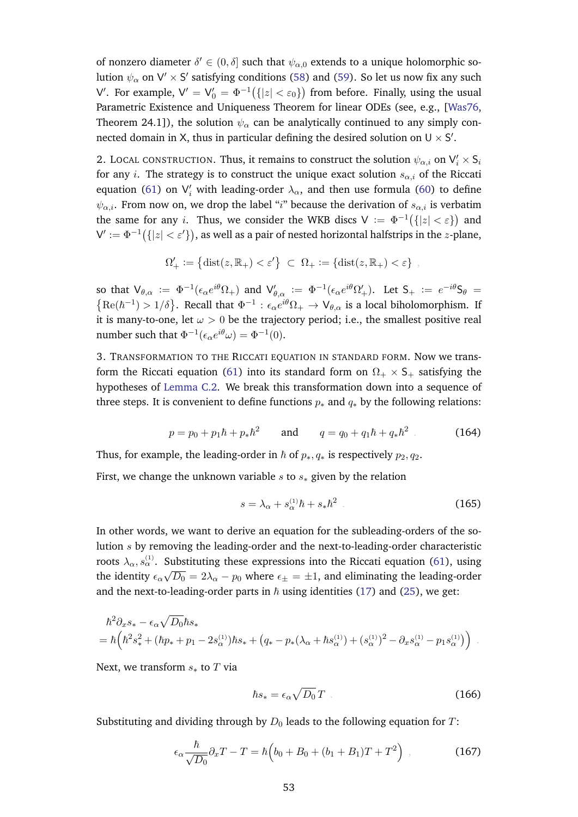of nonzero diameter  $\delta' \in (0, \delta]$  such that  $\psi_{\alpha,0}$  extends to a unique holomorphic solution  $\psi_\alpha$  on  $\mathsf{V}'\times\mathsf{S}'$  satisfying conditions [\(58\)](#page-20-6) and [\(59\)](#page-20-5). So let us now fix any such V'. For example,  $V' = V'_0 = \Phi^{-1}(\{|z| < \varepsilon_0\})$  from before. Finally, using the usual Parametric Existence and Uniqueness Theorem for linear ODEs (see, e.g., [\[Was76,](#page-58-8) Theorem 24.1]), the solution  $\psi_{\alpha}$  can be analytically continued to any simply connected domain in X, thus in particular defining the desired solution on  $U \times S'$ .

2. LOCAL CONSTRUCTION. Thus, it remains to construct the solution  $\psi_{\alpha,i}$  on  $\mathsf{V}_i' \times \mathsf{S}_i$ for any *i*. The strategy is to construct the unique exact solution  $s_{\alpha,i}$  of the Riccati equation [\(61\)](#page-20-3) on  $V_i'$  with leading-order  $\lambda_\alpha$ , and then use formula [\(60\)](#page-20-2) to define  $\psi_{\alpha,i}$ . From now on, we drop the label "i" because the derivation of  $s_{\alpha,i}$  is verbatim the same for any i. Thus, we consider the WKB discs  $V := \Phi^{-1}(\{|z| < \varepsilon\})$  and  $\mathsf{V}' := \Phi^{-1}\bigl( \{|z| < \varepsilon' \} \bigr),$  as well as a pair of nested horizontal halfstrips in the  $z$ -plane,

$$
\Omega'_+ := \left\{ \text{dist}(z, \mathbb{R}_+) < \varepsilon' \right\} \ \subset \ \Omega_+ := \left\{ \text{dist}(z, \mathbb{R}_+) < \varepsilon \right\} \ ,
$$

so that  $\mathsf{V}_{\theta,\alpha}$  :=  $\Phi^{-1}(\epsilon_\alpha e^{i\theta} \Omega_+)$  and  $\mathsf{V}'_{\theta,\alpha}$  :=  $\Phi^{-1}(\epsilon_\alpha e^{i\theta} \Omega'_+)$ . Let  $\mathsf{S}_+$  :=  $e^{-i\theta} \mathsf{S}_\theta$  =  ${Re(\hbar^{-1}) > 1/\delta}$ . Recall that  $\Phi^{-1}: \epsilon_\alpha e^{i\theta} \Omega_+ \to V_{\theta,\alpha}$  is a local biholomorphism. If it is many-to-one, let  $\omega > 0$  be the trajectory period; i.e., the smallest positive real number such that  $\Phi^{-1}(\epsilon_\alpha e^{i\theta}\omega) = \Phi^{-1}(0)$ .

3. TRANSFORMATION TO THE RICCATI EQUATION IN STANDARD FORM. Now we trans-form the Riccati equation [\(61\)](#page-20-3) into its standard form on  $\Omega_+ \times S_+$  satisfying the hypotheses of [Lemma C.2.](#page-47-1) We break this transformation down into a sequence of three steps. It is convenient to define functions  $p_*$  and  $q_*$  by the following relations:

$$
p = p_0 + p_1 \hbar + p_* \hbar^2 \quad \text{and} \quad q = q_0 + q_1 \hbar + q_* \hbar^2 \ . \tag{164}
$$

Thus, for example, the leading-order in  $\hbar$  of  $p_*, q_*$  is respectively  $p_2, q_2$ .

First, we change the unknown variable s to  $s_*$  given by the relation

<span id="page-52-0"></span>
$$
s = \lambda_{\alpha} + s_{\alpha}^{(1)}\hbar + s_{*}\hbar^{2} \tag{165}
$$

In other words, we want to derive an equation for the subleading-orders of the solution s by removing the leading-order and the next-to-leading-order characteristic roots  $\lambda_\alpha, s_\alpha^{(1)}$ . Substituting these expressions into the Riccati equation [\(61\)](#page-20-3), using the identity  $\epsilon_{\alpha}$ √  $\overline{D_0} = 2\lambda_\alpha - p_0$  where  $\epsilon_\pm = \pm 1,$  and eliminating the leading-order and the next-to-leading-order parts in  $\hbar$  using identities [\(17\)](#page-8-2) and [\(25\)](#page-10-3), we get:

$$
\begin{split} \hbar^2 \partial_x s_* - \epsilon_\alpha \sqrt{D_0} \hbar s_* \\ &= \hbar \Big( \hbar^2 s_*^2 + (\hbar p_* + p_1 - 2s_\alpha^{(1)}) \hbar s_* + \big( q_* - p_* (\lambda_\alpha + \hbar s_\alpha^{(1)}) + (s_\alpha^{(1)})^2 - \partial_x s_\alpha^{(1)} - p_1 s_\alpha^{(1)} \big) \Big) \end{split}.
$$

Next, we transform  $s_*$  to  $T$  via

<span id="page-52-1"></span>
$$
\hbar s_* = \epsilon_\alpha \sqrt{D_0} \, T \tag{166}
$$

Substituting and dividing through by  $D_0$  leads to the following equation for T:

$$
\epsilon_{\alpha} \frac{\hbar}{\sqrt{D_0}} \partial_x T - T = \hbar \left( b_0 + B_0 + (b_1 + B_1)T + T^2 \right) , \qquad (167)
$$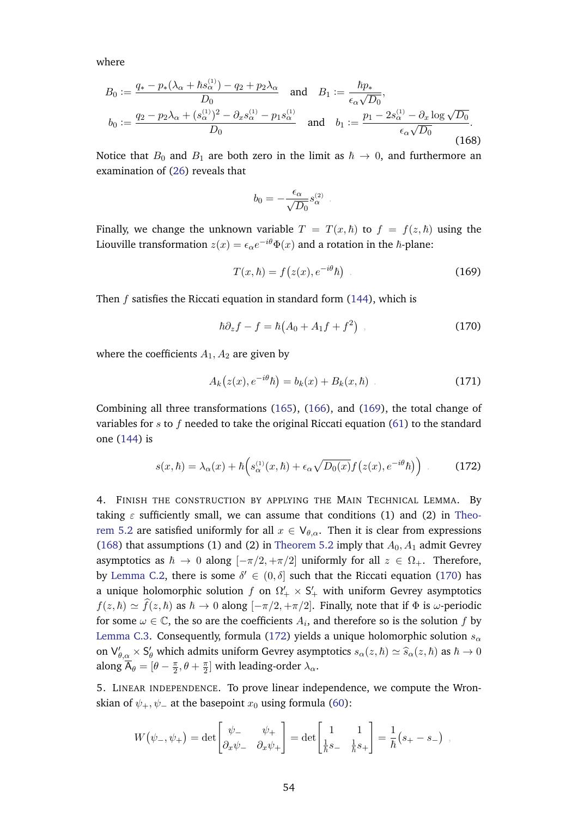<span id="page-53-1"></span>where

$$
B_0 := \frac{q_* - p_*(\lambda_\alpha + \hbar s_\alpha^{(1)}) - q_2 + p_2 \lambda_\alpha}{D_0} \quad \text{and} \quad B_1 := \frac{\hbar p_*}{\epsilon_\alpha \sqrt{D_0}},
$$
  
\n
$$
b_0 := \frac{q_2 - p_2 \lambda_\alpha + (s_\alpha^{(1)})^2 - \partial_x s_\alpha^{(1)} - p_1 s_\alpha^{(1)}}{D_0} \quad \text{and} \quad b_1 := \frac{p_1 - 2s_\alpha^{(1)} - \partial_x \log \sqrt{D_0}}{\epsilon_\alpha \sqrt{D_0}}.
$$
\n(168)

Notice that  $B_0$  and  $B_1$  are both zero in the limit as  $\hbar \to 0$ , and furthermore an examination of [\(26\)](#page-10-2) reveals that

<span id="page-53-0"></span>
$$
b_0 = -\frac{\epsilon_\alpha}{\sqrt{D_0}} s_\alpha^{(2)}.
$$

Finally, we change the unknown variable  $T = T(x, \hbar)$  to  $f = f(z, \hbar)$  using the Liouville transformation  $z(x)=\epsilon_\alpha e^{-i\theta}\Phi(x)$  and a rotation in the  $\hbar$ -plane:

<span id="page-53-2"></span>
$$
T(x,\hbar) = f(z(x), e^{-i\theta}\hbar)
$$
 (169)

Then  $f$  satisfies the Riccati equation in standard form  $(144)$ , which is

$$
\hbar \partial_z f - f = \hbar \left( A_0 + A_1 f + f^2 \right) , \qquad (170)
$$

where the coefficients  $A_1, A_2$  are given by

$$
A_k(z(x), e^{-i\theta}\hbar) = b_k(x) + B_k(x, \hbar) \tag{171}
$$

Combining all three transformations [\(165\)](#page-52-0), [\(166\)](#page-52-1), and [\(169\)](#page-53-0), the total change of variables for s to f needed to take the original Riccati equation [\(61\)](#page-20-3) to the standard one [\(144\)](#page-47-2) is

<span id="page-53-3"></span>
$$
s(x,\hbar) = \lambda_{\alpha}(x) + \hbar \left( s_{\alpha}^{(1)}(x,\hbar) + \epsilon_{\alpha} \sqrt{D_0(x)} f\left(z(x), e^{-i\theta} \hbar\right) \right) \tag{172}
$$

4. FINISH THE CONSTRUCTION BY APPLYING THE MAIN TECHNICAL LEMMA. By taking  $\varepsilon$  sufficiently small, we can assume that conditions (1) and (2) in [Theo](#page-20-1)[rem 5.2](#page-20-1) are satisfied uniformly for all  $x \in V_{\theta,\alpha}$ . Then it is clear from expressions [\(168\)](#page-53-1) that assumptions (1) and (2) in [Theorem 5.2](#page-20-1) imply that  $A_0$ ,  $A_1$  admit Gevrey asymptotics as  $\hbar \to 0$  along  $[-\pi/2, +\pi/2]$  uniformly for all  $z \in \Omega_+$ . Therefore, by [Lemma C.2,](#page-47-1) there is some  $\delta' \in (0, \delta]$  such that the Riccati equation [\(170\)](#page-53-2) has a unique holomorphic solution  $f$  on  $\Omega'_{+}\times\mathsf{S}'_{+}$  with uniform Gevrey asymptotics  $f(z, \hbar) \simeq \hat{f}(z, \hbar)$  as  $\hbar \to 0$  along  $[-\pi/2, +\pi/2]$ . Finally, note that if  $\Phi$  is  $\omega$ -periodic for some  $\omega \in \mathbb{C}$ , the so are the coefficients  $A_i$ , and therefore so is the solution  $f$  by [Lemma C.3.](#page-50-0) Consequently, formula [\(172\)](#page-53-3) yields a unique holomorphic solution  $s_{\alpha}$ on  $\bigvee_{\theta,\alpha} S_{\theta}$  which admits uniform Gevrey asymptotics  $s_{\alpha}(z,\hbar) \simeq \widehat{s}_{\alpha}(z,\hbar)$  as  $\hbar \to 0$ along  $\overline{\mathsf{A}}_\theta = [\theta - \frac{\pi}{2}]$  $\frac{\pi}{2}, \theta + \frac{\pi}{2}$  $\frac{\pi}{2}$ ] with leading-order  $\lambda_\alpha$ .

5. LINEAR INDEPENDENCE. To prove linear independence, we compute the Wronskian of  $\psi_+$ ,  $\psi_-$  at the basepoint  $x_0$  using formula [\(60\)](#page-20-2):

$$
W(\psi_-,\psi_+) = \det \begin{bmatrix} \psi_- & \psi_+ \\ \partial_x \psi_- & \partial_x \psi_+ \end{bmatrix} = \det \begin{bmatrix} 1 & 1 \\ \frac{1}{\hbar} s_- & \frac{1}{\hbar} s_+ \end{bmatrix} = \frac{1}{\hbar} (s_+ - s_-) ,
$$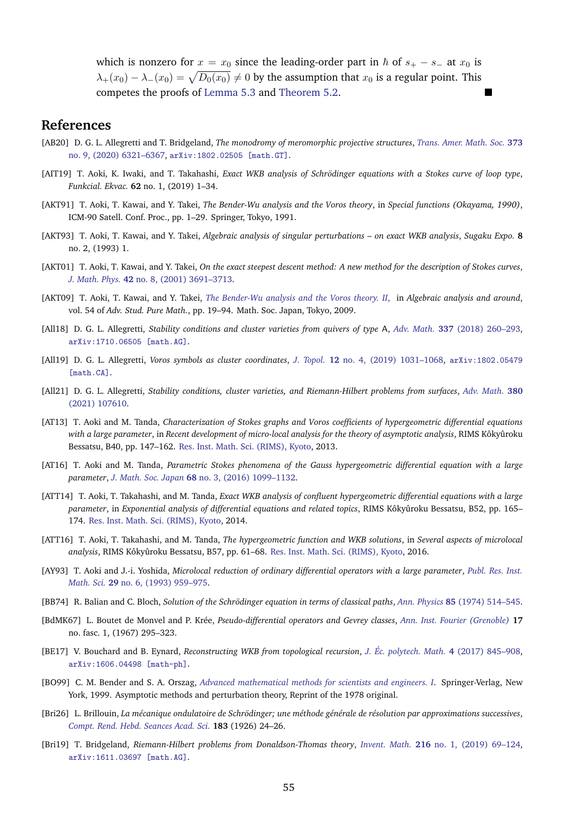which is nonzero for  $x = x_0$  since the leading-order part in  $\hbar$  of  $s_+ - s_-$  at  $x_0$  is  $\lambda_+(x_0) - \lambda_-(x_0) = \sqrt{D_0(x_0)} \neq 0$  by the assumption that  $x_0$  is a regular point. This competes the proofs of [Lemma 5.3](#page-20-4) and [Theorem 5.2.](#page-20-1)

# **References**

- <span id="page-54-15"></span>[AB20] D. G. L. Allegretti and T. Bridgeland, *The monodromy of meromorphic projective structures*, *[Trans. Amer. Math. Soc.](http://dx.doi.org/10.1090/tran/8093)* **373** [no. 9, \(2020\) 6321–6367,](http://dx.doi.org/10.1090/tran/8093) [arXiv:1802.02505 \[math.GT\]](http://arxiv.org/abs/1802.02505).
- <span id="page-54-13"></span>[AIT19] T. Aoki, K. Iwaki, and T. Takahashi, *Exact WKB analysis of Schrödinger equations with a Stokes curve of loop type*, *Funkcial. Ekvac.* **62** no. 1, (2019) 1–34.
- <span id="page-54-4"></span>[AKT91] T. Aoki, T. Kawai, and Y. Takei, *The Bender-Wu analysis and the Voros theory*, in *Special functions (Okayama, 1990)*, ICM-90 Satell. Conf. Proc., pp. 1–29. Springer, Tokyo, 1991.
- <span id="page-54-6"></span>[AKT93] T. Aoki, T. Kawai, and Y. Takei, *Algebraic analysis of singular perturbations – on exact WKB analysis*, *Sugaku Expo.* **8** no. 2, (1993) 1.
- <span id="page-54-8"></span>[AKT01] T. Aoki, T. Kawai, and Y. Takei, *On the exact steepest descent method: A new method for the description of Stokes curves*, *J. Math. Phys.* **42** [no. 8, \(2001\) 3691–3713.](http://dx.doi.org/10.1063/1.1368138)
- <span id="page-54-7"></span>[AKT09] T. Aoki, T. Kawai, and Y. Takei, *[The Bender-Wu analysis and the Voros theory. II](http://dx.doi.org/10.2969/aspm/05410019)*, in *Algebraic analysis and around*, vol. 54 of *Adv. Stud. Pure Math.*, pp. 19–94. Math. Soc. Japan, Tokyo, 2009.
- <span id="page-54-16"></span>[All18] D. G. L. Allegretti, *Stability conditions and cluster varieties from quivers of type* A, *Adv. Math.* **337** [\(2018\) 260–293,](http://dx.doi.org/10.1016/j.aim.2018.08.017) [arXiv:1710.06505 \[math.AG\]](http://arxiv.org/abs/1710.06505).
- <span id="page-54-14"></span>[All19] D. G. L. Allegretti, *Voros symbols as cluster coordinates*, *J. Topol.* **12** [no. 4, \(2019\) 1031–1068,](http://dx.doi.org/10.1112/topo.12106) [arXiv:1802.05479](http://arxiv.org/abs/1802.05479) [\[math.CA\]](http://arxiv.org/abs/1802.05479).
- <span id="page-54-18"></span>[All21] D. G. L. Allegretti, *Stability conditions, cluster varieties, and Riemann-Hilbert problems from surfaces*, *[Adv. Math.](http://dx.doi.org/10.1016/j.aim.2021.107610)* **380** [\(2021\) 107610.](http://dx.doi.org/10.1016/j.aim.2021.107610)
- <span id="page-54-9"></span>[AT13] T. Aoki and M. Tanda, *Characterization of Stokes graphs and Voros coefficients of hypergeometric differential equations with a large parameter*, in *Recent development of micro-local analysis for the theory of asymptotic analysis*, RIMS Kôkyûroku Bessatsu, B40, pp. 147–162. [Res. Inst. Math. Sci. \(RIMS\), Kyoto,](https://www.kurims.kyoto-u.ac.jp/~kenkyubu/bessatsu/open/B40/pdf/B40_012.pdf) 2013.
- <span id="page-54-12"></span>[AT16] T. Aoki and M. Tanda, *Parametric Stokes phenomena of the Gauss hypergeometric differential equation with a large parameter*, *J. Math. Soc. Japan* **68** [no. 3, \(2016\) 1099–1132.](http://dx.doi.org/10.2969/jmsj/06831099)
- <span id="page-54-10"></span>[ATT14] T. Aoki, T. Takahashi, and M. Tanda, *Exact WKB analysis of confluent hypergeometric differential equations with a large parameter*, in *Exponential analysis of differential equations and related topics*, RIMS Kôkyûroku Bessatsu, B52, pp. 165– 174. [Res. Inst. Math. Sci. \(RIMS\), Kyoto,](https://www.kurims.kyoto-u.ac.jp/~kenkyubu/bessatsu/open/B52/pdf/B52_009.pdf) 2014.
- <span id="page-54-11"></span>[ATT16] T. Aoki, T. Takahashi, and M. Tanda, *The hypergeometric function and WKB solutions*, in *Several aspects of microlocal analysis*, RIMS Kôkyûroku Bessatsu, B57, pp. 61–68. [Res. Inst. Math. Sci. \(RIMS\), Kyoto,](http://hdl.handle.net/2433/241332) 2016.
- <span id="page-54-5"></span>[AY93] T. Aoki and J.-i. Yoshida, *Microlocal reduction of ordinary differential operators with a large parameter*, *[Publ. Res. Inst.](http://dx.doi.org/10.2977/prims/1195166424) Math. Sci.* **29** [no. 6, \(1993\) 959–975.](http://dx.doi.org/10.2977/prims/1195166424)
- <span id="page-54-2"></span>[BB74] R. Balian and C. Bloch, *Solution of the Schrödinger equation in terms of classical paths*, *Ann. Physics* 85 [\(1974\) 514–545.](http://dx.doi.org/10.1016/0003-4916(74)90421-7)
- <span id="page-54-3"></span>[BdMK67] L. Boutet de Monvel and P. Kr´ee, *Pseudo-differential operators and Gevrey classes*, *[Ann. Inst. Fourier \(Grenoble\)](http://www.numdam.org/item?id=AIF_1967__17_1_295_0)* **17** no. fasc. 1, (1967) 295–323.
- <span id="page-54-19"></span>[BE17] V. Bouchard and B. Eynard, *Reconstructing WKB from topological recursion*, *J. [Ec. polytech. Math.](http://dx.doi.org/10.5802/jep.58) ´* **4** (2017) 845–908, [arXiv:1606.04498 \[math-ph\]](http://arxiv.org/abs/1606.04498).
- <span id="page-54-1"></span>[BO99] C. M. Bender and S. A. Orszag, *[Advanced mathematical methods for scientists and engineers. I](http://dx.doi.org/10.1007/978-1-4757-3069-2)*. Springer-Verlag, New York, 1999. Asymptotic methods and perturbation theory, Reprint of the 1978 original.
- <span id="page-54-0"></span>[Bri26] L. Brillouin, *La mécanique ondulatoire de Schrödinger; une méthode générale de résolution par approximations successives, [Compt. Rend. Hebd. Seances Acad. Sci.](http://gallica.bnf.fr/ark:/12148/bpt6k3136h/f24)* **183** (1926) 24–26.
- <span id="page-54-17"></span>[Bri19] T. Bridgeland, *Riemann-Hilbert problems from Donaldson-Thomas theory*, *Invent. Math.* **216** [no. 1, \(2019\) 69–124,](http://dx.doi.org/10.1007/s00222-018-0843-8) [arXiv:1611.03697 \[math.AG\]](http://arxiv.org/abs/1611.03697).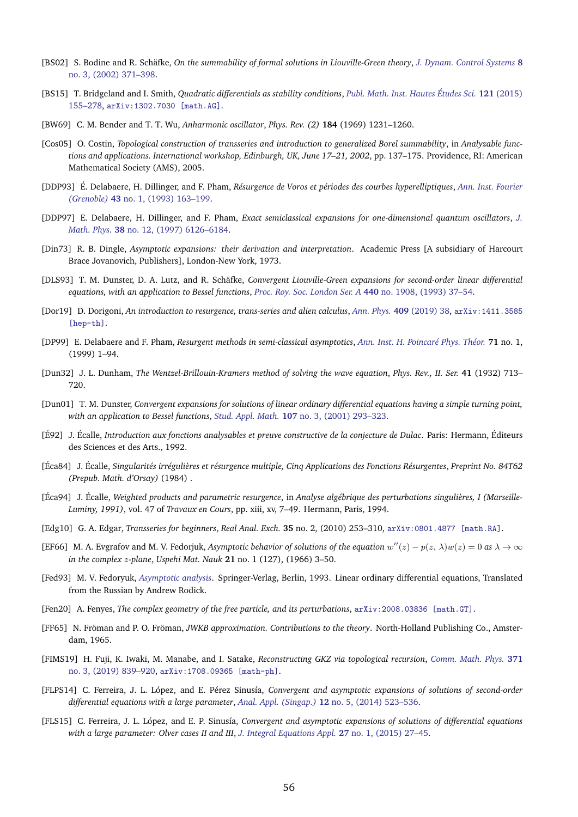- <span id="page-55-12"></span>[BS02] S. Bodine and R. Schäfke, On the summability of formal solutions in Liouville-Green theory, *[J. Dynam. Control Systems](http://dx.doi.org/10.1023/A:1016382404980)* 8 [no. 3, \(2002\) 371–398.](http://dx.doi.org/10.1023/A:1016382404980)
- <span id="page-55-16"></span>[BS15] T. Bridgeland and I. Smith, *Quadratic differentials as stability conditions*, *[Publ. Math. Inst. Hautes](http://dx.doi.org/10.1007/s10240-014-0066-5) Etudes Sci. ´* **121** (2015) [155–278,](http://dx.doi.org/10.1007/s10240-014-0066-5) [arXiv:1302.7030 \[math.AG\]](http://arxiv.org/abs/1302.7030).
- <span id="page-55-5"></span>[BW69] C. M. Bender and T. T. Wu, *Anharmonic oscillator*, *Phys. Rev. (2)* **184** (1969) 1231–1260.
- <span id="page-55-20"></span>[Cos05] O. Costin, *Topological construction of transseries and introduction to generalized Borel summability*, in *Analyzable functions and applications. International workshop, Edinburgh, UK, June 17–21, 2002*, pp. 137–175. Providence, RI: American Mathematical Society (AMS), 2005.
- <span id="page-55-6"></span>[DDP93] É. Delabaere, H. Dillinger, and F. Pham, Résurgence de Voros et périodes des courbes hyperelliptiques, *[Ann. Inst. Fourier](http://dx.doi.org/10.5802/aif.1326) (Grenoble)* **43** [no. 1, \(1993\) 163–199.](http://dx.doi.org/10.5802/aif.1326)
- <span id="page-55-7"></span>[DDP97] E. Delabaere, H. Dillinger, and F. Pham, *Exact semiclassical expansions for one-dimensional quantum oscillators*, *[J.](http://dx.doi.org/10.1063/1.532206) Math. Phys.* **38** [no. 12, \(1997\) 6126–6184.](http://dx.doi.org/10.1063/1.532206)
- <span id="page-55-1"></span>[Din73] R. B. Dingle, *Asymptotic expansions: their derivation and interpretation*. Academic Press [A subsidiary of Harcourt Brace Jovanovich, Publishers], London-New York, 1973.
- <span id="page-55-9"></span>[DLS93] T. M. Dunster, D. A. Lutz, and R. Schäfke, Convergent Liouville-Green expansions for second-order linear differential *equations, with an application to Bessel functions*, *[Proc. Roy. Soc. London Ser. A](http://dx.doi.org/10.1098/rspa.1993.0003)* **440** no. 1908, (1993) 37–54.
- <span id="page-55-22"></span>[Dor19] D. Dorigoni, *An introduction to resurgence, trans-series and alien calculus*, *Ann. Phys.* **409** [\(2019\) 38,](http://dx.doi.org/10.1016/j.aop.2019.167914) [arXiv:1411.3585](http://arxiv.org/abs/1411.3585) [\[hep-th\]](http://arxiv.org/abs/1411.3585).
- <span id="page-55-8"></span>[DP99] E. Delabaere and F. Pham, *Resurgent methods in semi-classical asymptotics*, *[Ann. Inst. H. Poincar´e Phys. Th´eor.](http://www.numdam.org/item?id=AIHPA_1999__71_1_1_0)* **71** no. 1, (1999) 1–94.
- <span id="page-55-4"></span>[Dun32] J. L. Dunham, *The Wentzel-Brillouin-Kramers method of solving the wave equation*, *Phys. Rev., II. Ser.* **41** (1932) 713– 720.
- <span id="page-55-11"></span>[Dun01] T. M. Dunster, *Convergent expansions for solutions of linear ordinary differential equations having a simple turning point, with an application to Bessel functions*, *Stud. Appl. Math.* **107** [no. 3, \(2001\) 293–323.](http://dx.doi.org/10.1111/1467-9590.00188)
- <span id="page-55-19"></span>[É92] J. Écalle, *Introduction aux fonctions analysables et preuve constructive de la conjecture de Dulac*. Paris: Hermann, Éditeurs des Sciences et des Arts., 1992.
- <span id="page-55-18"></span>[Éca84] J. Écalle, Singularités irrégulières et résurgence multiple, Cinq Applications des Fonctions Résurgentes, Preprint No. 84T62 *(Prepub. Math. d'Orsay)* (1984) .
- <span id="page-55-10"></span>[Éca94] J. Écalle, Weighted products and parametric resurgence, in Analyse algébrique des perturbations singulières, I (Marseille-*Luminy, 1991)*, vol. 47 of *Travaux en Cours*, pp. xiii, xv, 7–49. Hermann, Paris, 1994.
- <span id="page-55-21"></span>[Edg10] G. A. Edgar, *Transseries for beginners*, *Real Anal. Exch.* **35** no. 2, (2010) 253–310, [arXiv:0801.4877 \[math.RA\]](http://arxiv.org/abs/0801.4877).
- <span id="page-55-2"></span>[EF66] M. A. Evgrafov and M. V. Fedorjuk, *Asymptotic behavior of solutions of the equation*  $w''(z) - p(z, \lambda)w(z) = 0$  as  $\lambda \to \infty$ *in the complex* z*-plane*, *Uspehi Mat. Nauk* **21** no. 1 (127), (1966) 3–50.
- <span id="page-55-3"></span>[Fed93] M. V. Fedoryuk, *[Asymptotic analysis](http://dx.doi.org/10.1007/978-3-642-58016-1)*. Springer-Verlag, Berlin, 1993. Linear ordinary differential equations, Translated from the Russian by Andrew Rodick.
- <span id="page-55-17"></span>[Fen20] A. Fenyes, *The complex geometry of the free particle, and its perturbations*, [arXiv:2008.03836 \[math.GT\]](http://arxiv.org/abs/2008.03836).
- <span id="page-55-0"></span>[FF65] N. Fröman and P. O. Fröman, *JWKB approximation. Contributions to the theory*. North-Holland Publishing Co., Amsterdam, 1965.
- <span id="page-55-15"></span>[FIMS19] H. Fuji, K. Iwaki, M. Manabe, and I. Satake, *Reconstructing GKZ via topological recursion*, *[Comm. Math. Phys.](http://dx.doi.org/10.1007/s00220-019-03590-6)* **371** [no. 3, \(2019\) 839–920,](http://dx.doi.org/10.1007/s00220-019-03590-6) [arXiv:1708.09365 \[math-ph\]](http://arxiv.org/abs/1708.09365).
- <span id="page-55-13"></span>[FLPS14] C. Ferreira, J. L. López, and E. Pérez Sinusía, *Convergent and asymptotic expansions of solutions of second-order differential equations with a large parameter*, *Anal. Appl. (Singap.)* **12** [no. 5, \(2014\) 523–536.](http://dx.doi.org/10.1142/S0219530514500328)
- <span id="page-55-14"></span>[FLS15] C. Ferreira, J. L. López, and E. P. Sinusía, *Convergent and asymptotic expansions of solutions of differential equations with a large parameter: Olver cases II and III*, *[J. Integral Equations Appl.](http://dx.doi.org/10.1216/JIE-2015-27-1-27)* **27** no. 1, (2015) 27–45.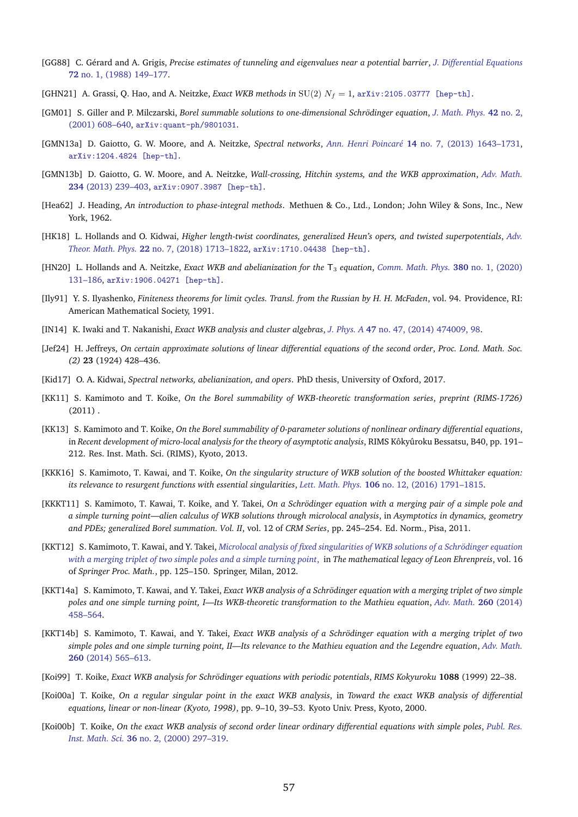- <span id="page-56-12"></span>[GG88] C. G´erard and A. Grigis, *Precise estimates of tunneling and eigenvalues near a potential barrier*, *[J. Differential Equations](http://dx.doi.org/10.1016/0022-0396(88)90153-2)* **72** [no. 1, \(1988\) 149–177.](http://dx.doi.org/10.1016/0022-0396(88)90153-2)
- <span id="page-56-18"></span>[GHN21] A. Grassi, Q. Hao, and A. Neitzke, *Exact WKB methods in*  $SU(2) N_f = 1$ , [arXiv:2105.03777 \[hep-th\]](http://arxiv.org/abs/2105.03777).
- <span id="page-56-13"></span>[GM01] S. Giller and P. Milczarski, *Borel summable solutions to one-dimensional Schrodinger equation ¨* , *[J. Math. Phys.](http://dx.doi.org/10.1063/1.1331099)* **42** no. 2, [\(2001\) 608–640,](http://dx.doi.org/10.1063/1.1331099) [arXiv:quant-ph/9801031](http://arxiv.org/abs/quant-ph/9801031).
- <span id="page-56-20"></span>[GMN13a] D. Gaiotto, G. W. Moore, and A. Neitzke, *Spectral networks*, *Ann. Henri Poincaré* 14 no. 7, (2013) 1643-1731, [arXiv:1204.4824 \[hep-th\]](http://arxiv.org/abs/1204.4824).
- <span id="page-56-19"></span>[GMN13b] D. Gaiotto, G. W. Moore, and A. Neitzke, *Wall-crossing, Hitchin systems, and the WKB approximation*, *[Adv. Math.](http://dx.doi.org/10.1016/j.aim.2012.09.027)* **234** [\(2013\) 239–403,](http://dx.doi.org/10.1016/j.aim.2012.09.027) [arXiv:0907.3987 \[hep-th\]](http://arxiv.org/abs/0907.3987).
- <span id="page-56-1"></span>[Hea62] J. Heading, *An introduction to phase-integral methods*. Methuen & Co., Ltd., London; John Wiley & Sons, Inc., New York, 1962.
- <span id="page-56-16"></span>[HK18] L. Hollands and O. Kidwai, *Higher length-twist coordinates, generalized Heun's opers, and twisted superpotentials*, *[Adv.](http://dx.doi.org/10.4310/ATMP.2018.v22.n7.a2) Theor. Math. Phys.* **22** [no. 7, \(2018\) 1713–1822,](http://dx.doi.org/10.4310/ATMP.2018.v22.n7.a2) [arXiv:1710.04438 \[hep-th\]](http://arxiv.org/abs/1710.04438).
- <span id="page-56-17"></span>[HN20] L. Hollands and A. Neitzke, *Exact WKB and abelianization for the* T<sup>3</sup> *equation*, *[Comm. Math. Phys.](http://dx.doi.org/10.1007/s00220-020-03875-1)* **380** no. 1, (2020) [131–186,](http://dx.doi.org/10.1007/s00220-020-03875-1) [arXiv:1906.04271 \[hep-th\]](http://arxiv.org/abs/1906.04271).
- <span id="page-56-21"></span>[Ily91] Y. S. Ilyashenko, *Finiteness theorems for limit cycles. Transl. from the Russian by H. H. McFaden*, vol. 94. Providence, RI: American Mathematical Society, 1991.
- <span id="page-56-14"></span>[IN14] K. Iwaki and T. Nakanishi, *Exact WKB analysis and cluster algebras*, *J. Phys. A* **47** [no. 47, \(2014\) 474009, 98.](http://dx.doi.org/10.1088/1751-8113/47/47/474009)
- <span id="page-56-0"></span>[Jef24] H. Jeffreys, *On certain approximate solutions of linear differential equations of the second order*, *Proc. Lond. Math. Soc. (2)* **23** (1924) 428–436.
- <span id="page-56-15"></span>[Kid17] O. A. Kidwai, *Spectral networks, abelianization, and opers*. PhD thesis, University of Oxford, 2017.
- <span id="page-56-5"></span>[KK11] S. Kamimoto and T. Koike, *On the Borel summability of WKB-theoretic transformation series*, *preprint (RIMS-1726)*  $(2011)$ .
- <span id="page-56-7"></span>[KK13] S. Kamimoto and T. Koike, *On the Borel summability of 0-parameter solutions of nonlinear ordinary differential equations*, in *Recent development of micro-local analysis for the theory of asymptotic analysis*, RIMS Kôkyûroku Bessatsu, B40, pp. 191– 212. Res. Inst. Math. Sci. (RIMS), Kyoto, 2013.
- <span id="page-56-11"></span>[KKK16] S. Kamimoto, T. Kawai, and T. Koike, *On the singularity structure of WKB solution of the boosted Whittaker equation: its relevance to resurgent functions with essential singularities*, *Lett. Math. Phys.* **106** [no. 12, \(2016\) 1791–1815.](http://dx.doi.org/10.1007/s11005-016-0887-x)
- <span id="page-56-9"></span>[KKKT11] S. Kamimoto, T. Kawai, T. Koike, and Y. Takei, *On a Schrodinger equation with a merging pair of a simple pole and ¨ a simple turning point—alien calculus of WKB solutions through microlocal analysis*, in *Asymptotics in dynamics, geometry and PDEs; generalized Borel summation. Vol. II*, vol. 12 of *CRM Series*, pp. 245–254. Ed. Norm., Pisa, 2011.
- <span id="page-56-6"></span>[KKT12] S. Kamimoto, T. Kawai, and Y. Takei, *[Microlocal analysis of fixed singularities of WKB solutions of a Schrodinger equation](http://dx.doi.org/10.1007/978-88-470-1947-8_9) ¨ [with a merging triplet of two simple poles and a simple turning point](http://dx.doi.org/10.1007/978-88-470-1947-8_9)*, in *The mathematical legacy of Leon Ehrenpreis*, vol. 16 of *Springer Proc. Math.*, pp. 125–150. Springer, Milan, 2012.
- <span id="page-56-8"></span>[KKT14a] S. Kamimoto, T. Kawai, and Y. Takei, *Exact WKB analysis of a Schrödinger equation with a merging triplet of two simple poles and one simple turning point, I—Its WKB-theoretic transformation to the Mathieu equation*, *[Adv. Math.](http://dx.doi.org/10.1016/j.aim.2014.02.026)* **260** (2014) [458–564.](http://dx.doi.org/10.1016/j.aim.2014.02.026)
- <span id="page-56-10"></span>[KKT14b] S. Kamimoto, T. Kawai, and Y. Takei, *Exact WKB analysis of a Schrödinger equation with a merging triplet of two simple poles and one simple turning point, II—Its relevance to the Mathieu equation and the Legendre equation*, *[Adv. Math.](http://dx.doi.org/10.1016/j.aim.2014.02.028)* **260** [\(2014\) 565–613.](http://dx.doi.org/10.1016/j.aim.2014.02.028)
- <span id="page-56-2"></span>[Koi99] T. Koike, *Exact WKB analysis for Schrodinger equations with periodic potentials ¨* , *RIMS Kokyuroku* **1088** (1999) 22–38.
- <span id="page-56-3"></span>[Koi00a] T. Koike, *On a regular singular point in the exact WKB analysis*, in *Toward the exact WKB analysis of differential equations, linear or non-linear (Kyoto, 1998)*, pp. 9–10, 39–53. Kyoto Univ. Press, Kyoto, 2000.
- <span id="page-56-4"></span>[Koi00b] T. Koike, *On the exact WKB analysis of second order linear ordinary differential equations with simple poles*, *[Publ. Res.](http://dx.doi.org/10.2977/prims/1195143105) Inst. Math. Sci.* **36** [no. 2, \(2000\) 297–319.](http://dx.doi.org/10.2977/prims/1195143105)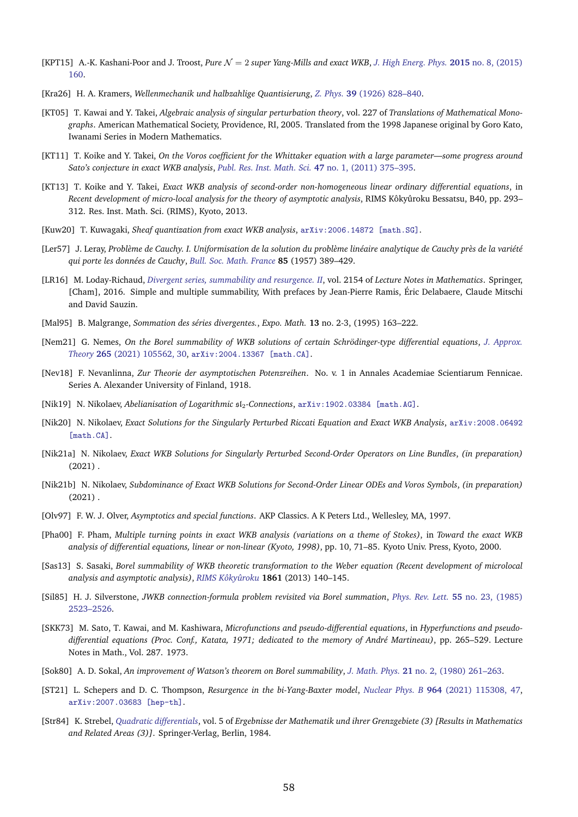- <span id="page-57-12"></span>[KPT15] A.-K. Kashani-Poor and J. Troost, *Pure* N = 2 *super Yang-Mills and exact WKB*, *[J. High Energ. Phys.](http://dx.doi.org/10.1007/JHEP08(2015)160)* **2015** no. 8, (2015) [160.](http://dx.doi.org/10.1007/JHEP08(2015)160)
- <span id="page-57-1"></span>[Kra26] H. A. Kramers, *Wellenmechanik und halbzahlige Quantisierung*, *Z. Phys.* **39** [\(1926\) 828–840.](http://dx.doi.org/https://doi.org/10.1007/BF01451751)
- <span id="page-57-6"></span>[KT05] T. Kawai and Y. Takei, *Algebraic analysis of singular perturbation theory*, vol. 227 of *Translations of Mathematical Monographs*. American Mathematical Society, Providence, RI, 2005. Translated from the 1998 Japanese original by Goro Kato, Iwanami Series in Modern Mathematics.
- <span id="page-57-8"></span>[KT11] T. Koike and Y. Takei, *On the Voros coefficient for the Whittaker equation with a large parameter—some progress around Sato's conjecture in exact WKB analysis*, *[Publ. Res. Inst. Math. Sci.](http://dx.doi.org/10.2977/PRIMS/39)* **47** no. 1, (2011) 375–395.
- <span id="page-57-9"></span>[KT13] T. Koike and Y. Takei, *Exact WKB analysis of second-order non-homogeneous linear ordinary differential equations*, in *Recent development of micro-local analysis for the theory of asymptotic analysis*, RIMS Kôkyûroku Bessatsu, B40, pp. 293– 312. Res. Inst. Math. Sci. (RIMS), Kyoto, 2013.
- <span id="page-57-11"></span>[Kuw20] T. Kuwagaki, *Sheaf quantization from exact WKB analysis*, [arXiv:2006.14872 \[math.SG\]](http://arxiv.org/abs/2006.14872).
- <span id="page-57-2"></span>[Ler57] J. Leray, Problème de Cauchy. I. Uniformisation de la solution du problème linéaire analytique de Cauchy près de la variété *qui porte les donn´ees de Cauchy*, *[Bull. Soc. Math. France](http://www.numdam.org/item?id=BSMF_1957__85__389_0)* **85** (1957) 389–429.
- <span id="page-57-21"></span>[LR16] M. Loday-Richaud, *[Divergent series, summability and resurgence. II](http://dx.doi.org/10.1007/978-3-319-29075-1)*, vol. 2154 of *Lecture Notes in Mathematics*. Springer, [Cham], 2016. Simple and multiple summability, With prefaces by Jean-Pierre Ramis, Éric Delabaere, Claude Mitschi and David Sauzin.
- <span id="page-57-22"></span>[Mal95] B. Malgrange, *Sommation des séries divergentes.*, *Expo. Math.* 13 no. 2-3, (1995) 163-222.
- <span id="page-57-10"></span>[Nem21] G. Nemes, *On the Borel summability of WKB solutions of certain Schrodinger-type differential equations ¨* , *[J. Approx.](http://dx.doi.org/10.1016/j.jat.2021.105562) Theory* **265** [\(2021\) 105562, 30,](http://dx.doi.org/10.1016/j.jat.2021.105562) [arXiv:2004.13367 \[math.CA\]](http://arxiv.org/abs/2004.13367).
- <span id="page-57-14"></span>[Nev18] F. Nevanlinna, *Zur Theorie der asymptotischen Potenzreihen*. No. v. 1 in Annales Academiae Scientiarum Fennicae. Series A. Alexander University of Finland, 1918.
- <span id="page-57-19"></span>[Nik19] N. Nikolaev, *Abelianisation of Logarithmic* sl2*-Connections*, [arXiv:1902.03384 \[math.AG\]](http://arxiv.org/abs/1902.03384).
- <span id="page-57-0"></span>[Nik20] N. Nikolaev, *Exact Solutions for the Singularly Perturbed Riccati Equation and Exact WKB Analysis*, [arXiv:2008.06492](http://arxiv.org/abs/2008.06492) [\[math.CA\]](http://arxiv.org/abs/2008.06492).
- <span id="page-57-16"></span>[Nik21a] N. Nikolaev, *Exact WKB Solutions for Singularly Perturbed Second-Order Operators on Line Bundles*, *(in preparation)*  $(2021)$ .
- <span id="page-57-17"></span>[Nik21b] N. Nikolaev, *Subdominance of Exact WKB Solutions for Second-Order Linear ODEs and Voros Symbols*, *(in preparation)*  $(2021)$ .
- <span id="page-57-20"></span>[Olv97] F. W. J. Olver, *Asymptotics and special functions*. AKP Classics. A K Peters Ltd., Wellesley, MA, 1997.
- <span id="page-57-5"></span>[Pha00] F. Pham, *Multiple turning points in exact WKB analysis (variations on a theme of Stokes)*, in *Toward the exact WKB analysis of differential equations, linear or non-linear (Kyoto, 1998)*, pp. 10, 71–85. Kyoto Univ. Press, Kyoto, 2000.
- <span id="page-57-7"></span>[Sas13] S. Sasaki, *Borel summability of WKB theoretic transformation to the Weber equation (Recent development of microlocal analysis and asymptotic analysis)*, *[RIMS Koky](http://hdl.handle.net/2433/195305) ˆ uroku ˆ* **1861** (2013) 140–145.
- <span id="page-57-3"></span>[Sil85] H. J. Silverstone, *JWKB connection-formula problem revisited via Borel summation*, *Phys. Rev. Lett.* **55** [no. 23, \(1985\)](http://dx.doi.org/10.1103/PhysRevLett.55.2523) [2523–2526.](http://dx.doi.org/10.1103/PhysRevLett.55.2523)
- <span id="page-57-4"></span>[SKK73] M. Sato, T. Kawai, and M. Kashiwara, *Microfunctions and pseudo-differential equations*, in *Hyperfunctions and pseudo*differential equations (Proc. Conf., Katata, 1971; dedicated to the memory of André Martineau), pp. 265-529. Lecture Notes in Math., Vol. 287. 1973.
- <span id="page-57-15"></span>[Sok80] A. D. Sokal, *An improvement of Watson's theorem on Borel summability*, *J. Math. Phys.* **21** [no. 2, \(1980\) 261–263.](http://dx.doi.org/10.1063/1.524408)
- <span id="page-57-13"></span>[ST21] L. Schepers and D. C. Thompson, *Resurgence in the bi-Yang-Baxter model*, *Nuclear Phys. B* **964** [\(2021\) 115308, 47,](http://dx.doi.org/10.1016/j.nuclphysb.2021.115308) [arXiv:2007.03683 \[hep-th\]](http://arxiv.org/abs/2007.03683).
- <span id="page-57-18"></span>[Str84] K. Strebel, *[Quadratic differentials](http://dx.doi.org/10.1007/978-3-662-02414-0)*, vol. 5 of *Ergebnisse der Mathematik und ihrer Grenzgebiete (3) [Results in Mathematics and Related Areas (3)]*. Springer-Verlag, Berlin, 1984.